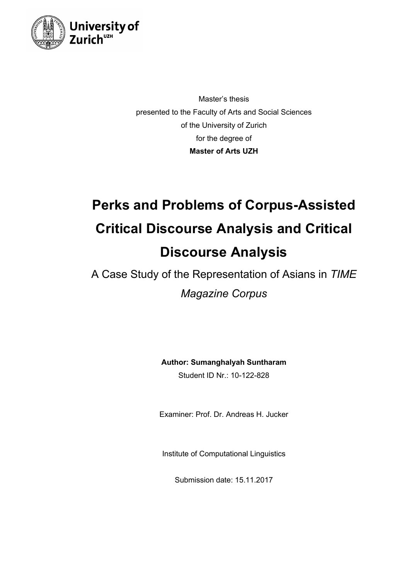

Master's thesis presented to the Faculty of Arts and Social Sciences of the University of Zurich for the degree of **Master of Arts UZH**

# **Perks and Problems of Corpus-Assisted Critical Discourse Analysis and Critical Discourse Analysis**

# A Case Study of the Representation of Asians in *TIME Magazine Corpus*

**Author: Sumanghalyah Suntharam**

Student ID Nr.: 10-122-828

Examiner: Prof. Dr. Andreas H. Jucker

Institute of Computational Linguistics

Submission date: 15.11.2017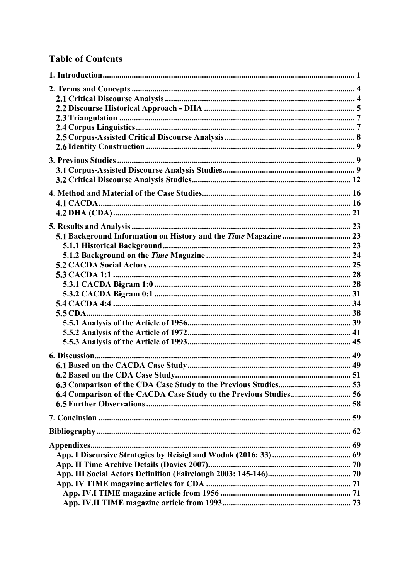## **Table of Contents**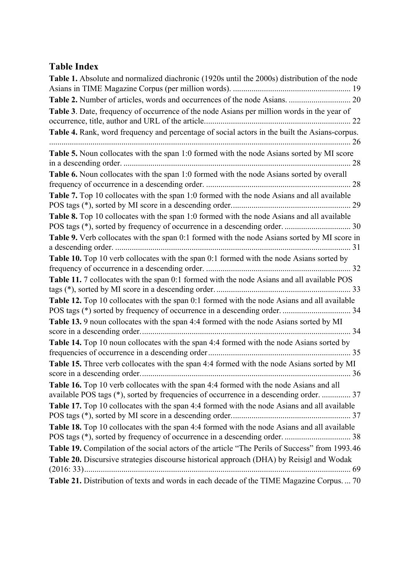### **Table Index**

| Table 1. Absolute and normalized diachronic (1920s until the 2000s) distribution of the node                                                                                     |
|----------------------------------------------------------------------------------------------------------------------------------------------------------------------------------|
|                                                                                                                                                                                  |
| Table 3. Date, frequency of occurrence of the node Asians per million words in the year of                                                                                       |
| Table 4. Rank, word frequency and percentage of social actors in the built the Asians-corpus.                                                                                    |
| Table 5. Noun collocates with the span 1:0 formed with the node Asians sorted by MI score                                                                                        |
| Table 6. Noun collocates with the span 1:0 formed with the node Asians sorted by overall                                                                                         |
| Table 7. Top 10 collocates with the span 1:0 formed with the node Asians and all available                                                                                       |
| Table 8. Top 10 collocates with the span 1:0 formed with the node Asians and all available                                                                                       |
| Table 9. Verb collocates with the span 0:1 formed with the node Asians sorted by MI score in                                                                                     |
| Table 10. Top 10 verb collocates with the span 0:1 formed with the node Asians sorted by                                                                                         |
| Table 11. 7 collocates with the span 0:1 formed with the node Asians and all available POS                                                                                       |
| Table 12. Top 10 collocates with the span 0:1 formed with the node Asians and all available                                                                                      |
| Table 13. 9 noun collocates with the span 4:4 formed with the node Asians sorted by MI                                                                                           |
| Table 14. Top 10 noun collocates with the span 4:4 formed with the node Asians sorted by                                                                                         |
| Table 15. Three verb collocates with the span 4:4 formed with the node Asians sorted by MI                                                                                       |
| Table 16. Top 10 verb collocates with the span 4:4 formed with the node Asians and all<br>available POS tags (*), sorted by frequencies of occurrence in a descending order.  37 |
| Table 17. Top 10 collocates with the span 4:4 formed with the node Asians and all available                                                                                      |
| Table 18. Top 10 collocates with the span 4:4 formed with the node Asians and all available                                                                                      |
| Table 19. Compilation of the social actors of the article "The Perils of Success" from 1993.46                                                                                   |
| Table 20. Discursive strategies discourse historical approach (DHA) by Reisigl and Wodak                                                                                         |
| Table 21. Distribution of texts and words in each decade of the TIME Magazine Corpus.  70                                                                                        |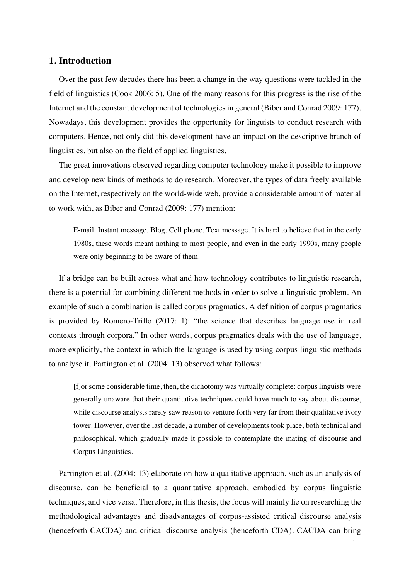#### **1. Introduction**

Over the past few decades there has been a change in the way questions were tackled in the field of linguistics (Cook 2006: 5). One of the many reasons for this progress is the rise of the Internet and the constant development of technologies in general (Biber and Conrad 2009: 177). Nowadays, this development provides the opportunity for linguists to conduct research with computers. Hence, not only did this development have an impact on the descriptive branch of linguistics, but also on the field of applied linguistics.

The great innovations observed regarding computer technology make it possible to improve and develop new kinds of methods to do research. Moreover, the types of data freely available on the Internet, respectively on the world-wide web, provide a considerable amount of material to work with, as Biber and Conrad (2009: 177) mention:

E-mail. Instant message. Blog. Cell phone. Text message. It is hard to believe that in the early 1980s, these words meant nothing to most people, and even in the early 1990s, many people were only beginning to be aware of them.

If a bridge can be built across what and how technology contributes to linguistic research, there is a potential for combining different methods in order to solve a linguistic problem. An example of such a combination is called corpus pragmatics. A definition of corpus pragmatics is provided by Romero-Trillo (2017: 1): "the science that describes language use in real contexts through corpora." In other words, corpus pragmatics deals with the use of language, more explicitly, the context in which the language is used by using corpus linguistic methods to analyse it. Partington et al. (2004: 13) observed what follows:

[f]or some considerable time, then, the dichotomy was virtually complete: corpus linguists were generally unaware that their quantitative techniques could have much to say about discourse, while discourse analysts rarely saw reason to venture forth very far from their qualitative ivory tower. However, over the last decade, a number of developments took place, both technical and philosophical, which gradually made it possible to contemplate the mating of discourse and Corpus Linguistics.

Partington et al. (2004: 13) elaborate on how a qualitative approach, such as an analysis of discourse, can be beneficial to a quantitative approach, embodied by corpus linguistic techniques, and vice versa. Therefore, in this thesis, the focus will mainly lie on researching the methodological advantages and disadvantages of corpus-assisted critical discourse analysis (henceforth CACDA) and critical discourse analysis (henceforth CDA). CACDA can bring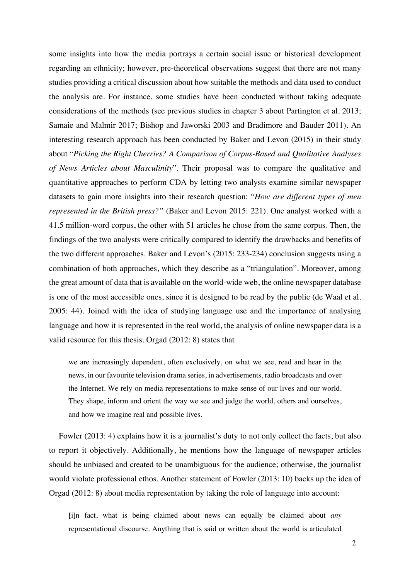some insights into how the media portrays a certain social issue or historical development regarding an ethnicity; however, pre-theoretical observations suggest that there are not many studies providing a critical discussion about how suitable the methods and data used to conduct the analysis are. For instance, some studies have been conducted without taking adequate considerations of the methods (see previous studies in chapter 3 about Partington et al. 2013; Samaie and Malmir 2017; Bishop and Jaworski 2003 and Bradimore and Bauder 2011). An interesting research approach has been conducted by Baker and Levon (2015) in their study about "*Picking the Right Cherries? A Comparison of Corpus-Based and Qualitative Analyses of News Articles about Masculinity*". Their proposal was to compare the qualitative and quantitative approaches to perform CDA by letting two analysts examine similar newspaper datasets to gain more insights into their research question: "*How are different types of men represented in the British press?"* (Baker and Levon 2015: 221). One analyst worked with a 41.5 million-word corpus, the other with 51 articles he chose from the same corpus. Then, the findings of the two analysts were critically compared to identify the drawbacks and benefits of the two different approaches. Baker and Levon's (2015: 233-234) conclusion suggests using a combination of both approaches, which they describe as a "triangulation". Moreover, among the great amount of data that is available on the world-wide web, the online newspaper database is one of the most accessible ones, since it is designed to be read by the public (de Waal et al. 2005: 44). Joined with the idea of studying language use and the importance of analysing language and how it is represented in the real world, the analysis of online newspaper data is a valid resource for this thesis. Orgad (2012: 8) states that

we are increasingly dependent, often exclusively, on what we see, read and hear in the news, in our favourite television drama series, in advertisements, radio broadcasts and over the Internet. We rely on media representations to make sense of our lives and our world. They shape, inform and orient the way we see and judge the world, others and ourselves, and how we imagine real and possible lives.

Fowler (2013: 4) explains how it is a journalist's duty to not only collect the facts, but also to report it objectively. Additionally, he mentions how the language of newspaper articles should be unbiased and created to be unambiguous for the audience; otherwise, the journalist would violate professional ethos. Another statement of Fowler (2013: 10) backs up the idea of Orgad (2012: 8) about media representation by taking the role of language into account:

[i]n fact, what is being claimed about news can equally be claimed about *any* representational discourse. Anything that is said or written about the world is articulated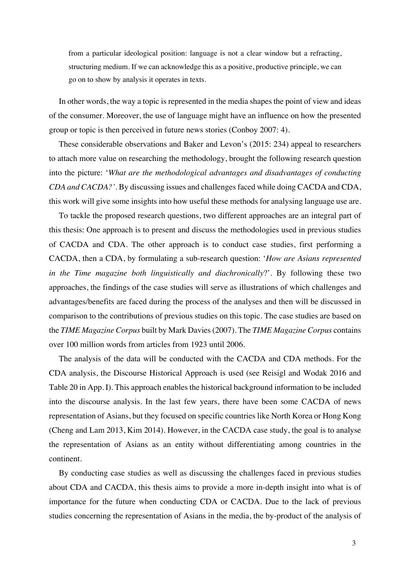from a particular ideological position: language is not a clear window but a refracting, structuring medium. If we can acknowledge this as a positive, productive principle, we can go on to show by analysis it operates in texts.

In other words, the way a topic is represented in the media shapes the point of view and ideas of the consumer. Moreover, the use of language might have an influence on how the presented group or topic is then perceived in future news stories (Conboy 2007: 4).

These considerable observations and Baker and Levon's (2015: 234) appeal to researchers to attach more value on researching the methodology, brought the following research question into the picture: '*What are the methodological advantages and disadvantages of conducting CDA and CACDA?'*. By discussing issues and challenges faced while doing CACDA and CDA, this work will give some insights into how useful these methods for analysing language use are.

To tackle the proposed research questions, two different approaches are an integral part of this thesis: One approach is to present and discuss the methodologies used in previous studies of CACDA and CDA. The other approach is to conduct case studies, first performing a CACDA, then a CDA, by formulating a sub-research question: '*How are Asians represented in the Time magazine both linguistically and diachronically*?'. By following these two approaches, the findings of the case studies will serve as illustrations of which challenges and advantages/benefits are faced during the process of the analyses and then will be discussed in comparison to the contributions of previous studies on this topic. The case studies are based on the *TIME Magazine Corpus* built by Mark Davies (2007). The *TIME Magazine Corpus* contains over 100 million words from articles from 1923 until 2006.

The analysis of the data will be conducted with the CACDA and CDA methods. For the CDA analysis, the Discourse Historical Approach is used (see Reisigl and Wodak 2016 and Table 20 in App. I). This approach enables the historical background information to be included into the discourse analysis. In the last few years, there have been some CACDA of news representation of Asians, but they focused on specific countries like North Korea or Hong Kong (Cheng and Lam 2013, Kim 2014). However, in the CACDA case study, the goal is to analyse the representation of Asians as an entity without differentiating among countries in the continent.

By conducting case studies as well as discussing the challenges faced in previous studies about CDA and CACDA, this thesis aims to provide a more in-depth insight into what is of importance for the future when conducting CDA or CACDA. Due to the lack of previous studies concerning the representation of Asians in the media, the by-product of the analysis of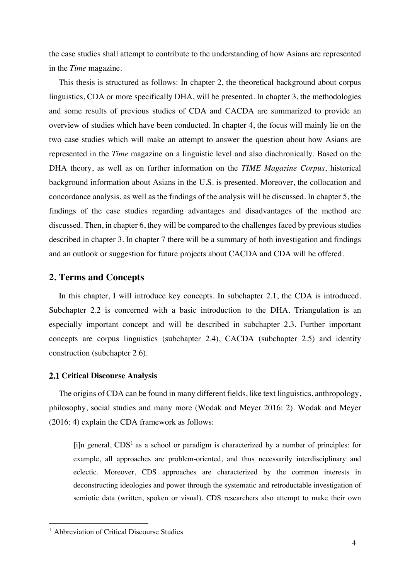the case studies shall attempt to contribute to the understanding of how Asians are represented in the *Time* magazine.

This thesis is structured as follows: In chapter 2, the theoretical background about corpus linguistics, CDA or more specifically DHA, will be presented. In chapter 3, the methodologies and some results of previous studies of CDA and CACDA are summarized to provide an overview of studies which have been conducted. In chapter 4, the focus will mainly lie on the two case studies which will make an attempt to answer the question about how Asians are represented in the *Time* magazine on a linguistic level and also diachronically. Based on the DHA theory, as well as on further information on the *TIME Magazine Corpus*, historical background information about Asians in the U.S. is presented. Moreover, the collocation and concordance analysis, as well as the findings of the analysis will be discussed. In chapter 5, the findings of the case studies regarding advantages and disadvantages of the method are discussed. Then, in chapter 6, they will be compared to the challenges faced by previous studies described in chapter 3. In chapter 7 there will be a summary of both investigation and findings and an outlook or suggestion for future projects about CACDA and CDA will be offered.

#### **2. Terms and Concepts**

In this chapter, I will introduce key concepts. In subchapter 2.1, the CDA is introduced. Subchapter 2.2 is concerned with a basic introduction to the DHA. Triangulation is an especially important concept and will be described in subchapter 2.3. Further important concepts are corpus linguistics (subchapter 2.4), CACDA (subchapter 2.5) and identity construction (subchapter 2.6).

#### **Critical Discourse Analysis**

The origins of CDA can be found in many different fields, like text linguistics, anthropology, philosophy, social studies and many more (Wodak and Meyer 2016: 2). Wodak and Meyer (2016: 4) explain the CDA framework as follows:

[i]n general,  $CDS<sup>1</sup>$  as a school or paradigm is characterized by a number of principles: for example, all approaches are problem-oriented, and thus necessarily interdisciplinary and eclectic. Moreover, CDS approaches are characterized by the common interests in deconstructing ideologies and power through the systematic and retroductable investigation of semiotic data (written, spoken or visual). CDS researchers also attempt to make their own

 $<sup>1</sup>$  Abbreviation of Critical Discourse Studies</sup>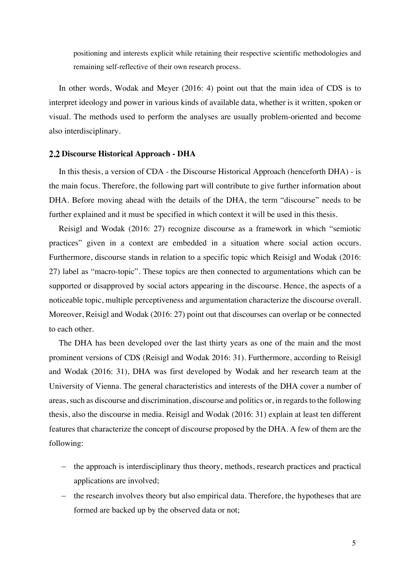positioning and interests explicit while retaining their respective scientific methodologies and remaining self-reflective of their own research process.

In other words, Wodak and Meyer (2016: 4) point out that the main idea of CDS is to interpret ideology and power in various kinds of available data, whether is it written, spoken or visual. The methods used to perform the analyses are usually problem-oriented and become also interdisciplinary.

#### **Discourse Historical Approach - DHA**

In this thesis, a version of CDA - the Discourse Historical Approach (henceforth DHA) - is the main focus. Therefore, the following part will contribute to give further information about DHA. Before moving ahead with the details of the DHA, the term "discourse" needs to be further explained and it must be specified in which context it will be used in this thesis.

Reisigl and Wodak (2016: 27) recognize discourse as a framework in which "semiotic practices" given in a context are embedded in a situation where social action occurs. Furthermore, discourse stands in relation to a specific topic which Reisigl and Wodak (2016: 27) label as "macro-topic". These topics are then connected to argumentations which can be supported or disapproved by social actors appearing in the discourse. Hence, the aspects of a noticeable topic, multiple perceptiveness and argumentation characterize the discourse overall. Moreover, Reisigl and Wodak (2016: 27) point out that discourses can overlap or be connected to each other.

The DHA has been developed over the last thirty years as one of the main and the most prominent versions of CDS (Reisigl and Wodak 2016: 31). Furthermore, according to Reisigl and Wodak (2016: 31), DHA was first developed by Wodak and her research team at the University of Vienna. The general characteristics and interests of the DHA cover a number of areas,such as discourse and discrimination, discourse and politics or, in regards to the following thesis, also the discourse in media. Reisigl and Wodak (2016: 31) explain at least ten different features that characterize the concept of discourse proposed by the DHA. A few of them are the following:

- the approach is interdisciplinary thus theory, methods, research practices and practical applications are involved;
- the research involves theory but also empirical data. Therefore, the hypotheses that are formed are backed up by the observed data or not;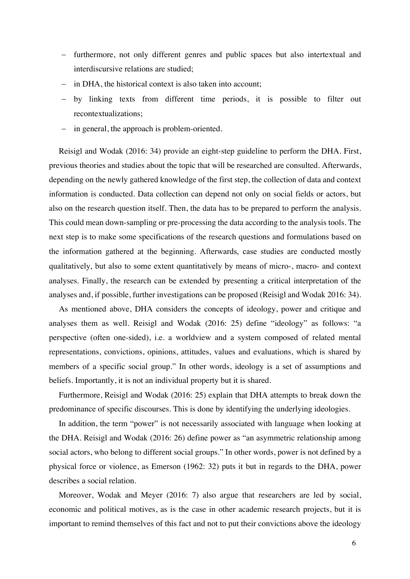- furthermore, not only different genres and public spaces but also intertextual and interdiscursive relations are studied;
- in DHA, the historical context is also taken into account;
- by linking texts from different time periods, it is possible to filter out recontextualizations;
- in general, the approach is problem-oriented.

Reisigl and Wodak (2016: 34) provide an eight-step guideline to perform the DHA. First, previous theories and studies about the topic that will be researched are consulted. Afterwards, depending on the newly gathered knowledge of the first step, the collection of data and context information is conducted. Data collection can depend not only on social fields or actors, but also on the research question itself. Then, the data has to be prepared to perform the analysis. This could mean down-sampling or pre-processing the data according to the analysis tools. The next step is to make some specifications of the research questions and formulations based on the information gathered at the beginning. Afterwards, case studies are conducted mostly qualitatively, but also to some extent quantitatively by means of micro-, macro- and context analyses. Finally, the research can be extended by presenting a critical interpretation of the analyses and, if possible, further investigations can be proposed (Reisigl and Wodak 2016: 34).

As mentioned above, DHA considers the concepts of ideology, power and critique and analyses them as well. Reisigl and Wodak (2016: 25) define "ideology" as follows: "a perspective (often one-sided), i.e. a worldview and a system composed of related mental representations, convictions, opinions, attitudes, values and evaluations, which is shared by members of a specific social group." In other words, ideology is a set of assumptions and beliefs. Importantly, it is not an individual property but it is shared.

Furthermore, Reisigl and Wodak (2016: 25) explain that DHA attempts to break down the predominance of specific discourses. This is done by identifying the underlying ideologies.

In addition, the term "power" is not necessarily associated with language when looking at the DHA. Reisigl and Wodak (2016: 26) define power as "an asymmetric relationship among social actors, who belong to different social groups." In other words, power is not defined by a physical force or violence, as Emerson (1962: 32) puts it but in regards to the DHA, power describes a social relation.

Moreover, Wodak and Meyer (2016: 7) also argue that researchers are led by social, economic and political motives, as is the case in other academic research projects, but it is important to remind themselves of this fact and not to put their convictions above the ideology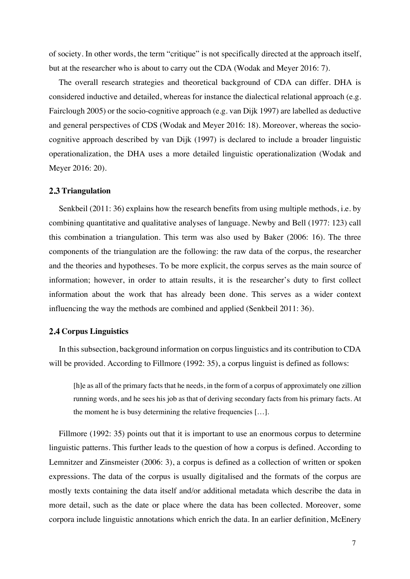of society. In other words, the term "critique" is not specifically directed at the approach itself, but at the researcher who is about to carry out the CDA (Wodak and Meyer 2016: 7).

The overall research strategies and theoretical background of CDA can differ. DHA is considered inductive and detailed, whereas for instance the dialectical relational approach (e.g. Fairclough 2005) or the socio-cognitive approach (e.g. van Dijk 1997) are labelled as deductive and general perspectives of CDS (Wodak and Meyer 2016: 18). Moreover, whereas the sociocognitive approach described by van Dijk (1997) is declared to include a broader linguistic operationalization, the DHA uses a more detailed linguistic operationalization (Wodak and Meyer 2016: 20).

#### 2.3 Triangulation

Senkbeil (2011: 36) explains how the research benefits from using multiple methods, i.e. by combining quantitative and qualitative analyses of language. Newby and Bell (1977: 123) call this combination a triangulation. This term was also used by Baker (2006: 16). The three components of the triangulation are the following: the raw data of the corpus, the researcher and the theories and hypotheses. To be more explicit, the corpus serves as the main source of information; however, in order to attain results, it is the researcher's duty to first collect information about the work that has already been done. This serves as a wider context influencing the way the methods are combined and applied (Senkbeil 2011: 36).

#### **Corpus Linguistics**

In this subsection, background information on corpus linguistics and its contribution to CDA will be provided. According to Fillmore (1992: 35), a corpus linguist is defined as follows:

[h]e as all of the primary facts that he needs, in the form of a corpus of approximately one zillion running words, and he sees his job as that of deriving secondary facts from his primary facts. At the moment he is busy determining the relative frequencies […].

Fillmore (1992: 35) points out that it is important to use an enormous corpus to determine linguistic patterns. This further leads to the question of how a corpus is defined. According to Lemnitzer and Zinsmeister (2006: 3), a corpus is defined as a collection of written or spoken expressions. The data of the corpus is usually digitalised and the formats of the corpus are mostly texts containing the data itself and/or additional metadata which describe the data in more detail, such as the date or place where the data has been collected. Moreover, some corpora include linguistic annotations which enrich the data. In an earlier definition, McEnery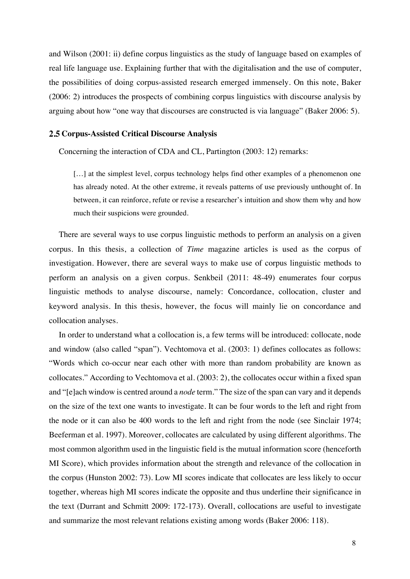and Wilson (2001: ii) define corpus linguistics as the study of language based on examples of real life language use. Explaining further that with the digitalisation and the use of computer, the possibilities of doing corpus-assisted research emerged immensely. On this note, Baker (2006: 2) introduces the prospects of combining corpus linguistics with discourse analysis by arguing about how "one way that discourses are constructed is via language" (Baker 2006: 5).

#### **Corpus-Assisted Critical Discourse Analysis**

Concerning the interaction of CDA and CL, Partington (2003: 12) remarks:

[...] at the simplest level, corpus technology helps find other examples of a phenomenon one has already noted. At the other extreme, it reveals patterns of use previously unthought of. In between, it can reinforce, refute or revise a researcher's intuition and show them why and how much their suspicions were grounded.

There are several ways to use corpus linguistic methods to perform an analysis on a given corpus. In this thesis, a collection of *Time* magazine articles is used as the corpus of investigation. However, there are several ways to make use of corpus linguistic methods to perform an analysis on a given corpus. Senkbeil (2011: 48-49) enumerates four corpus linguistic methods to analyse discourse, namely: Concordance, collocation, cluster and keyword analysis. In this thesis, however, the focus will mainly lie on concordance and collocation analyses.

In order to understand what a collocation is, a few terms will be introduced: collocate, node and window (also called "span"). Vechtomova et al. (2003: 1) defines collocates as follows: "Words which co-occur near each other with more than random probability are known as collocates." According to Vechtomova et al. (2003: 2), the collocates occur within a fixed span and "[e]ach window is centred around a *node* term." The size of the span can vary and it depends on the size of the text one wants to investigate. It can be four words to the left and right from the node or it can also be 400 words to the left and right from the node (see Sinclair 1974; Beeferman et al. 1997). Moreover, collocates are calculated by using different algorithms. The most common algorithm used in the linguistic field is the mutual information score (henceforth MI Score), which provides information about the strength and relevance of the collocation in the corpus (Hunston 2002: 73). Low MI scores indicate that collocates are less likely to occur together, whereas high MI scores indicate the opposite and thus underline their significance in the text (Durrant and Schmitt 2009: 172-173). Overall, collocations are useful to investigate and summarize the most relevant relations existing among words (Baker 2006: 118).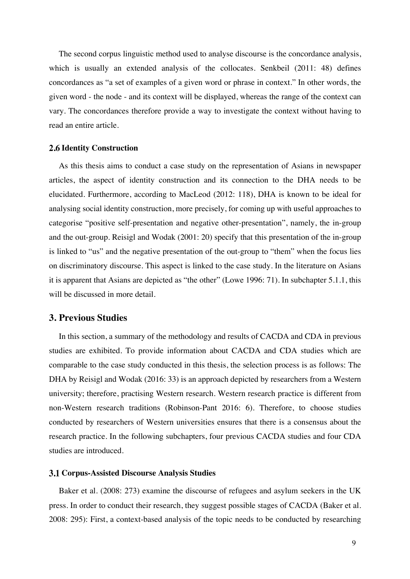The second corpus linguistic method used to analyse discourse is the concordance analysis, which is usually an extended analysis of the collocates. Senkbeil (2011: 48) defines concordances as "a set of examples of a given word or phrase in context." In other words, the given word - the node - and its context will be displayed, whereas the range of the context can vary. The concordances therefore provide a way to investigate the context without having to read an entire article.

#### **2.6 Identity Construction**

As this thesis aims to conduct a case study on the representation of Asians in newspaper articles, the aspect of identity construction and its connection to the DHA needs to be elucidated. Furthermore, according to MacLeod (2012: 118), DHA is known to be ideal for analysing social identity construction, more precisely, for coming up with useful approaches to categorise "positive self-presentation and negative other-presentation", namely, the in-group and the out-group. Reisigl and Wodak (2001: 20) specify that this presentation of the in-group is linked to "us" and the negative presentation of the out-group to "them" when the focus lies on discriminatory discourse. This aspect is linked to the case study. In the literature on Asians it is apparent that Asians are depicted as "the other" (Lowe 1996: 71). In subchapter 5.1.1, this will be discussed in more detail.

#### **3. Previous Studies**

In this section, a summary of the methodology and results of CACDA and CDA in previous studies are exhibited. To provide information about CACDA and CDA studies which are comparable to the case study conducted in this thesis, the selection process is as follows: The DHA by Reisigl and Wodak (2016: 33) is an approach depicted by researchers from a Western university; therefore, practising Western research. Western research practice is different from non-Western research traditions (Robinson-Pant 2016: 6). Therefore, to choose studies conducted by researchers of Western universities ensures that there is a consensus about the research practice. In the following subchapters, four previous CACDA studies and four CDA studies are introduced.

#### **Corpus-Assisted Discourse Analysis Studies**

Baker et al. (2008: 273) examine the discourse of refugees and asylum seekers in the UK press. In order to conduct their research, they suggest possible stages of CACDA (Baker et al. 2008: 295): First, a context-based analysis of the topic needs to be conducted by researching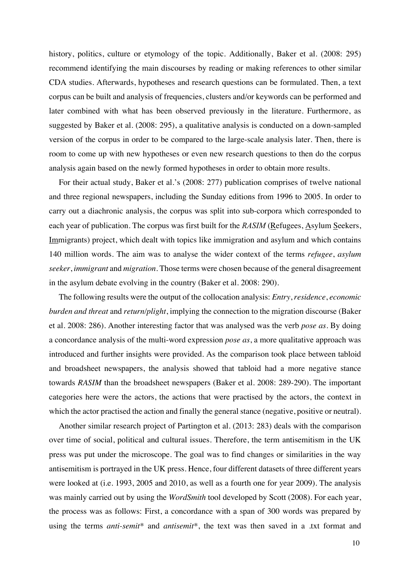history, politics, culture or etymology of the topic. Additionally, Baker et al. (2008: 295) recommend identifying the main discourses by reading or making references to other similar CDA studies. Afterwards, hypotheses and research questions can be formulated. Then, a text corpus can be built and analysis of frequencies, clusters and/or keywords can be performed and later combined with what has been observed previously in the literature. Furthermore, as suggested by Baker et al. (2008: 295), a qualitative analysis is conducted on a down-sampled version of the corpus in order to be compared to the large-scale analysis later. Then, there is room to come up with new hypotheses or even new research questions to then do the corpus analysis again based on the newly formed hypotheses in order to obtain more results.

For their actual study, Baker et al.'s (2008: 277) publication comprises of twelve national and three regional newspapers, including the Sunday editions from 1996 to 2005. In order to carry out a diachronic analysis, the corpus was split into sub-corpora which corresponded to each year of publication. The corpus was first built for the *RASIM* (Refugees, Asylum Seekers, Immigrants) project, which dealt with topics like immigration and asylum and which contains 140 million words. The aim was to analyse the wider context of the terms *refugee*, *asylum seeker*, *immigrant* and *migration*. Those terms were chosen because of the general disagreement in the asylum debate evolving in the country (Baker et al. 2008: 290).

The following results were the output of the collocation analysis: *Entry*, *residence*, *economic burden and threat* and *return/plight*, implying the connection to the migration discourse (Baker et al. 2008: 286). Another interesting factor that was analysed was the verb *pose as*. By doing a concordance analysis of the multi-word expression *pose as*, a more qualitative approach was introduced and further insights were provided. As the comparison took place between tabloid and broadsheet newspapers, the analysis showed that tabloid had a more negative stance towards *RASIM* than the broadsheet newspapers (Baker et al. 2008: 289-290). The important categories here were the actors, the actions that were practised by the actors, the context in which the actor practised the action and finally the general stance (negative, positive or neutral).

Another similar research project of Partington et al. (2013: 283) deals with the comparison over time of social, political and cultural issues. Therefore, the term antisemitism in the UK press was put under the microscope. The goal was to find changes or similarities in the way antisemitism is portrayed in the UK press. Hence, four different datasets of three different years were looked at (i.e. 1993, 2005 and 2010, as well as a fourth one for year 2009). The analysis was mainly carried out by using the *WordSmith* tool developed by Scott (2008). For each year, the process was as follows: First, a concordance with a span of 300 words was prepared by using the terms *anti-semit\** and *antisemit\**, the text was then saved in a .txt format and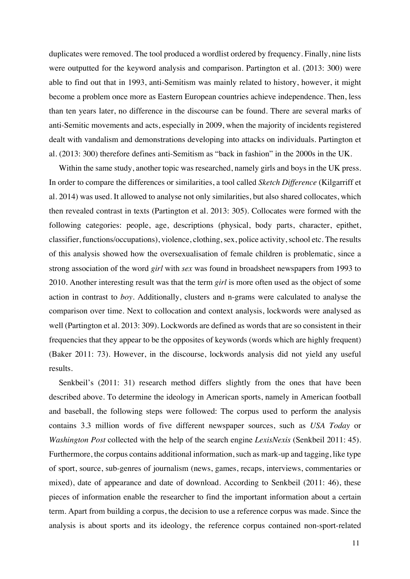duplicates were removed. The tool produced a wordlist ordered by frequency. Finally, nine lists were outputted for the keyword analysis and comparison. Partington et al. (2013: 300) were able to find out that in 1993, anti-Semitism was mainly related to history, however, it might become a problem once more as Eastern European countries achieve independence. Then, less than ten years later, no difference in the discourse can be found. There are several marks of anti-Semitic movements and acts, especially in 2009, when the majority of incidents registered dealt with vandalism and demonstrations developing into attacks on individuals. Partington et al. (2013: 300) therefore defines anti-Semitism as "back in fashion" in the 2000s in the UK.

Within the same study, another topic was researched, namely girls and boys in the UK press. In order to compare the differences or similarities, a tool called *Sketch Difference* (Kilgarriff et al. 2014) was used. It allowed to analyse not only similarities, but also shared collocates, which then revealed contrast in texts (Partington et al. 2013: 305). Collocates were formed with the following categories: people, age, descriptions (physical, body parts, character, epithet, classifier, functions/occupations), violence, clothing, sex, police activity, school etc. The results of this analysis showed how the oversexualisation of female children is problematic, since a strong association of the word *girl* with *sex* was found in broadsheet newspapers from 1993 to 2010. Another interesting result was that the term *girl* is more often used as the object of some action in contrast to *boy*. Additionally, clusters and n-grams were calculated to analyse the comparison over time. Next to collocation and context analysis, lockwords were analysed as well (Partington et al. 2013: 309). Lockwords are defined as words that are so consistent in their frequencies that they appear to be the opposites of keywords (words which are highly frequent) (Baker 2011: 73). However, in the discourse, lockwords analysis did not yield any useful results.

Senkbeil's (2011: 31) research method differs slightly from the ones that have been described above. To determine the ideology in American sports, namely in American football and baseball, the following steps were followed: The corpus used to perform the analysis contains 3.3 million words of five different newspaper sources, such as *USA Today* or *Washington Post* collected with the help of the search engine *LexisNexis* (Senkbeil 2011: 45). Furthermore, the corpus contains additional information, such as mark-up and tagging, like type of sport, source, sub-genres of journalism (news, games, recaps, interviews, commentaries or mixed), date of appearance and date of download. According to Senkbeil (2011: 46), these pieces of information enable the researcher to find the important information about a certain term. Apart from building a corpus, the decision to use a reference corpus was made. Since the analysis is about sports and its ideology, the reference corpus contained non-sport-related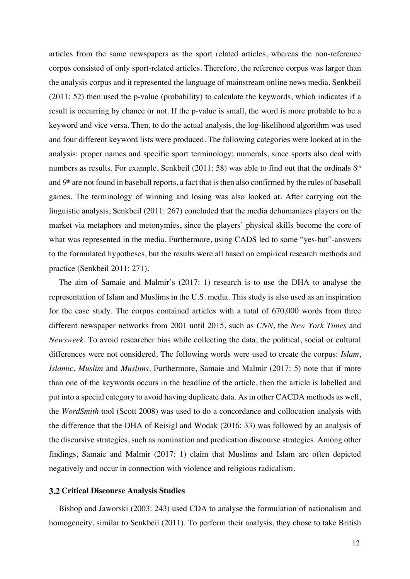articles from the same newspapers as the sport related articles, whereas the non-reference corpus consisted of only sport-related articles. Therefore, the reference corpus was larger than the analysis corpus and it represented the language of mainstream online news media. Senkbeil (2011: 52) then used the p-value (probability) to calculate the keywords, which indicates if a result is occurring by chance or not. If the p-value is small, the word is more probable to be a keyword and vice versa. Then, to do the actual analysis, the log-likelihood algorithm was used and four different keyword lists were produced. The following categories were looked at in the analysis: proper names and specific sport terminology; numerals, since sports also deal with numbers as results. For example, Senkbeil (2011: 58) was able to find out that the ordinals *8*th and *9*th are not found in baseball reports, a fact that is then also confirmed by the rules of baseball games. The terminology of winning and losing was also looked at. After carrying out the linguistic analysis, Senkbeil (2011: 267) concluded that the media dehumanizes players on the market via metaphors and metonymies, since the players' physical skills become the core of what was represented in the media. Furthermore, using CADS led to some "yes-but"-answers to the formulated hypotheses, but the results were all based on empirical research methods and practice (Senkbeil 2011: 271).

The aim of Samaie and Malmir's (2017: 1) research is to use the DHA to analyse the representation of Islam and Muslims in the U.S. media. This study is also used as an inspiration for the case study. The corpus contained articles with a total of 670,000 words from three different newspaper networks from 2001 until 2015, such as *CNN*, the *New York Times* and *Newsweek*. To avoid researcher bias while collecting the data, the political, social or cultural differences were not considered. The following words were used to create the corpus: *Islam*, *Islamic*, *Muslim* and *Muslims*. Furthermore, Samaie and Malmir (2017: 5) note that if more than one of the keywords occurs in the headline of the article, then the article is labelled and put into a special category to avoid having duplicate data. As in other CACDA methods as well, the *WordSmith* tool (Scott 2008) was used to do a concordance and collocation analysis with the difference that the DHA of Reisigl and Wodak (2016: 33) was followed by an analysis of the discursive strategies, such as nomination and predication discourse strategies. Among other findings, Samaie and Malmir (2017: 1) claim that Muslims and Islam are often depicted negatively and occur in connection with violence and religious radicalism.

#### **Critical Discourse Analysis Studies**

Bishop and Jaworski (2003: 243) used CDA to analyse the formulation of nationalism and homogeneity, similar to Senkbeil (2011). To perform their analysis, they chose to take British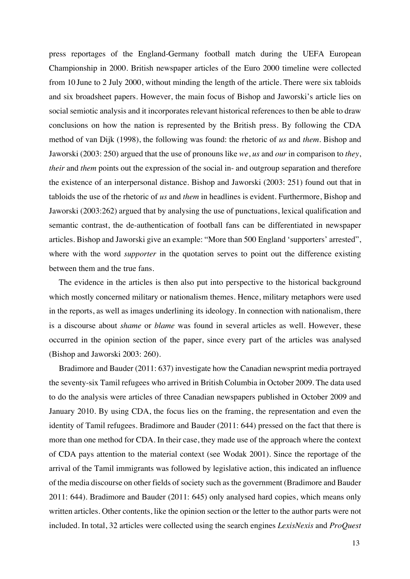press reportages of the England-Germany football match during the UEFA European Championship in 2000. British newspaper articles of the Euro 2000 timeline were collected from 10 June to 2 July 2000, without minding the length of the article. There were six tabloids and six broadsheet papers. However, the main focus of Bishop and Jaworski's article lies on social semiotic analysis and it incorporates relevant historical references to then be able to draw conclusions on how the nation is represented by the British press. By following the CDA method of van Dijk (1998), the following was found: the rhetoric of *us* and *them*. Bishop and Jaworski (2003: 250) argued that the use of pronouns like *we*, *us* and *our* in comparison to *they*, *their* and *them* points out the expression of the social in- and outgroup separation and therefore the existence of an interpersonal distance. Bishop and Jaworski (2003: 251) found out that in tabloids the use of the rhetoric of *us* and *them* in headlines is evident. Furthermore, Bishop and Jaworski (2003:262) argued that by analysing the use of punctuations, lexical qualification and semantic contrast, the de-authentication of football fans can be differentiated in newspaper articles. Bishop and Jaworski give an example: "More than 500 England 'supporters' arrested", where with the word *supporter* in the quotation serves to point out the difference existing between them and the true fans.

The evidence in the articles is then also put into perspective to the historical background which mostly concerned military or nationalism themes. Hence, military metaphors were used in the reports, as well as images underlining its ideology. In connection with nationalism, there is a discourse about *shame* or *blame* was found in several articles as well. However, these occurred in the opinion section of the paper, since every part of the articles was analysed (Bishop and Jaworski 2003: 260).

Bradimore and Bauder (2011: 637) investigate how the Canadian newsprint media portrayed the seventy-six Tamil refugees who arrived in British Columbia in October 2009. The data used to do the analysis were articles of three Canadian newspapers published in October 2009 and January 2010. By using CDA, the focus lies on the framing, the representation and even the identity of Tamil refugees. Bradimore and Bauder (2011: 644) pressed on the fact that there is more than one method for CDA. In their case, they made use of the approach where the context of CDA pays attention to the material context (see Wodak 2001). Since the reportage of the arrival of the Tamil immigrants was followed by legislative action, this indicated an influence of the media discourse on other fields of society such as the government (Bradimore and Bauder 2011: 644). Bradimore and Bauder (2011: 645) only analysed hard copies, which means only written articles. Other contents, like the opinion section or the letter to the author parts were not included. In total, 32 articles were collected using the search engines *LexisNexis* and *ProQuest*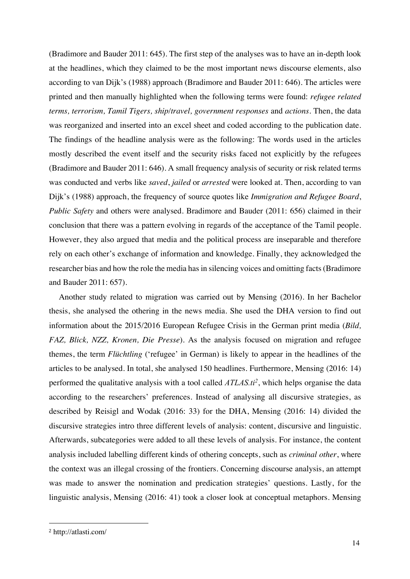(Bradimore and Bauder 2011: 645). The first step of the analyses was to have an in-depth look at the headlines, which they claimed to be the most important news discourse elements, also according to van Dijk's (1988) approach (Bradimore and Bauder 2011: 646). The articles were printed and then manually highlighted when the following terms were found: *refugee related terms, terrorism, Tamil Tigers, ship/travel, government responses* and *actions*. Then, the data was reorganized and inserted into an excel sheet and coded according to the publication date. The findings of the headline analysis were as the following: The words used in the articles mostly described the event itself and the security risks faced not explicitly by the refugees (Bradimore and Bauder 2011: 646). A small frequency analysis of security or risk related terms was conducted and verbs like *saved*, *jailed* or *arrested* were looked at. Then, according to van Dijk's (1988) approach, the frequency of source quotes like *Immigration and Refugee Board*, *Public Safety* and others were analysed. Bradimore and Bauder (2011: 656) claimed in their conclusion that there was a pattern evolving in regards of the acceptance of the Tamil people. However, they also argued that media and the political process are inseparable and therefore rely on each other's exchange of information and knowledge. Finally, they acknowledged the researcher bias and how the role the media has in silencing voices and omitting facts (Bradimore and Bauder 2011: 657).

Another study related to migration was carried out by Mensing (2016). In her Bachelor thesis, she analysed the othering in the news media. She used the DHA version to find out information about the 2015/2016 European Refugee Crisis in the German print media (*Bild, FAZ, Blick, NZZ, Kronen, Die Presse*). As the analysis focused on migration and refugee themes, the term *Flüchtling* ('refugee' in German) is likely to appear in the headlines of the articles to be analysed. In total, she analysed 150 headlines. Furthermore, Mensing (2016: 14) performed the qualitative analysis with a tool called *ATLAS.ti2* , which helps organise the data according to the researchers' preferences. Instead of analysing all discursive strategies, as described by Reisigl and Wodak (2016: 33) for the DHA, Mensing (2016: 14) divided the discursive strategies intro three different levels of analysis: content, discursive and linguistic. Afterwards, subcategories were added to all these levels of analysis. For instance, the content analysis included labelling different kinds of othering concepts, such as *criminal other*, where the context was an illegal crossing of the frontiers. Concerning discourse analysis, an attempt was made to answer the nomination and predication strategies' questions. Lastly, for the linguistic analysis, Mensing (2016: 41) took a closer look at conceptual metaphors. Mensing

1

<sup>2</sup> http://atlasti.com/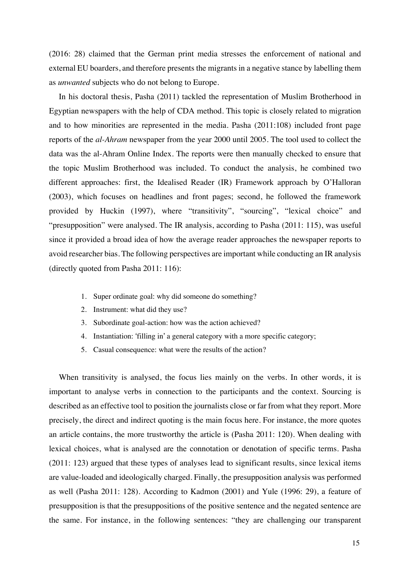(2016: 28) claimed that the German print media stresses the enforcement of national and external EU boarders, and therefore presents the migrants in a negative stance by labelling them as *unwanted* subjects who do not belong to Europe.

In his doctoral thesis, Pasha (2011) tackled the representation of Muslim Brotherhood in Egyptian newspapers with the help of CDA method. This topic is closely related to migration and to how minorities are represented in the media. Pasha (2011:108) included front page reports of the *al-Ahram* newspaper from the year 2000 until 2005. The tool used to collect the data was the al-Ahram Online Index. The reports were then manually checked to ensure that the topic Muslim Brotherhood was included. To conduct the analysis, he combined two different approaches: first, the Idealised Reader (IR) Framework approach by O'Halloran (2003), which focuses on headlines and front pages; second, he followed the framework provided by Huckin (1997), where "transitivity", "sourcing", "lexical choice" and "presupposition" were analysed. The IR analysis, according to Pasha (2011: 115), was useful since it provided a broad idea of how the average reader approaches the newspaper reports to avoid researcher bias. The following perspectives are important while conducting an IR analysis (directly quoted from Pasha 2011: 116):

- 1. Super ordinate goal: why did someone do something?
- 2. Instrument: what did they use?
- 3. Subordinate goal-action: how was the action achieved?
- 4. Instantiation: 'filling in' a general category with a more specific category;
- 5. Casual consequence: what were the results of the action?

When transitivity is analysed, the focus lies mainly on the verbs. In other words, it is important to analyse verbs in connection to the participants and the context. Sourcing is described as an effective tool to position the journalists close or far from what they report. More precisely, the direct and indirect quoting is the main focus here. For instance, the more quotes an article contains, the more trustworthy the article is (Pasha 2011: 120). When dealing with lexical choices, what is analysed are the connotation or denotation of specific terms. Pasha (2011: 123) argued that these types of analyses lead to significant results, since lexical items are value-loaded and ideologically charged. Finally, the presupposition analysis was performed as well (Pasha 2011: 128). According to Kadmon (2001) and Yule (1996: 29), a feature of presupposition is that the presuppositions of the positive sentence and the negated sentence are the same. For instance, in the following sentences: "they are challenging our transparent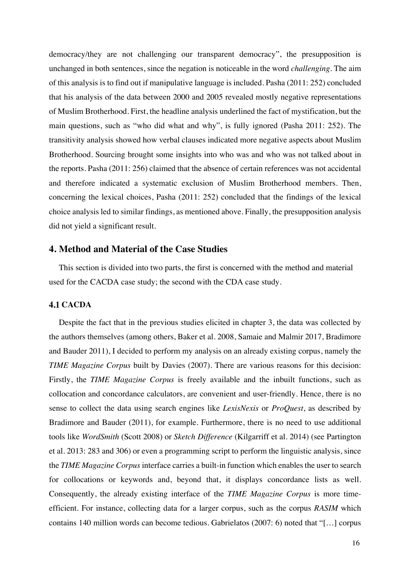democracy/they are not challenging our transparent democracy", the presupposition is unchanged in both sentences, since the negation is noticeable in the word *challenging*. The aim of this analysis is to find out if manipulative language is included. Pasha (2011: 252) concluded that his analysis of the data between 2000 and 2005 revealed mostly negative representations of Muslim Brotherhood. First, the headline analysis underlined the fact of mystification, but the main questions, such as "who did what and why", is fully ignored (Pasha 2011: 252). The transitivity analysis showed how verbal clauses indicated more negative aspects about Muslim Brotherhood. Sourcing brought some insights into who was and who was not talked about in the reports. Pasha (2011: 256) claimed that the absence of certain references was not accidental and therefore indicated a systematic exclusion of Muslim Brotherhood members. Then, concerning the lexical choices, Pasha (2011: 252) concluded that the findings of the lexical choice analysis led to similar findings, as mentioned above. Finally, the presupposition analysis did not yield a significant result.

#### **4. Method and Material of the Case Studies**

This section is divided into two parts, the first is concerned with the method and material used for the CACDA case study; the second with the CDA case study.

#### **4.1 CACDA**

Despite the fact that in the previous studies elicited in chapter 3, the data was collected by the authors themselves (among others, Baker et al. 2008, Samaie and Malmir 2017, Bradimore and Bauder 2011), I decided to perform my analysis on an already existing corpus, namely the *TIME Magazine Corpus* built by Davies (2007). There are various reasons for this decision: Firstly, the *TIME Magazine Corpus* is freely available and the inbuilt functions, such as collocation and concordance calculators, are convenient and user-friendly. Hence, there is no sense to collect the data using search engines like *LexisNexis* or *ProQuest*, as described by Bradimore and Bauder (2011), for example. Furthermore, there is no need to use additional tools like *WordSmith* (Scott 2008) or *Sketch Difference* (Kilgarriff et al. 2014) (see Partington et al. 2013: 283 and 306) or even a programming script to perform the linguistic analysis, since the *TIME Magazine Corpus* interface carries a built-in function which enables the user to search for collocations or keywords and, beyond that, it displays concordance lists as well. Consequently, the already existing interface of the *TIME Magazine Corpus* is more timeefficient. For instance, collecting data for a larger corpus, such as the corpus *RASIM* which contains 140 million words can become tedious. Gabrielatos (2007: 6) noted that "[…] corpus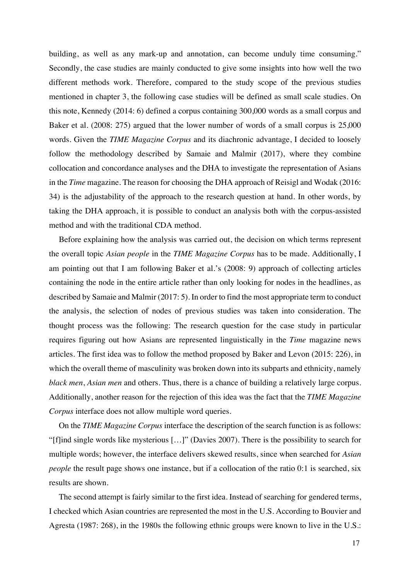building, as well as any mark-up and annotation, can become unduly time consuming." Secondly, the case studies are mainly conducted to give some insights into how well the two different methods work. Therefore, compared to the study scope of the previous studies mentioned in chapter 3, the following case studies will be defined as small scale studies. On this note, Kennedy (2014: 6) defined a corpus containing 300,000 words as a small corpus and Baker et al. (2008: 275) argued that the lower number of words of a small corpus is 25,000 words. Given the *TIME Magazine Corpus* and its diachronic advantage, I decided to loosely follow the methodology described by Samaie and Malmir (2017), where they combine collocation and concordance analyses and the DHA to investigate the representation of Asians in the *Time* magazine. The reason for choosing the DHA approach of Reisigl and Wodak (2016: 34) is the adjustability of the approach to the research question at hand. In other words, by taking the DHA approach, it is possible to conduct an analysis both with the corpus-assisted method and with the traditional CDA method.

Before explaining how the analysis was carried out, the decision on which terms represent the overall topic *Asian people* in the *TIME Magazine Corpus* has to be made. Additionally, I am pointing out that I am following Baker et al.'s (2008: 9) approach of collecting articles containing the node in the entire article rather than only looking for nodes in the headlines, as described by Samaie and Malmir (2017: 5). In order to find the most appropriate term to conduct the analysis, the selection of nodes of previous studies was taken into consideration. The thought process was the following: The research question for the case study in particular requires figuring out how Asians are represented linguistically in the *Time* magazine news articles. The first idea was to follow the method proposed by Baker and Levon (2015: 226), in which the overall theme of masculinity was broken down into its subparts and ethnicity, namely *black men*, *Asian men* and others. Thus, there is a chance of building a relatively large corpus. Additionally, another reason for the rejection of this idea was the fact that the *TIME Magazine Corpus* interface does not allow multiple word queries.

On the *TIME Magazine Corpus* interface the description of the search function is as follows: "[f]ind single words like mysterious […]" (Davies 2007). There is the possibility to search for multiple words; however, the interface delivers skewed results, since when searched for *Asian people* the result page shows one instance, but if a collocation of the ratio 0:1 is searched, six results are shown.

The second attempt is fairly similar to the first idea. Instead of searching for gendered terms, I checked which Asian countries are represented the most in the U.S. According to Bouvier and Agresta (1987: 268), in the 1980s the following ethnic groups were known to live in the U.S.: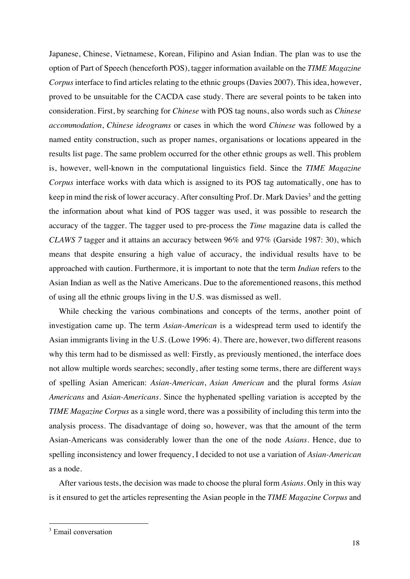Japanese, Chinese, Vietnamese, Korean, Filipino and Asian Indian. The plan was to use the option of Part of Speech (henceforth POS), tagger information available on the *TIME Magazine Corpus* interface to find articles relating to the ethnic groups (Davies 2007). This idea, however, proved to be unsuitable for the CACDA case study. There are several points to be taken into consideration. First, by searching for *Chinese* with POS tag nouns, also words such as *Chinese accommodation*, *Chinese ideograms* or cases in which the word *Chinese* was followed by a named entity construction, such as proper names, organisations or locations appeared in the results list page. The same problem occurred for the other ethnic groups as well. This problem is, however, well-known in the computational linguistics field. Since the *TIME Magazine Corpus* interface works with data which is assigned to its POS tag automatically, one has to keep in mind the risk of lower accuracy. After consulting Prof. Dr. Mark Davies<sup>3</sup> and the getting the information about what kind of POS tagger was used, it was possible to research the accuracy of the tagger. The tagger used to pre-process the *Time* magazine data is called the *CLAWS 7* tagger and it attains an accuracy between 96% and 97% (Garside 1987: 30), which means that despite ensuring a high value of accuracy, the individual results have to be approached with caution. Furthermore, it is important to note that the term *Indian* refers to the Asian Indian as well as the Native Americans. Due to the aforementioned reasons, this method of using all the ethnic groups living in the U.S. was dismissed as well.

While checking the various combinations and concepts of the terms, another point of investigation came up. The term *Asian-American* is a widespread term used to identify the Asian immigrants living in the U.S. (Lowe 1996: 4). There are, however, two different reasons why this term had to be dismissed as well: Firstly, as previously mentioned, the interface does not allow multiple words searches; secondly, after testing some terms, there are different ways of spelling Asian American: *Asian-American*, *Asian American* and the plural forms *Asian Americans* and *Asian-Americans*. Since the hyphenated spelling variation is accepted by the *TIME Magazine Corpus* as a single word, there was a possibility of including this term into the analysis process. The disadvantage of doing so, however, was that the amount of the term Asian-Americans was considerably lower than the one of the node *Asians*. Hence, due to spelling inconsistency and lower frequency, I decided to not use a variation of *Asian-American* as a node.

After various tests, the decision was made to choose the plural form *Asians*. Only in this way is it ensured to get the articles representing the Asian people in the *TIME Magazine Corpus* and

<sup>&</sup>lt;sup>3</sup> Email conversation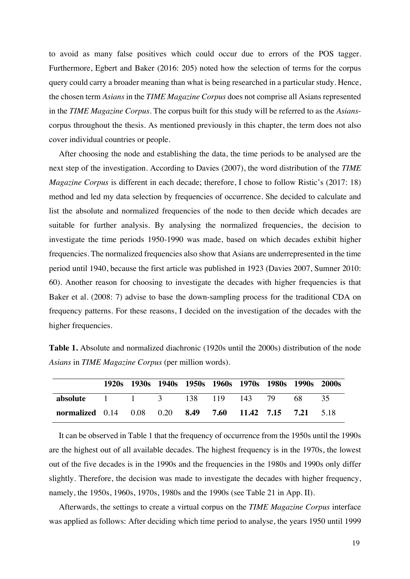to avoid as many false positives which could occur due to errors of the POS tagger. Furthermore, Egbert and Baker (2016: 205) noted how the selection of terms for the corpus query could carry a broader meaning than what is being researched in a particular study. Hence, the chosen term *Asians* in the *TIME Magazine Corpus* does not comprise all Asians represented in the *TIME Magazine Corpus*. The corpus built for this study will be referred to as the *Asians*corpus throughout the thesis. As mentioned previously in this chapter, the term does not also cover individual countries or people.

After choosing the node and establishing the data, the time periods to be analysed are the next step of the investigation. According to Davies (2007), the word distribution of the *TIME Magazine Corpus* is different in each decade; therefore, I chose to follow Ristic's (2017: 18) method and led my data selection by frequencies of occurrence. She decided to calculate and list the absolute and normalized frequencies of the node to then decide which decades are suitable for further analysis. By analysing the normalized frequencies, the decision to investigate the time periods 1950-1990 was made, based on which decades exhibit higher frequencies. The normalized frequencies also show that Asians are underrepresented in the time period until 1940, because the first article was published in 1923 (Davies 2007, Sumner 2010: 60). Another reason for choosing to investigate the decades with higher frequencies is that Baker et al. (2008: 7) advise to base the down-sampling process for the traditional CDA on frequency patterns. For these reasons, I decided on the investigation of the decades with the higher frequencies.

|                                                                        |  | 1920s 1930s 1940s 1950s 1960s 1970s 1980s 1990s 2000s |  |  |  |
|------------------------------------------------------------------------|--|-------------------------------------------------------|--|--|--|
| <b>absolute</b> 1 1 3 138 119 143 79 68 35                             |  |                                                       |  |  |  |
| <b>normalized</b> 0.14 0.08 0.20 <b>8.49 7.60 11.42 7.15 7.21</b> 5.18 |  |                                                       |  |  |  |

**Table 1.** Absolute and normalized diachronic (1920s until the 2000s) distribution of the node *Asians* in *TIME Magazine Corpus* (per million words).

It can be observed in Table 1 that the frequency of occurrence from the 1950s until the 1990s are the highest out of all available decades. The highest frequency is in the 1970s, the lowest out of the five decades is in the 1990s and the frequencies in the 1980s and 1990s only differ slightly. Therefore, the decision was made to investigate the decades with higher frequency, namely, the 1950s, 1960s, 1970s, 1980s and the 1990s (see Table 21 in App. II).

Afterwards, the settings to create a virtual corpus on the *TIME Magazine Corpus* interface was applied as follows: After deciding which time period to analyse, the years 1950 until 1999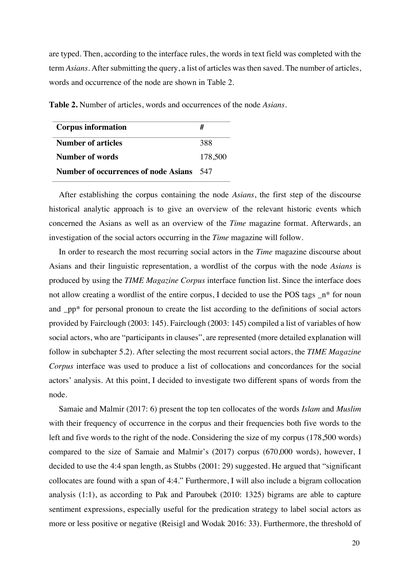are typed. Then, according to the interface rules, the words in text field was completed with the term *Asians*. After submitting the query, a list of articles was then saved. The number of articles, words and occurrence of the node are shown in Table 2.

**Table 2.** Number of articles, words and occurrences of the node *Asians.*

| <b>Corpus information</b>            | #       |
|--------------------------------------|---------|
| Number of articles                   | 388     |
| Number of words                      | 178,500 |
| Number of occurrences of node Asians | - 547   |

After establishing the corpus containing the node *Asians*, the first step of the discourse historical analytic approach is to give an overview of the relevant historic events which concerned the Asians as well as an overview of the *Time* magazine format. Afterwards, an investigation of the social actors occurring in the *Time* magazine will follow.

In order to research the most recurring social actors in the *Time* magazine discourse about Asians and their linguistic representation, a wordlist of the corpus with the node *Asians* is produced by using the *TIME Magazine Corpus* interface function list. Since the interface does not allow creating a wordlist of the entire corpus, I decided to use the POS tags  $n^*$  for noun and pp<sup>\*</sup> for personal pronoun to create the list according to the definitions of social actors provided by Fairclough (2003: 145). Fairclough (2003: 145) compiled a list of variables of how social actors, who are "participants in clauses", are represented (more detailed explanation will follow in subchapter 5.2). After selecting the most recurrent social actors, the *TIME Magazine Corpus* interface was used to produce a list of collocations and concordances for the social actors' analysis. At this point, I decided to investigate two different spans of words from the node.

Samaie and Malmir (2017: 6) present the top ten collocates of the words *Islam* and *Muslim* with their frequency of occurrence in the corpus and their frequencies both five words to the left and five words to the right of the node. Considering the size of my corpus (178,500 words) compared to the size of Samaie and Malmir's (2017) corpus (670,000 words), however, I decided to use the 4:4 span length, as Stubbs (2001: 29) suggested. He argued that "significant collocates are found with a span of 4:4." Furthermore, I will also include a bigram collocation analysis (1:1), as according to Pak and Paroubek (2010: 1325) bigrams are able to capture sentiment expressions, especially useful for the predication strategy to label social actors as more or less positive or negative (Reisigl and Wodak 2016: 33). Furthermore, the threshold of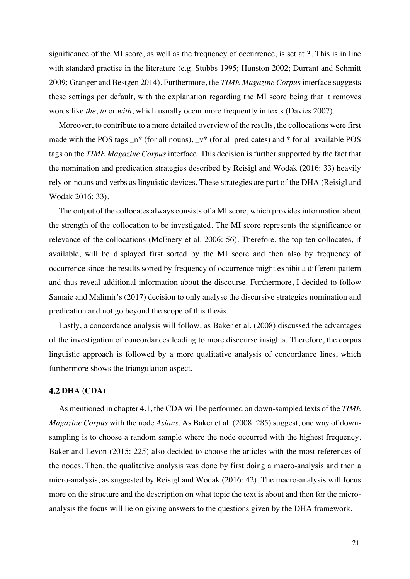significance of the MI score, as well as the frequency of occurrence, is set at 3. This is in line with standard practise in the literature (e.g. Stubbs 1995; Hunston 2002; Durrant and Schmitt 2009; Granger and Bestgen 2014). Furthermore, the *TIME Magazine Corpus* interface suggests these settings per default, with the explanation regarding the MI score being that it removes words like *the*, *to* or *with*, which usually occur more frequently in texts (Davies 2007).

Moreover, to contribute to a more detailed overview of the results, the collocations were first made with the POS tags  $_n^*$  (for all nouns),  $_v^*$  (for all predicates) and  $*$  for all available POS tags on the *TIME Magazine Corpus* interface. This decision is further supported by the fact that the nomination and predication strategies described by Reisigl and Wodak (2016: 33) heavily rely on nouns and verbs as linguistic devices. These strategies are part of the DHA (Reisigl and Wodak 2016: 33).

The output of the collocates always consists of a MI score, which provides information about the strength of the collocation to be investigated. The MI score represents the significance or relevance of the collocations (McEnery et al. 2006: 56). Therefore, the top ten collocates, if available, will be displayed first sorted by the MI score and then also by frequency of occurrence since the results sorted by frequency of occurrence might exhibit a different pattern and thus reveal additional information about the discourse. Furthermore, I decided to follow Samaie and Malimir's (2017) decision to only analyse the discursive strategies nomination and predication and not go beyond the scope of this thesis.

Lastly, a concordance analysis will follow, as Baker et al. (2008) discussed the advantages of the investigation of concordances leading to more discourse insights. Therefore, the corpus linguistic approach is followed by a more qualitative analysis of concordance lines, which furthermore shows the triangulation aspect.

#### **4.2 DHA (CDA)**

As mentioned in chapter 4.1, the CDA will be performed on down-sampled texts of the *TIME Magazine Corpus* with the node *Asians*. As Baker et al. (2008: 285) suggest, one way of downsampling is to choose a random sample where the node occurred with the highest frequency. Baker and Levon (2015: 225) also decided to choose the articles with the most references of the nodes. Then, the qualitative analysis was done by first doing a macro-analysis and then a micro-analysis, as suggested by Reisigl and Wodak (2016: 42). The macro-analysis will focus more on the structure and the description on what topic the text is about and then for the microanalysis the focus will lie on giving answers to the questions given by the DHA framework.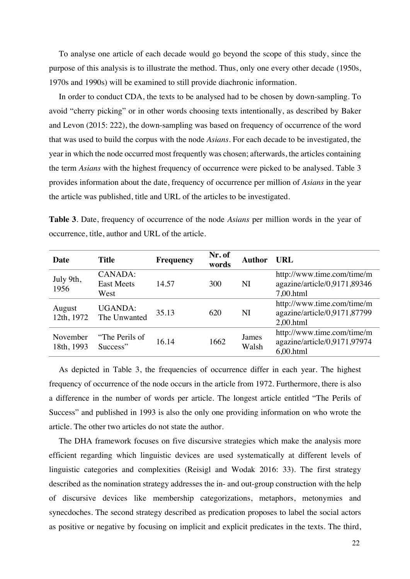To analyse one article of each decade would go beyond the scope of this study, since the purpose of this analysis is to illustrate the method. Thus, only one every other decade (1950s, 1970s and 1990s) will be examined to still provide diachronic information.

In order to conduct CDA, the texts to be analysed had to be chosen by down-sampling. To avoid "cherry picking" or in other words choosing texts intentionally, as described by Baker and Levon (2015: 222), the down-sampling was based on frequency of occurrence of the word that was used to build the corpus with the node *Asians*. For each decade to be investigated, the year in which the node occurred most frequently was chosen; afterwards, the articles containing the term *Asians* with the highest frequency of occurrence were picked to be analysed. Table 3 provides information about the date, frequency of occurrence per million of *Asians* in the year the article was published, title and URL of the articles to be investigated.

**Table 3***.* Date, frequency of occurrence of the node *Asians* per million words in the year of occurrence, title, author and URL of the article.

| Date                   | <b>Title</b>                                | <b>Frequency</b> | Nr. of<br>words | <b>Author</b>  | <b>URL</b>                                                              |
|------------------------|---------------------------------------------|------------------|-----------------|----------------|-------------------------------------------------------------------------|
| July 9th,<br>1956      | <b>CANADA:</b><br><b>East Meets</b><br>West | 14.57            | 300             | NI             | http://www.time.com/time/m<br>agazine/article/0,9171,89346<br>7,00.html |
| August<br>12th, 1972   | <b>UGANDA:</b><br>The Unwanted              | 35.13            | 620             | NI             | http://www.time.com/time/m<br>agazine/article/0,9171,87799<br>2,00.html |
| November<br>18th, 1993 | "The Perils of<br>Success"                  | 16.14            | 1662            | James<br>Walsh | http://www.time.com/time/m<br>agazine/article/0,9171,97974<br>6,00.html |

As depicted in Table 3, the frequencies of occurrence differ in each year. The highest frequency of occurrence of the node occurs in the article from 1972. Furthermore, there is also a difference in the number of words per article. The longest article entitled "The Perils of Success" and published in 1993 is also the only one providing information on who wrote the article. The other two articles do not state the author.

The DHA framework focuses on five discursive strategies which make the analysis more efficient regarding which linguistic devices are used systematically at different levels of linguistic categories and complexities (Reisigl and Wodak 2016: 33). The first strategy described as the nomination strategy addresses the in- and out-group construction with the help of discursive devices like membership categorizations, metaphors, metonymies and synecdoches. The second strategy described as predication proposes to label the social actors as positive or negative by focusing on implicit and explicit predicates in the texts. The third,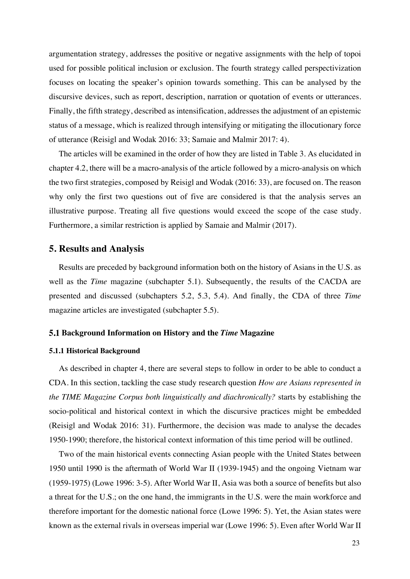argumentation strategy, addresses the positive or negative assignments with the help of topoi used for possible political inclusion or exclusion. The fourth strategy called perspectivization focuses on locating the speaker's opinion towards something. This can be analysed by the discursive devices, such as report, description, narration or quotation of events or utterances. Finally, the fifth strategy, described as intensification, addresses the adjustment of an epistemic status of a message, which is realized through intensifying or mitigating the illocutionary force of utterance (Reisigl and Wodak 2016: 33; Samaie and Malmir 2017: 4).

The articles will be examined in the order of how they are listed in Table 3. As elucidated in chapter 4.2, there will be a macro-analysis of the article followed by a micro-analysis on which the two first strategies, composed by Reisigl and Wodak (2016: 33), are focused on. The reason why only the first two questions out of five are considered is that the analysis serves an illustrative purpose. Treating all five questions would exceed the scope of the case study. Furthermore, a similar restriction is applied by Samaie and Malmir (2017).

#### **5. Results and Analysis**

Results are preceded by background information both on the history of Asians in the U.S. as well as the *Time* magazine (subchapter 5.1). Subsequently, the results of the CACDA are presented and discussed (subchapters 5.2, 5.3, 5.4). And finally, the CDA of three *Time* magazine articles are investigated (subchapter 5.5).

#### **Background Information on History and the** *Time* **Magazine**

#### **5.1.1 Historical Background**

As described in chapter 4, there are several steps to follow in order to be able to conduct a CDA. In this section, tackling the case study research question *How are Asians represented in the TIME Magazine Corpus both linguistically and diachronically?* starts by establishing the socio-political and historical context in which the discursive practices might be embedded (Reisigl and Wodak 2016: 31). Furthermore, the decision was made to analyse the decades 1950-1990; therefore, the historical context information of this time period will be outlined.

Two of the main historical events connecting Asian people with the United States between 1950 until 1990 is the aftermath of World War II (1939-1945) and the ongoing Vietnam war (1959-1975) (Lowe 1996: 3-5). After World War II, Asia was both a source of benefits but also a threat for the U.S.; on the one hand, the immigrants in the U.S. were the main workforce and therefore important for the domestic national force (Lowe 1996: 5). Yet, the Asian states were known as the external rivals in overseas imperial war (Lowe 1996: 5). Even after World War II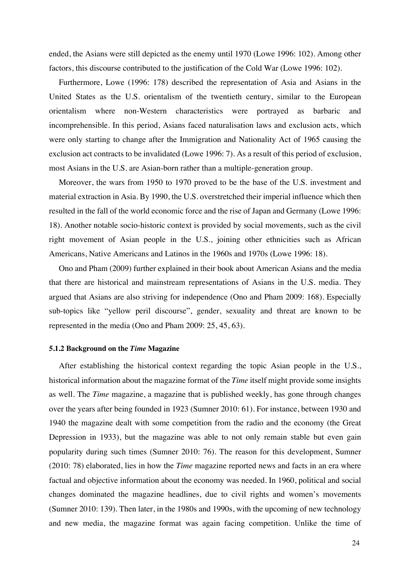ended, the Asians were still depicted as the enemy until 1970 (Lowe 1996: 102). Among other factors, this discourse contributed to the justification of the Cold War (Lowe 1996: 102).

Furthermore, Lowe (1996: 178) described the representation of Asia and Asians in the United States as the U.S. orientalism of the twentieth century, similar to the European orientalism where non-Western characteristics were portrayed as barbaric and incomprehensible. In this period, Asians faced naturalisation laws and exclusion acts, which were only starting to change after the Immigration and Nationality Act of 1965 causing the exclusion act contracts to be invalidated (Lowe 1996: 7). As a result of this period of exclusion, most Asians in the U.S. are Asian-born rather than a multiple-generation group.

Moreover, the wars from 1950 to 1970 proved to be the base of the U.S. investment and material extraction in Asia. By 1990, the U.S. overstretched their imperial influence which then resulted in the fall of the world economic force and the rise of Japan and Germany (Lowe 1996: 18). Another notable socio-historic context is provided by social movements, such as the civil right movement of Asian people in the U.S., joining other ethnicities such as African Americans, Native Americans and Latinos in the 1960s and 1970s (Lowe 1996: 18).

Ono and Pham (2009) further explained in their book about American Asians and the media that there are historical and mainstream representations of Asians in the U.S. media. They argued that Asians are also striving for independence (Ono and Pham 2009: 168). Especially sub-topics like "yellow peril discourse", gender, sexuality and threat are known to be represented in the media (Ono and Pham 2009: 25, 45, 63).

#### **5.1.2 Background on the** *Time* **Magazine**

After establishing the historical context regarding the topic Asian people in the U.S., historical information about the magazine format of the *Time* itself might provide some insights as well. The *Time* magazine, a magazine that is published weekly, has gone through changes over the years after being founded in 1923 (Sumner 2010: 61). For instance, between 1930 and 1940 the magazine dealt with some competition from the radio and the economy (the Great Depression in 1933), but the magazine was able to not only remain stable but even gain popularity during such times (Sumner 2010: 76). The reason for this development, Sumner (2010: 78) elaborated, lies in how the *Time* magazine reported news and facts in an era where factual and objective information about the economy was needed. In 1960, political and social changes dominated the magazine headlines, due to civil rights and women's movements (Sumner 2010: 139). Then later, in the 1980s and 1990s, with the upcoming of new technology and new media, the magazine format was again facing competition. Unlike the time of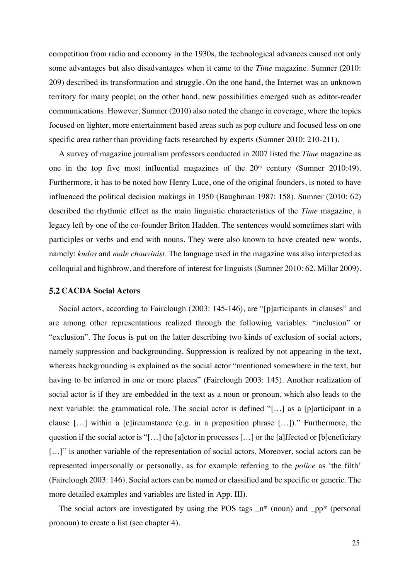competition from radio and economy in the 1930s, the technological advances caused not only some advantages but also disadvantages when it came to the *Time* magazine. Sumner (2010: 209) described its transformation and struggle. On the one hand, the Internet was an unknown territory for many people; on the other hand, new possibilities emerged such as editor-reader communications. However, Sumner (2010) also noted the change in coverage, where the topics focused on lighter, more entertainment based areas such as pop culture and focused less on one specific area rather than providing facts researched by experts (Sumner 2010: 210-211).

A survey of magazine journalism professors conducted in 2007 listed the *Time* magazine as one in the top five most influential magazines of the  $20<sup>th</sup>$  century (Sumner 2010:49). Furthermore, it has to be noted how Henry Luce, one of the original founders, is noted to have influenced the political decision makings in 1950 (Baughman 1987: 158). Sumner (2010: 62) described the rhythmic effect as the main linguistic characteristics of the *Time* magazine, a legacy left by one of the co-founder Briton Hadden. The sentences would sometimes start with participles or verbs and end with nouns. They were also known to have created new words, namely: *kudos* and *male chauvinist*. The language used in the magazine was also interpreted as colloquial and highbrow, and therefore of interest for linguists (Sumner 2010: 62, Millar 2009).

#### **CACDA Social Actors**

Social actors, according to Fairclough (2003: 145-146), are "[p]articipants in clauses" and are among other representations realized through the following variables: "inclusion" or "exclusion". The focus is put on the latter describing two kinds of exclusion of social actors, namely suppression and backgrounding. Suppression is realized by not appearing in the text, whereas backgrounding is explained as the social actor "mentioned somewhere in the text, but having to be inferred in one or more places" (Fairclough 2003: 145). Another realization of social actor is if they are embedded in the text as a noun or pronoun, which also leads to the next variable: the grammatical role. The social actor is defined "[…] as a [p]articipant in a clause […] within a [c]ircumstance (e.g. in a preposition phrase […])." Furthermore, the question if the social actor is "[…] the [a]ctor in processes […] or the [a]ffected or [b]eneficiary [...]" is another variable of the representation of social actors. Moreover, social actors can be represented impersonally or personally, as for example referring to the *police* as 'the filth' (Fairclough 2003: 146). Social actors can be named or classified and be specific or generic. The more detailed examples and variables are listed in App. III).

The social actors are investigated by using the POS tags  $_n^*$  (noun) and  $\pi$  (personal pronoun) to create a list (see chapter 4).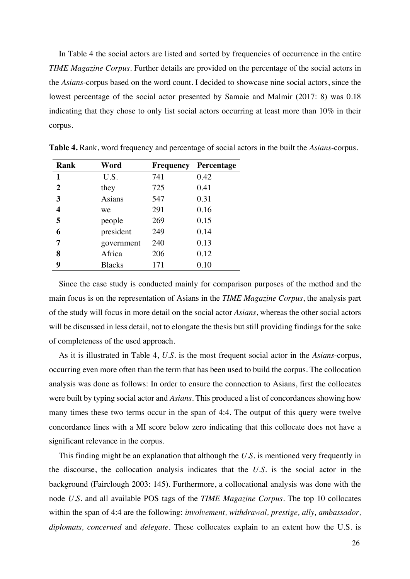In Table 4 the social actors are listed and sorted by frequencies of occurrence in the entire *TIME Magazine Corpus*. Further details are provided on the percentage of the social actors in the *Asians*-corpus based on the word count. I decided to showcase nine social actors, since the lowest percentage of the social actor presented by Samaie and Malmir (2017: 8) was 0.18 indicating that they chose to only list social actors occurring at least more than 10% in their corpus.

| Rank | Word          | Frequency | Percentage |
|------|---------------|-----------|------------|
| 1    | U.S.          | 741       | 0.42       |
| 2    | they          | 725       | 0.41       |
| 3    | Asians        | 547       | 0.31       |
| 4    | we            | 291       | 0.16       |
| 5    | people        | 269       | 0.15       |
| 6    | president     | 249       | 0.14       |
| 7    | government    | 240       | 0.13       |
| 8    | Africa        | 206       | 0.12       |
| 9    | <b>Blacks</b> | 171       | 0.10       |

**Table 4.** Rank, word frequency and percentage of social actors in the built the *Asians*-corpus.

Since the case study is conducted mainly for comparison purposes of the method and the main focus is on the representation of Asians in the *TIME Magazine Corpus*, the analysis part of the study will focus in more detail on the social actor *Asians*, whereas the other social actors will be discussed in less detail, not to elongate the thesis but still providing findings for the sake of completeness of the used approach.

As it is illustrated in Table 4, *U.S.* is the most frequent social actor in the *Asians*-corpus, occurring even more often than the term that has been used to build the corpus. The collocation analysis was done as follows: In order to ensure the connection to Asians, first the collocates were built by typing social actor and *Asians*. This produced a list of concordances showing how many times these two terms occur in the span of 4:4. The output of this query were twelve concordance lines with a MI score below zero indicating that this collocate does not have a significant relevance in the corpus.

This finding might be an explanation that although the *U.S.* is mentioned very frequently in the discourse, the collocation analysis indicates that the *U.S.* is the social actor in the background (Fairclough 2003: 145). Furthermore, a collocational analysis was done with the node *U.S.* and all available POS tags of the *TIME Magazine Corpus*. The top 10 collocates within the span of 4:4 are the following: *involvement, withdrawal, prestige, ally, ambassador, diplomats, concerned* and *delegate.* These collocates explain to an extent how the U.S. is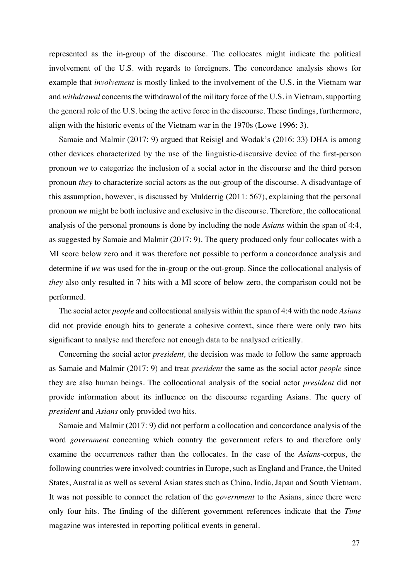represented as the in-group of the discourse. The collocates might indicate the political involvement of the U.S. with regards to foreigners. The concordance analysis shows for example that *involvement* is mostly linked to the involvement of the U.S. in the Vietnam war and *withdrawal* concerns the withdrawal of the military force of the U.S. in Vietnam, supporting the general role of the U.S. being the active force in the discourse. These findings, furthermore, align with the historic events of the Vietnam war in the 1970s (Lowe 1996: 3).

Samaie and Malmir (2017: 9) argued that Reisigl and Wodak's (2016: 33) DHA is among other devices characterized by the use of the linguistic-discursive device of the first-person pronoun *we* to categorize the inclusion of a social actor in the discourse and the third person pronoun *they* to characterize social actors as the out-group of the discourse. A disadvantage of this assumption, however, is discussed by Mulderrig (2011: 567), explaining that the personal pronoun *we* might be both inclusive and exclusive in the discourse. Therefore, the collocational analysis of the personal pronouns is done by including the node *Asians* within the span of 4:4, as suggested by Samaie and Malmir (2017: 9). The query produced only four collocates with a MI score below zero and it was therefore not possible to perform a concordance analysis and determine if *we* was used for the in-group or the out-group. Since the collocational analysis of *they* also only resulted in 7 hits with a MI score of below zero, the comparison could not be performed.

The social actor *people* and collocational analysis within the span of 4:4 with the node *Asians* did not provide enough hits to generate a cohesive context, since there were only two hits significant to analyse and therefore not enough data to be analysed critically.

Concerning the social actor *president,* the decision was made to follow the same approach as Samaie and Malmir (2017: 9) and treat *president* the same as the social actor *people* since they are also human beings. The collocational analysis of the social actor *president* did not provide information about its influence on the discourse regarding Asians. The query of *president* and *Asians* only provided two hits.

Samaie and Malmir (2017: 9) did not perform a collocation and concordance analysis of the word *government* concerning which country the government refers to and therefore only examine the occurrences rather than the collocates. In the case of the *Asians*-corpus, the following countries were involved: countries in Europe, such as England and France, the United States, Australia as well as several Asian states such as China, India, Japan and South Vietnam. It was not possible to connect the relation of the *government* to the Asians, since there were only four hits. The finding of the different government references indicate that the *Time* magazine was interested in reporting political events in general.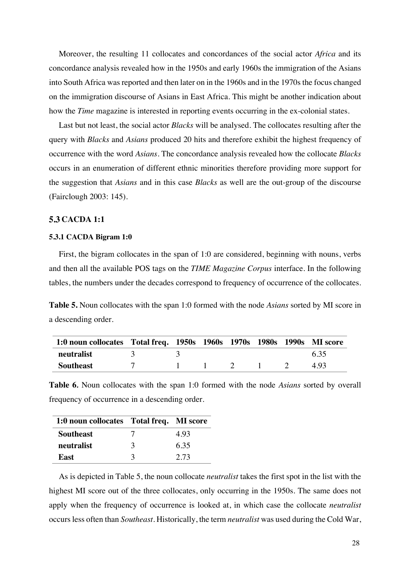Moreover, the resulting 11 collocates and concordances of the social actor *Africa* and its concordance analysis revealed how in the 1950s and early 1960s the immigration of the Asians into South Africa was reported and then later on in the 1960s and in the 1970s the focus changed on the immigration discourse of Asians in East Africa. This might be another indication about how the *Time* magazine is interested in reporting events occurring in the ex-colonial states.

Last but not least, the social actor *Blacks* will be analysed. The collocates resulting after the query with *Blacks* and *Asians* produced 20 hits and therefore exhibit the highest frequency of occurrence with the word *Asians*. The concordance analysis revealed how the collocate *Blacks* occurs in an enumeration of different ethnic minorities therefore providing more support for the suggestion that *Asians* and in this case *Blacks* as well are the out-group of the discourse (Fairclough 2003: 145).

#### **CACDA 1:1**

#### **5.3.1 CACDA Bigram 1:0**

First, the bigram collocates in the span of 1:0 are considered, beginning with nouns, verbs and then all the available POS tags on the *TIME Magazine Corpus* interface. In the following tables, the numbers under the decades correspond to frequency of occurrence of the collocates.

**Table 5.** Noun collocates with the span 1:0 formed with the node *Asians* sorted by MI score in a descending order.

| 1:0 noun collocates Total freq. 1950s 1960s 1970s 1980s 1990s MI score |  |                 |     |  |      |
|------------------------------------------------------------------------|--|-----------------|-----|--|------|
| neutralist                                                             |  |                 |     |  | 6.35 |
| <b>Southeast</b>                                                       |  | $\sim$ 1 $\sim$ | 2 1 |  | 493  |

**Table 6***.* Noun collocates with the span 1:0 formed with the node *Asians* sorted by overall frequency of occurrence in a descending order.

| 1:0 noun collocates Total freq. MI score |               |      |
|------------------------------------------|---------------|------|
| Southeast                                |               | 4.93 |
| neutralist                               | $\mathcal{R}$ | 6.35 |
| East                                     | $\mathbf{z}$  | 2.73 |

As is depicted in Table 5, the noun collocate *neutralist* takes the first spot in the list with the highest MI score out of the three collocates, only occurring in the 1950s. The same does not apply when the frequency of occurrence is looked at, in which case the collocate *neutralist* occurs less often than *Southeast*. Historically, the term *neutralist* was used during the Cold War,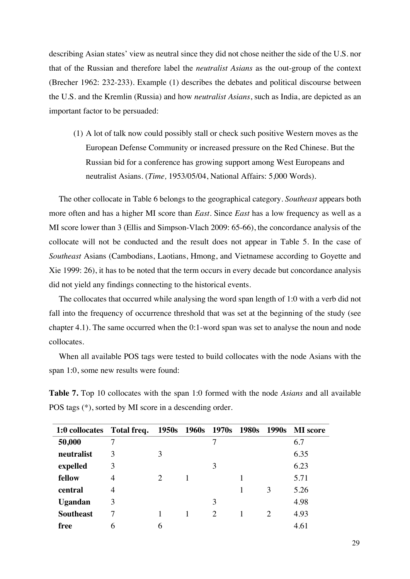describing Asian states' view as neutral since they did not chose neither the side of the U.S. nor that of the Russian and therefore label the *neutralist Asians* as the out-group of the context (Brecher 1962: 232-233). Example (1) describes the debates and political discourse between the U.S. and the Kremlin (Russia) and how *neutralist Asians*, such as India, are depicted as an important factor to be persuaded:

(1) A lot of talk now could possibly stall or check such positive Western moves as the European Defense Community or increased pressure on the Red Chinese. But the Russian bid for a conference has growing support among West Europeans and neutralist Asians. (*Time,* 1953/05/04, National Affairs: 5,000 Words).

The other collocate in Table 6 belongs to the geographical category. *Southeast* appears both more often and has a higher MI score than *East*. Since *East* has a low frequency as well as a MI score lower than 3 (Ellis and Simpson-Vlach 2009: 65-66), the concordance analysis of the collocate will not be conducted and the result does not appear in Table 5. In the case of *Southeast* Asians (Cambodians, Laotians, Hmong, and Vietnamese according to Goyette and Xie 1999: 26), it has to be noted that the term occurs in every decade but concordance analysis did not yield any findings connecting to the historical events.

The collocates that occurred while analysing the word span length of 1:0 with a verb did not fall into the frequency of occurrence threshold that was set at the beginning of the study (see chapter 4.1). The same occurred when the 0:1-word span was set to analyse the noun and node collocates.

When all available POS tags were tested to build collocates with the node Asians with the span 1:0, some new results were found:

**Table 7.** Top 10 collocates with the span 1:0 formed with the node *Asians* and all available POS tags (\*), sorted by MI score in a descending order.

| 1:0 collocates Total freq. 1950s 1960s 1970s 1980s 1990s MI score |                |                             |                             |                             |      |
|-------------------------------------------------------------------|----------------|-----------------------------|-----------------------------|-----------------------------|------|
| 50,000                                                            |                |                             | 7                           |                             | 6.7  |
| neutralist                                                        | 3              | 3                           |                             |                             | 6.35 |
| expelled                                                          | 3              |                             | 3                           |                             | 6.23 |
| fellow                                                            | $\overline{4}$ | $\mathcal{D}_{\mathcal{L}}$ |                             |                             | 5.71 |
| central                                                           | $\overline{4}$ |                             |                             | 3                           | 5.26 |
| Ugandan                                                           | 3              |                             | 3                           |                             | 4.98 |
| <b>Southeast</b>                                                  | 7              |                             | $\mathcal{D}_{\mathcal{L}}$ | $\mathcal{D}_{\mathcal{A}}$ | 4.93 |
| free                                                              | 6              | 6                           |                             |                             | 4.61 |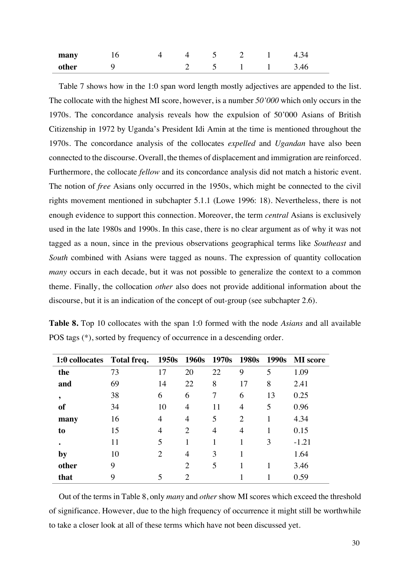| many  |  | . .           | <b>.</b> |      |
|-------|--|---------------|----------|------|
| other |  | $\sim$<br>. . | <b>.</b> | 3.46 |

Table 7 shows how in the 1:0 span word length mostly adjectives are appended to the list. The collocate with the highest MI score, however, is a number *50'000* which only occurs in the 1970s. The concordance analysis reveals how the expulsion of 50'000 Asians of British Citizenship in 1972 by Uganda's President Idi Amin at the time is mentioned throughout the 1970s. The concordance analysis of the collocates *expelled* and *Ugandan* have also been connected to the discourse. Overall, the themes of displacement and immigration are reinforced. Furthermore, the collocate *fellow* and its concordance analysis did not match a historic event. The notion of *free* Asians only occurred in the 1950s, which might be connected to the civil rights movement mentioned in subchapter 5.1.1 (Lowe 1996: 18). Nevertheless, there is not enough evidence to support this connection. Moreover, the term *central* Asians is exclusively used in the late 1980s and 1990s. In this case, there is no clear argument as of why it was not tagged as a noun, since in the previous observations geographical terms like *Southeast* and *South* combined with Asians were tagged as nouns. The expression of quantity collocation *many* occurs in each decade, but it was not possible to generalize the context to a common theme. Finally, the collocation *other* also does not provide additional information about the discourse, but it is an indication of the concept of out-group (see subchapter 2.6).

| 1:0 collocates Total freq. 1950s 1960s 1970s 1980s 1990s |    |                |                |                |                |    | <b>MI</b> score |
|----------------------------------------------------------|----|----------------|----------------|----------------|----------------|----|-----------------|
| the                                                      | 73 | 17             | 20             | 22             | 9              | 5  | 1.09            |
| and                                                      | 69 | 14             | 22             | 8              | 17             | 8  | 2.41            |
| ,                                                        | 38 | 6              | 6              | 7              | 6              | 13 | 0.25            |
| of                                                       | 34 | 10             | 4              | 11             | $\overline{4}$ | 5  | 0.96            |
| many                                                     | 16 | 4              | 4              | 5              | 2              |    | 4.34            |
| to                                                       | 15 | $\overline{4}$ | 2              | $\overline{4}$ | $\overline{4}$ |    | 0.15            |
| ٠                                                        | 11 | 5              | 1              |                |                | 3  | $-1.21$         |
| by                                                       | 10 | 2              | 4              | 3              |                |    | 1.64            |
| other                                                    | 9  |                | $\overline{2}$ | 5              |                |    | 3.46            |
|                                                          |    |                |                |                |                |    |                 |

**that** 9 5 2 1 1 0.59

**Table 8.** Top 10 collocates with the span 1:0 formed with the node *Asians* and all available POS tags (\*), sorted by frequency of occurrence in a descending order.

Out of the terms in Table 8, only *many* and *other* show MI scores which exceed the threshold of significance. However, due to the high frequency of occurrence it might still be worthwhile to take a closer look at all of these terms which have not been discussed yet.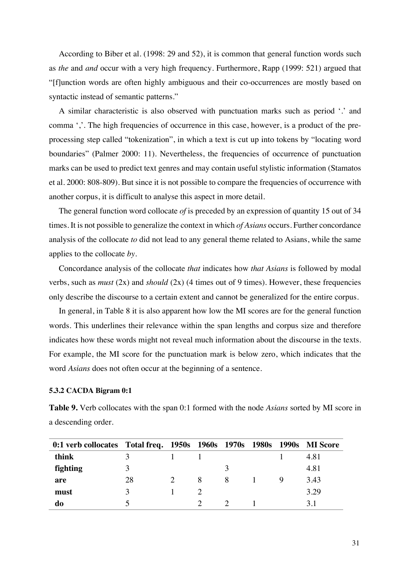According to Biber et al. (1998: 29 and 52), it is common that general function words such as *the* and *and* occur with a very high frequency. Furthermore, Rapp (1999: 521) argued that "[f]unction words are often highly ambiguous and their co-occurrences are mostly based on syntactic instead of semantic patterns."

A similar characteristic is also observed with punctuation marks such as period '.' and comma ','. The high frequencies of occurrence in this case, however, is a product of the preprocessing step called "tokenization", in which a text is cut up into tokens by "locating word boundaries" (Palmer 2000: 11). Nevertheless, the frequencies of occurrence of punctuation marks can be used to predict text genres and may contain useful stylistic information (Stamatos et al. 2000: 808-809). But since it is not possible to compare the frequencies of occurrence with another corpus, it is difficult to analyse this aspect in more detail.

The general function word collocate *of* is preceded by an expression of quantity 15 out of 34 times. It is not possible to generalize the context in which *of Asians* occurs. Further concordance analysis of the collocate *to* did not lead to any general theme related to Asians, while the same applies to the collocate *by*.

Concordance analysis of the collocate *that* indicates how *that Asians* is followed by modal verbs, such as *must* (2x) and *should* (2x) (4 times out of 9 times). However, these frequencies only describe the discourse to a certain extent and cannot be generalized for the entire corpus.

In general, in Table 8 it is also apparent how low the MI scores are for the general function words. This underlines their relevance within the span lengths and corpus size and therefore indicates how these words might not reveal much information about the discourse in the texts. For example, the MI score for the punctuation mark is below zero, which indicates that the word *Asians* does not often occur at the beginning of a sentence.

#### **5.3.2 CACDA Bigram 0:1**

**Table 9.** Verb collocates with the span 0:1 formed with the node *Asians* sorted by MI score in a descending order.

| 0:1 verb collocates Total freq. 1950s 1960s 1970s 1980s 1990s MI Score |    |   |   |  |      |
|------------------------------------------------------------------------|----|---|---|--|------|
| think                                                                  |    |   |   |  | 4.81 |
| fighting                                                               |    |   |   |  | 4.81 |
| are                                                                    | 28 | 8 | 8 |  | 3.43 |
| must                                                                   |    |   |   |  | 3.29 |
| do                                                                     |    |   |   |  | 3.1  |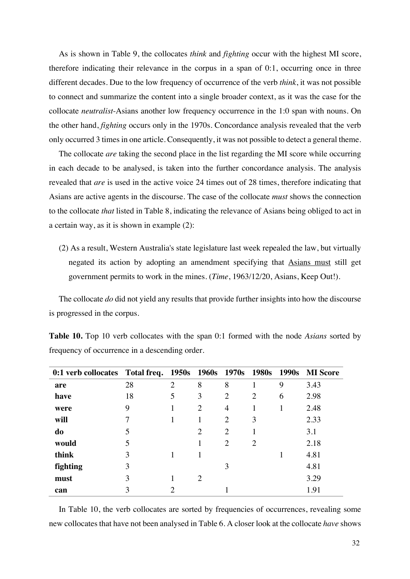As is shown in Table 9, the collocates *think* and *fighting* occur with the highest MI score, therefore indicating their relevance in the corpus in a span of 0:1, occurring once in three different decades. Due to the low frequency of occurrence of the verb *think*, it was not possible to connect and summarize the content into a single broader context, as it was the case for the collocate *neutralist*-Asians another low frequency occurrence in the 1:0 span with nouns. On the other hand, *fighting* occurs only in the 1970s. Concordance analysis revealed that the verb only occurred 3 times in one article. Consequently, it was not possible to detect a general theme.

The collocate *are* taking the second place in the list regarding the MI score while occurring in each decade to be analysed, is taken into the further concordance analysis. The analysis revealed that *are* is used in the active voice 24 times out of 28 times, therefore indicating that Asians are active agents in the discourse. The case of the collocate *must* shows the connection to the collocate *that* listed in Table 8, indicating the relevance of Asians being obliged to act in a certain way, as it is shown in example (2):

(2) As a result, Western Australia's state legislature last week repealed the law, but virtually negated its action by adopting an amendment specifying that Asians must still get government permits to work in the mines. (*Time*, 1963/12/20, Asians, Keep Out!).

The collocate *do* did not yield any results that provide further insights into how the discourse is progressed in the corpus.

| 0:1 verb collocates Total freq. 1950s 1960s 1970s 1980s 1990s |    |   |                       |                |                |   | <b>MI</b> Score |
|---------------------------------------------------------------|----|---|-----------------------|----------------|----------------|---|-----------------|
| are                                                           | 28 | 2 | 8                     | 8              |                | 9 | 3.43            |
| have                                                          | 18 | 5 | 3                     | 2              | $\overline{2}$ | 6 | 2.98            |
| were                                                          | 9  |   | $\overline{2}$        | 4              |                |   | 2.48            |
| will                                                          |    |   |                       | 2              | 3              |   | 2.33            |
| do                                                            | 5  |   | 2                     | $\overline{2}$ |                |   | 3.1             |
| would                                                         | 5  |   |                       | 2              | $\overline{2}$ |   | 2.18            |
| think                                                         | 3  |   |                       |                |                |   | 4.81            |
| fighting                                                      | 3  |   |                       | 3              |                |   | 4.81            |
| must                                                          | 3  |   | $\mathcal{D}_{\cdot}$ |                |                |   | 3.29            |
| can                                                           | 3  |   |                       |                |                |   | 1.91            |

**Table 10.** Top 10 verb collocates with the span 0:1 formed with the node *Asians* sorted by frequency of occurrence in a descending order.

In Table 10, the verb collocates are sorted by frequencies of occurrences, revealing some new collocates that have not been analysed in Table 6. A closer look at the collocate *have* shows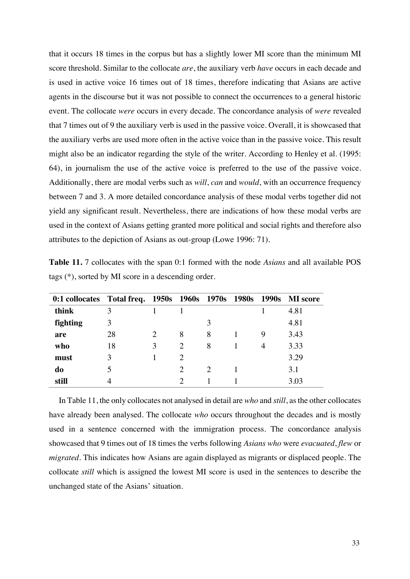that it occurs 18 times in the corpus but has a slightly lower MI score than the minimum MI score threshold. Similar to the collocate *are*, the auxiliary verb *have* occurs in each decade and is used in active voice 16 times out of 18 times, therefore indicating that Asians are active agents in the discourse but it was not possible to connect the occurrences to a general historic event. The collocate *were* occurs in every decade. The concordance analysis of *were* revealed that 7 times out of 9 the auxiliary verb is used in the passive voice. Overall, it is showcased that the auxiliary verbs are used more often in the active voice than in the passive voice. This result might also be an indicator regarding the style of the writer. According to Henley et al. (1995: 64), in journalism the use of the active voice is preferred to the use of the passive voice. Additionally, there are modal verbs such as *will*, *can* and *would*, with an occurrence frequency between 7 and 3. A more detailed concordance analysis of these modal verbs together did not yield any significant result. Nevertheless, there are indications of how these modal verbs are used in the context of Asians getting granted more political and social rights and therefore also attributes to the depiction of Asians as out-group (Lowe 1996: 71).

| 0:1 collocates Total freq. 1950s 1960s 1970s 1980s 1990s |    |                             |                             |                             |   | <b>MI</b> score |
|----------------------------------------------------------|----|-----------------------------|-----------------------------|-----------------------------|---|-----------------|
| think                                                    | 3  |                             |                             |                             |   | 4.81            |
| fighting                                                 | 3  |                             |                             |                             |   | 4.81            |
| are                                                      | 28 | $\mathcal{D}_{\mathcal{A}}$ | 8                           | 8                           | 9 | 3.43            |
| who                                                      | 18 | 3                           | 2                           | 8                           | 4 | 3.33            |
| must                                                     | 3  |                             | $\mathcal{D}_{\cdot}$       |                             |   | 3.29            |
| do                                                       |    |                             | $\mathcal{D}_{\mathcal{L}}$ | $\mathcal{D}_{\mathcal{L}}$ |   | 3.1             |
| still                                                    |    |                             |                             |                             |   | 3.03            |

**Table 11.** 7 collocates with the span 0:1 formed with the node *Asians* and all available POS tags (\*), sorted by MI score in a descending order.

In Table 11, the only collocates not analysed in detail are *who* and *still*, as the other collocates have already been analysed. The collocate *who* occurs throughout the decades and is mostly used in a sentence concerned with the immigration process. The concordance analysis showcased that 9 times out of 18 times the verbs following *Asians who* were *evacuated*, *flew* or *migrated*. This indicates how Asians are again displayed as migrants or displaced people. The collocate *still* which is assigned the lowest MI score is used in the sentences to describe the unchanged state of the Asians' situation.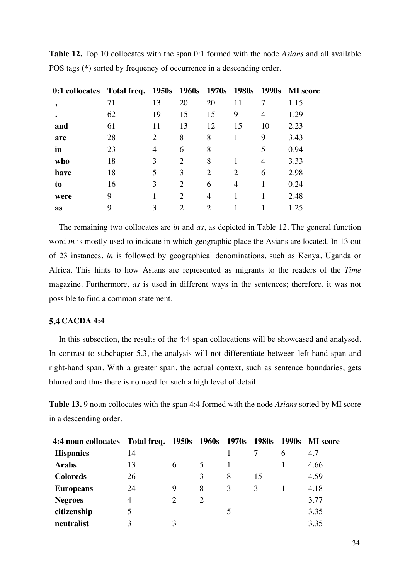| 0:1 collocates Total freq. 1950s 1960s 1970s 1980s 1990s |    |                          |                |                |    |                | <b>MI</b> score |
|----------------------------------------------------------|----|--------------------------|----------------|----------------|----|----------------|-----------------|
| ۰                                                        | 71 | 13                       | 20             | 20             | 11 | 7              | 1.15            |
|                                                          | 62 | 19                       | 15             | 15             | 9  | 4              | 1.29            |
| and                                                      | 61 | 11                       | 13             | 12             | 15 | 10             | 2.23            |
| are                                                      | 28 | 2                        | 8              | 8              |    | 9              | 3.43            |
| in                                                       | 23 | 4                        | 6              | 8              |    | 5              | 0.94            |
| who                                                      | 18 | 3                        | $\overline{2}$ | 8              |    | $\overline{4}$ | 3.33            |
| have                                                     | 18 | $\overline{\phantom{1}}$ | 3              | $\overline{2}$ | 2  | 6              | 2.98            |
| to                                                       | 16 | 3                        | 2              | 6              | 4  |                | 0.24            |
| were                                                     | 9  |                          | $\overline{2}$ | 4              |    |                | 2.48            |
| as                                                       | 9  | 3                        | $\overline{2}$ | $\overline{2}$ |    |                | 1.25            |

**Table 12.** Top 10 collocates with the span 0:1 formed with the node *Asians* and all available POS tags (\*) sorted by frequency of occurrence in a descending order.

The remaining two collocates are *in* and *as*, as depicted in Table 12. The general function word *in* is mostly used to indicate in which geographic place the Asians are located. In 13 out of 23 instances, *in* is followed by geographical denominations, such as Kenya, Uganda or Africa. This hints to how Asians are represented as migrants to the readers of the *Time*  magazine. Furthermore, *as* is used in different ways in the sentences; therefore, it was not possible to find a common statement.

#### **CACDA 4:4**

In this subsection, the results of the 4:4 span collocations will be showcased and analysed. In contrast to subchapter 5.3, the analysis will not differentiate between left-hand span and right-hand span. With a greater span, the actual context, such as sentence boundaries, gets blurred and thus there is no need for such a high level of detail.

**Table 13.** 9 noun collocates with the span 4:4 formed with the node *Asians* sorted by MI score in a descending order.

| 4:4 noun collocates Total freq. 1950s 1960s 1970s 1980s 1990s MI score |    |                             |                             |   |    |   |      |
|------------------------------------------------------------------------|----|-----------------------------|-----------------------------|---|----|---|------|
| <b>Hispanics</b>                                                       | 14 |                             |                             |   |    | 6 | 4.7  |
| <b>Arabs</b>                                                           | 13 | 6                           | 5                           |   |    |   | 4.66 |
| <b>Coloreds</b>                                                        | 26 |                             | 3                           | 8 | 15 |   | 4.59 |
| <b>Europeans</b>                                                       | 24 | 9                           | 8                           | 3 | 3  |   | 4.18 |
| <b>Negroes</b>                                                         | 4  | $\mathcal{D}_{\mathcal{A}}$ | $\mathcal{D}_{\mathcal{A}}$ |   |    |   | 3.77 |
| citizenship                                                            | 5  |                             |                             |   |    |   | 3.35 |
| neutralist                                                             | 3  |                             |                             |   |    |   | 3.35 |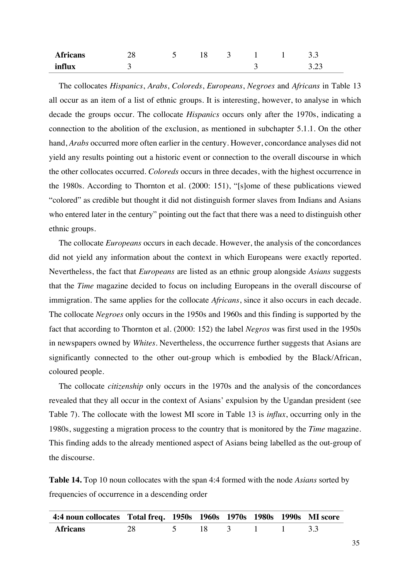| <b>Africans</b> | nε<br>۷C                 | ັ | 10 | ັ |   | <b>.</b> | . .<br>ຸນ . ມ |
|-----------------|--------------------------|---|----|---|---|----------|---------------|
| influx          | $\overline{\phantom{0}}$ |   |    |   | ~ |          | າ ລ<br>ن کے و |

The collocates *Hispanics*, *Arabs*, *Coloreds*, *Europeans*, *Negroes* and *Africans* in Table 13 all occur as an item of a list of ethnic groups. It is interesting, however, to analyse in which decade the groups occur. The collocate *Hispanics* occurs only after the 1970s, indicating a connection to the abolition of the exclusion, as mentioned in subchapter 5.1.1. On the other hand, *Arabs* occurred more often earlier in the century. However, concordance analyses did not yield any results pointing out a historic event or connection to the overall discourse in which the other collocates occurred. *Coloreds* occurs in three decades, with the highest occurrence in the 1980s. According to Thornton et al. (2000: 151), "[s]ome of these publications viewed "colored" as credible but thought it did not distinguish former slaves from Indians and Asians who entered later in the century" pointing out the fact that there was a need to distinguish other ethnic groups.

The collocate *Europeans* occurs in each decade. However, the analysis of the concordances did not yield any information about the context in which Europeans were exactly reported. Nevertheless, the fact that *Europeans* are listed as an ethnic group alongside *Asians* suggests that the *Time* magazine decided to focus on including Europeans in the overall discourse of immigration. The same applies for the collocate *Africans*, since it also occurs in each decade. The collocate *Negroes* only occurs in the 1950s and 1960s and this finding is supported by the fact that according to Thornton et al. (2000: 152) the label *Negros* was first used in the 1950s in newspapers owned by *Whites*. Nevertheless, the occurrence further suggests that Asians are significantly connected to the other out-group which is embodied by the Black/African, coloured people.

The collocate *citizenship* only occurs in the 1970s and the analysis of the concordances revealed that they all occur in the context of Asians' expulsion by the Ugandan president (see Table 7). The collocate with the lowest MI score in Table 13 is *influx*, occurring only in the 1980s, suggesting a migration process to the country that is monitored by the *Time* magazine. This finding adds to the already mentioned aspect of Asians being labelled as the out-group of the discourse.

**Table 14.** Top 10 noun collocates with the span 4:4 formed with the node *Asians* sorted by frequencies of occurrence in a descending order

| 4:4 noun collocates Total freq. 1950s 1960s 1970s 1980s 1990s MI score |  |  |  |  |
|------------------------------------------------------------------------|--|--|--|--|
| <b>Africans</b> 28 5 18 3 1 1 3.3                                      |  |  |  |  |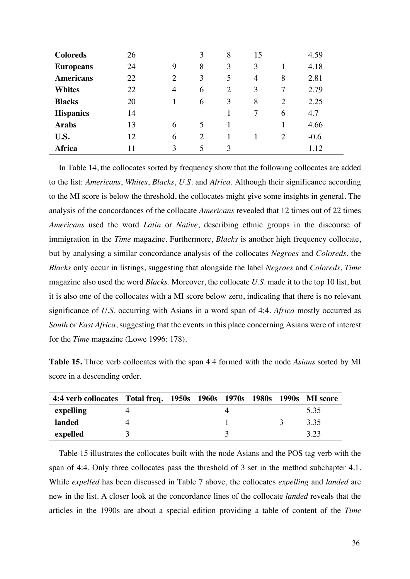| <b>Coloreds</b>  | 26 |                | 3                       | 8              | 15 |                | 4.59   |
|------------------|----|----------------|-------------------------|----------------|----|----------------|--------|
| <b>Europeans</b> | 24 | 9              | 8                       | 3              | 3  | 1              | 4.18   |
| <b>Americans</b> | 22 | $\overline{2}$ | 3                       | 5              | 4  | 8              | 2.81   |
| <b>Whites</b>    | 22 | $\overline{4}$ | 6                       | $\overline{2}$ | 3  | 7              | 2.79   |
| <b>Blacks</b>    | 20 |                | 6                       | 3              | 8  | $\overline{2}$ | 2.25   |
| <b>Hispanics</b> | 14 |                |                         |                |    | 6              | 4.7    |
| <b>Arabs</b>     | 13 | 6              | $\overline{5}$          |                |    | 1              | 4.66   |
| U.S.             | 12 | 6              | $\overline{2}$          |                |    | 2              | $-0.6$ |
| <b>Africa</b>    | 11 | 3              | $\overline{\mathbf{5}}$ | 3              |    |                | 1.12   |

In Table 14, the collocates sorted by frequency show that the following collocates are added to the list: *Americans*, *Whites*, *Blacks*, *U.S.* and *Africa*. Although their significance according to the MI score is below the threshold, the collocates might give some insights in general. The analysis of the concordances of the collocate *Americans* revealed that 12 times out of 22 times *Americans* used the word *Latin* or *Native*, describing ethnic groups in the discourse of immigration in the *Time* magazine. Furthermore, *Blacks* is another high frequency collocate, but by analysing a similar concordance analysis of the collocates *Negroes* and *Coloreds*, the *Blacks* only occur in listings, suggesting that alongside the label *Negroes* and *Coloreds*, *Time* magazine also used the word *Blacks*. Moreover, the collocate *U.S.* made it to the top 10 list, but it is also one of the collocates with a MI score below zero, indicating that there is no relevant significance of *U.S.* occurring with Asians in a word span of 4:4. *Africa* mostly occurred as *South* or *East Africa*, suggesting that the events in this place concerning Asians were of interest for the *Time* magazine (Lowe 1996: 178).

**Table 15.** Three verb collocates with the span 4:4 formed with the node *Asians* sorted by MI score in a descending order.

| 4:4 verb collocates Total freq. 1950s 1960s 1970s 1980s 1990s MI score |  |  |  |      |
|------------------------------------------------------------------------|--|--|--|------|
| expelling                                                              |  |  |  | 5.35 |
| landed                                                                 |  |  |  | 3.35 |
| expelled                                                               |  |  |  | 3.23 |

Table 15 illustrates the collocates built with the node Asians and the POS tag verb with the span of 4:4. Only three collocates pass the threshold of 3 set in the method subchapter 4.1. While *expelled* has been discussed in Table 7 above, the collocates *expelling* and *landed* are new in the list. A closer look at the concordance lines of the collocate *landed* reveals that the articles in the 1990s are about a special edition providing a table of content of the *Time*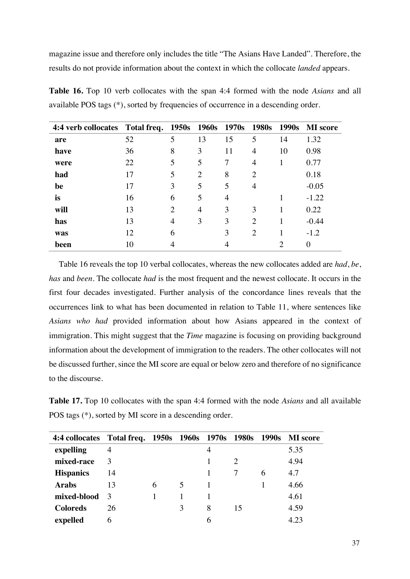magazine issue and therefore only includes the title "The Asians Have Landed". Therefore, the results do not provide information about the context in which the collocate *landed* appears.

| 4:4 verb collocates Total freq. 1950s 1960s 1970s 1980s |    |                |                |    |                | 1990s | <b>MI</b> score |
|---------------------------------------------------------|----|----------------|----------------|----|----------------|-------|-----------------|
| are                                                     | 52 | 5              | 13             | 15 | 5              | 14    | 1.32            |
| have                                                    | 36 | 8              | 3              | 11 | 4              | 10    | 0.98            |
| were                                                    | 22 | 5              | 5              | 7  | 4              | 1     | 0.77            |
| had                                                     | 17 | 5              | $\overline{2}$ | 8  | $\overline{2}$ |       | 0.18            |
| be                                                      | 17 | 3              | 5              | 5  | 4              |       | $-0.05$         |
| is                                                      | 16 | 6              | 5              | 4  |                |       | $-1.22$         |
| will                                                    | 13 | $\overline{2}$ | $\overline{4}$ | 3  | 3              |       | 0.22            |
| has                                                     | 13 | 4              | 3              | 3  | 2              |       | $-0.44$         |
| was                                                     | 12 | 6              |                | 3  | 2              |       | $-1.2$          |
| been                                                    | 10 | 4              |                |    |                | 2     | $\theta$        |

**Table 16.** Top 10 verb collocates with the span 4:4 formed with the node *Asians* and all available POS tags (\*), sorted by frequencies of occurrence in a descending order.

Table 16 reveals the top 10 verbal collocates, whereas the new collocates added are *had*, *be*, *has* and *been*. The collocate *had* is the most frequent and the newest collocate. It occurs in the first four decades investigated. Further analysis of the concordance lines reveals that the occurrences link to what has been documented in relation to Table 11, where sentences like *Asians who had* provided information about how Asians appeared in the context of immigration. This might suggest that the *Time* magazine is focusing on providing background information about the development of immigration to the readers. The other collocates will not be discussed further, since the MI score are equal or below zero and therefore of no significance to the discourse.

**Table 17.** Top 10 collocates with the span 4:4 formed with the node *Asians* and all available POS tags (\*), sorted by MI score in a descending order.

| 4:4 collocates Total freq. 1950s 1960s 1970s 1980s 1990s MI score |               |   |   |   |    |   |      |
|-------------------------------------------------------------------|---------------|---|---|---|----|---|------|
| expelling                                                         | 4             |   |   |   |    |   | 5.35 |
| mixed-race                                                        | 3             |   |   |   |    |   | 4.94 |
| <b>Hispanics</b>                                                  | 14            |   |   |   |    | 6 | 4.7  |
| <b>Arabs</b>                                                      | 13            | 6 | 5 |   |    |   | 4.66 |
| mixed-blood                                                       | $\mathcal{R}$ |   |   |   |    |   | 4.61 |
| <b>Coloreds</b>                                                   | 26            |   | 3 | 8 | 15 |   | 4.59 |
| expelled                                                          | 6             |   |   | 6 |    |   | 4.23 |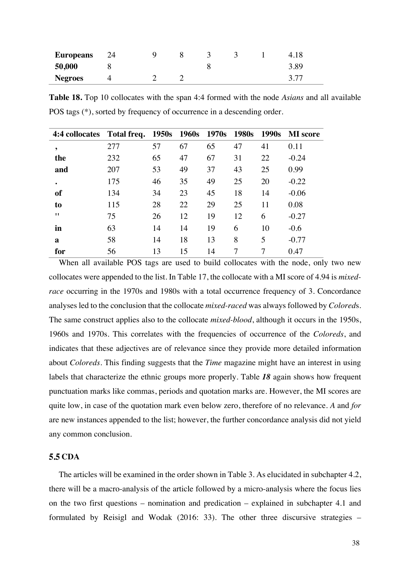| <b>Europeans</b> | 24 |  |  | 18   |
|------------------|----|--|--|------|
| 50,000           |    |  |  | 3.89 |
| <b>Negroes</b>   |    |  |  | 3 77 |

**Table 18.** Top 10 collocates with the span 4:4 formed with the node *Asians* and all available POS tags (\*), sorted by frequency of occurrence in a descending order.

| 4:4 collocates Total freq. 1950s 1960s 1970s 1980s |     |    |    |    |    | 1990s | <b>MI</b> score |
|----------------------------------------------------|-----|----|----|----|----|-------|-----------------|
| ,                                                  | 277 | 57 | 67 | 65 | 47 | 41    | 0.11            |
| the                                                | 232 | 65 | 47 | 67 | 31 | 22    | $-0.24$         |
| and                                                | 207 | 53 | 49 | 37 | 43 | 25    | 0.99            |
|                                                    | 175 | 46 | 35 | 49 | 25 | 20    | $-0.22$         |
| <b>of</b>                                          | 134 | 34 | 23 | 45 | 18 | 14    | $-0.06$         |
| to                                                 | 115 | 28 | 22 | 29 | 25 | 11    | 0.08            |
| $^{\prime\prime}$                                  | 75  | 26 | 12 | 19 | 12 | 6     | $-0.27$         |
| in                                                 | 63  | 14 | 14 | 19 | 6  | 10    | $-0.6$          |
| a                                                  | 58  | 14 | 18 | 13 | 8  | 5     | $-0.77$         |
| for                                                | 56  | 13 | 15 | 14 | 7  | 7     | 0.47            |

When all available POS tags are used to build collocates with the node, only two new collocates were appended to the list. In Table 17, the collocate with a MI score of 4.94 is *mixedrace* occurring in the 1970s and 1980s with a total occurrence frequency of 3. Concordance analyses led to the conclusion that the collocate *mixed-raced* was always followed by *Colored*s. The same construct applies also to the collocate *mixed-blood*, although it occurs in the 1950s, 1960s and 1970s. This correlates with the frequencies of occurrence of the *Coloreds*, and indicates that these adjectives are of relevance since they provide more detailed information about *Coloreds*. This finding suggests that the *Time* magazine might have an interest in using labels that characterize the ethnic groups more properly. Table 18 again shows how frequent punctuation marks like commas, periods and quotation marks are. However, the MI scores are quite low, in case of the quotation mark even below zero, therefore of no relevance. *A* and *for*  are new instances appended to the list; however, the further concordance analysis did not yield any common conclusion.

## 5.5 CDA

The articles will be examined in the order shown in Table 3. As elucidated in subchapter 4.2, there will be a macro-analysis of the article followed by a micro-analysis where the focus lies on the two first questions – nomination and predication – explained in subchapter 4.1 and formulated by Reisigl and Wodak (2016: 33). The other three discursive strategies –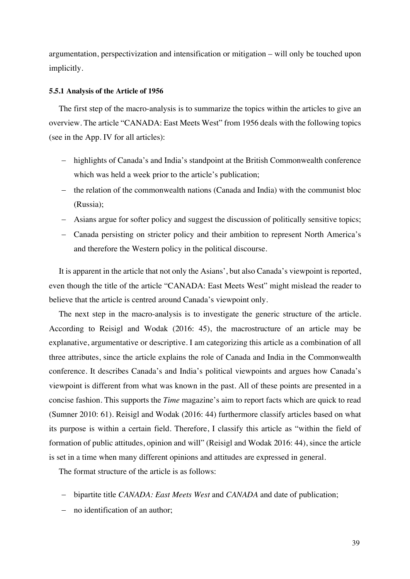argumentation, perspectivization and intensification or mitigation – will only be touched upon implicitly.

#### **5.5.1 Analysis of the Article of 1956**

The first step of the macro-analysis is to summarize the topics within the articles to give an overview. The article "CANADA: East Meets West" from 1956 deals with the following topics (see in the App. IV for all articles):

- highlights of Canada's and India's standpoint at the British Commonwealth conference which was held a week prior to the article's publication;
- the relation of the commonwealth nations (Canada and India) with the communist bloc (Russia);
- Asians argue for softer policy and suggest the discussion of politically sensitive topics;
- Canada persisting on stricter policy and their ambition to represent North America's and therefore the Western policy in the political discourse.

It is apparent in the article that not only the Asians', but also Canada's viewpoint is reported, even though the title of the article "CANADA: East Meets West" might mislead the reader to believe that the article is centred around Canada's viewpoint only.

The next step in the macro-analysis is to investigate the generic structure of the article. According to Reisigl and Wodak (2016: 45), the macrostructure of an article may be explanative, argumentative or descriptive. I am categorizing this article as a combination of all three attributes, since the article explains the role of Canada and India in the Commonwealth conference. It describes Canada's and India's political viewpoints and argues how Canada's viewpoint is different from what was known in the past. All of these points are presented in a concise fashion. This supports the *Time* magazine's aim to report facts which are quick to read (Sumner 2010: 61). Reisigl and Wodak (2016: 44) furthermore classify articles based on what its purpose is within a certain field. Therefore, I classify this article as "within the field of formation of public attitudes, opinion and will" (Reisigl and Wodak 2016: 44), since the article is set in a time when many different opinions and attitudes are expressed in general.

The format structure of the article is as follows:

- bipartite title *CANADA: East Meets West* and *CANADA* and date of publication;
- no identification of an author;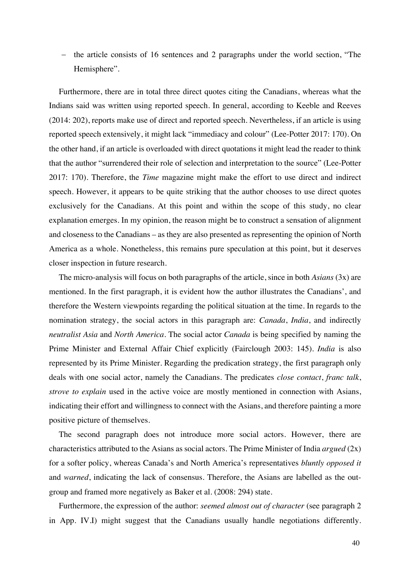- the article consists of 16 sentences and 2 paragraphs under the world section, "The Hemisphere".

Furthermore, there are in total three direct quotes citing the Canadians, whereas what the Indians said was written using reported speech. In general, according to Keeble and Reeves (2014: 202), reports make use of direct and reported speech. Nevertheless, if an article is using reported speech extensively, it might lack "immediacy and colour" (Lee-Potter 2017: 170). On the other hand, if an article is overloaded with direct quotations it might lead the reader to think that the author "surrendered their role of selection and interpretation to the source" (Lee-Potter 2017: 170). Therefore, the *Time* magazine might make the effort to use direct and indirect speech. However, it appears to be quite striking that the author chooses to use direct quotes exclusively for the Canadians. At this point and within the scope of this study, no clear explanation emerges. In my opinion, the reason might be to construct a sensation of alignment and closeness to the Canadians – as they are also presented as representing the opinion of North America as a whole. Nonetheless, this remains pure speculation at this point, but it deserves closer inspection in future research.

The micro-analysis will focus on both paragraphs of the article, since in both *Asians* (3x) are mentioned. In the first paragraph, it is evident how the author illustrates the Canadians', and therefore the Western viewpoints regarding the political situation at the time. In regards to the nomination strategy, the social actors in this paragraph are: *Canada*, *India*, and indirectly *neutralist Asia* and *North America*. The social actor *Canada* is being specified by naming the Prime Minister and External Affair Chief explicitly (Fairclough 2003: 145). *India* is also represented by its Prime Minister. Regarding the predication strategy, the first paragraph only deals with one social actor, namely the Canadians. The predicates *close contact*, *franc talk*, *strove to explain* used in the active voice are mostly mentioned in connection with Asians, indicating their effort and willingness to connect with the Asians, and therefore painting a more positive picture of themselves.

The second paragraph does not introduce more social actors. However, there are characteristics attributed to the Asians as social actors. The Prime Minister of India *argued* (2x) for a softer policy, whereas Canada's and North America's representatives *bluntly opposed it* and *warned*, indicating the lack of consensus. Therefore, the Asians are labelled as the outgroup and framed more negatively as Baker et al. (2008: 294) state.

Furthermore, the expression of the author: *seemed almost out of character* (see paragraph 2 in App. IV.I) might suggest that the Canadians usually handle negotiations differently.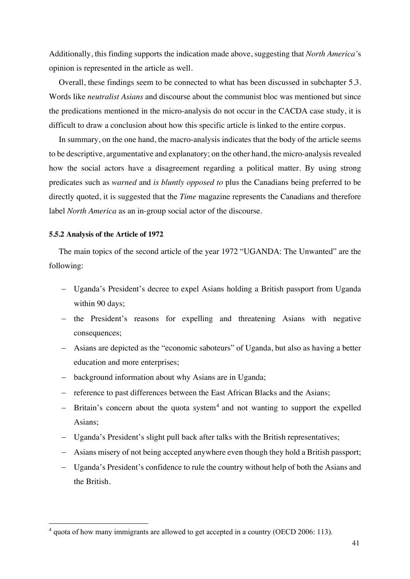Additionally, this finding supports the indication made above, suggesting that *North America'*s opinion is represented in the article as well.

Overall, these findings seem to be connected to what has been discussed in subchapter 5.3. Words like *neutralist Asians* and discourse about the communist bloc was mentioned but since the predications mentioned in the micro-analysis do not occur in the CACDA case study, it is difficult to draw a conclusion about how this specific article is linked to the entire corpus.

In summary, on the one hand, the macro-analysis indicates that the body of the article seems to be descriptive, argumentative and explanatory; on the other hand, the micro-analysis revealed how the social actors have a disagreement regarding a political matter. By using strong predicates such as *warned* and *is bluntly opposed to* plus the Canadians being preferred to be directly quoted, it is suggested that the *Time* magazine represents the Canadians and therefore label *North America* as an in-group social actor of the discourse.

#### **5.5.2 Analysis of the Article of 1972**

The main topics of the second article of the year 1972 "UGANDA: The Unwanted" are the following:

- Uganda's President's decree to expel Asians holding a British passport from Uganda within 90 days;
- the President's reasons for expelling and threatening Asians with negative consequences;
- Asians are depicted as the "economic saboteurs" of Uganda, but also as having a better education and more enterprises;
- background information about why Asians are in Uganda;
- reference to past differences between the East African Blacks and the Asians;
- $-$  Britain's concern about the quota system<sup>4</sup> and not wanting to support the expelled Asians;
- Uganda's President's slight pull back after talks with the British representatives;
- Asians misery of not being accepted anywhere even though they hold a British passport;
- Uganda's President's confidence to rule the country without help of both the Asians and the British.

<sup>&</sup>lt;sup>4</sup> quota of how many immigrants are allowed to get accepted in a country (OECD 2006: 113).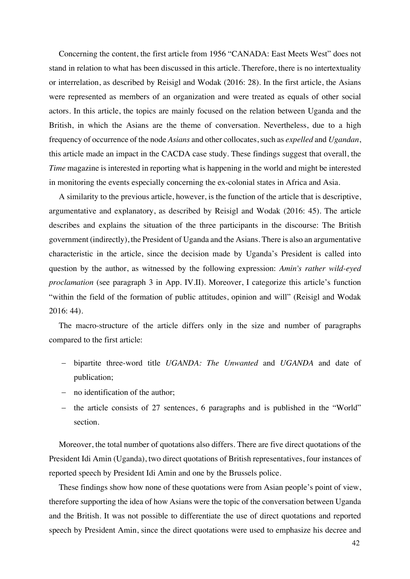Concerning the content, the first article from 1956 "CANADA: East Meets West" does not stand in relation to what has been discussed in this article. Therefore, there is no intertextuality or interrelation, as described by Reisigl and Wodak (2016: 28). In the first article, the Asians were represented as members of an organization and were treated as equals of other social actors. In this article, the topics are mainly focused on the relation between Uganda and the British, in which the Asians are the theme of conversation. Nevertheless, due to a high frequency of occurrence of the node *Asians* and other collocates, such as *expelled* and *Ugandan*, this article made an impact in the CACDA case study. These findings suggest that overall, the *Time* magazine is interested in reporting what is happening in the world and might be interested in monitoring the events especially concerning the ex-colonial states in Africa and Asia.

A similarity to the previous article, however, is the function of the article that is descriptive, argumentative and explanatory, as described by Reisigl and Wodak (2016: 45). The article describes and explains the situation of the three participants in the discourse: The British government (indirectly), the President of Uganda and the Asians. There is also an argumentative characteristic in the article, since the decision made by Uganda's President is called into question by the author, as witnessed by the following expression: *Amin's rather wild-eyed proclamation* (see paragraph 3 in App. IV.II). Moreover, I categorize this article's function "within the field of the formation of public attitudes, opinion and will" (Reisigl and Wodak 2016: 44).

The macro-structure of the article differs only in the size and number of paragraphs compared to the first article:

- bipartite three-word title *UGANDA: The Unwanted* and *UGANDA* and date of publication;
- no identification of the author;
- the article consists of 27 sentences, 6 paragraphs and is published in the "World" section.

Moreover, the total number of quotations also differs. There are five direct quotations of the President Idi Amin (Uganda), two direct quotations of British representatives, four instances of reported speech by President Idi Amin and one by the Brussels police.

These findings show how none of these quotations were from Asian people's point of view, therefore supporting the idea of how Asians were the topic of the conversation between Uganda and the British. It was not possible to differentiate the use of direct quotations and reported speech by President Amin, since the direct quotations were used to emphasize his decree and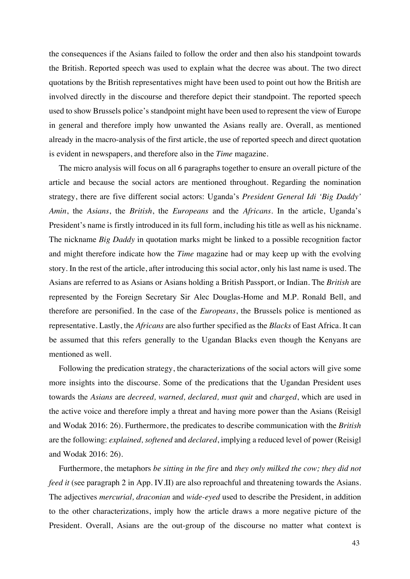the consequences if the Asians failed to follow the order and then also his standpoint towards the British. Reported speech was used to explain what the decree was about. The two direct quotations by the British representatives might have been used to point out how the British are involved directly in the discourse and therefore depict their standpoint. The reported speech used to show Brussels police's standpoint might have been used to represent the view of Europe in general and therefore imply how unwanted the Asians really are. Overall, as mentioned already in the macro-analysis of the first article, the use of reported speech and direct quotation is evident in newspapers, and therefore also in the *Time* magazine.

The micro analysis will focus on all 6 paragraphs together to ensure an overall picture of the article and because the social actors are mentioned throughout. Regarding the nomination strategy, there are five different social actors: Uganda's *President General Idi 'Big Daddy' Amin*, the *Asians*, the *British*, the *Europeans* and the *Africans*. In the article, Uganda's President's name is firstly introduced in its full form, including his title as well as his nickname. The nickname *Big Daddy* in quotation marks might be linked to a possible recognition factor and might therefore indicate how the *Time* magazine had or may keep up with the evolving story. In the rest of the article, after introducing this social actor, only his last name is used. The Asians are referred to as Asians or Asians holding a British Passport, or Indian. The *British* are represented by the Foreign Secretary Sir Alec Douglas-Home and M.P. Ronald Bell, and therefore are personified. In the case of the *Europeans*, the Brussels police is mentioned as representative. Lastly, the *Africans* are also further specified as the *Blacks* of East Africa. It can be assumed that this refers generally to the Ugandan Blacks even though the Kenyans are mentioned as well.

Following the predication strategy, the characterizations of the social actors will give some more insights into the discourse. Some of the predications that the Ugandan President uses towards the *Asians* are *decreed, warned, declared, must quit* and *charged*, which are used in the active voice and therefore imply a threat and having more power than the Asians (Reisigl and Wodak 2016: 26). Furthermore, the predicates to describe communication with the *British* are the following: *explained, softened* and *declared*, implying a reduced level of power (Reisigl and Wodak 2016: 26).

Furthermore, the metaphors *be sitting in the fire* and *they only milked the cow; they did not feed it* (see paragraph 2 in App. IV.II) are also reproachful and threatening towards the Asians. The adjectives *mercurial, draconian* and *wide-eyed* used to describe the President, in addition to the other characterizations, imply how the article draws a more negative picture of the President. Overall, Asians are the out-group of the discourse no matter what context is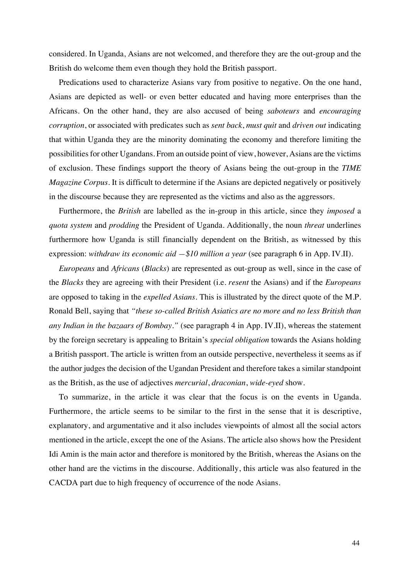considered. In Uganda, Asians are not welcomed, and therefore they are the out-group and the British do welcome them even though they hold the British passport.

Predications used to characterize Asians vary from positive to negative. On the one hand, Asians are depicted as well- or even better educated and having more enterprises than the Africans. On the other hand, they are also accused of being *saboteurs* and *encouraging corruption*, or associated with predicates such as *sent back*, *must quit* and *driven out* indicating that within Uganda they are the minority dominating the economy and therefore limiting the possibilities for other Ugandans. From an outside point of view, however, Asians are the victims of exclusion. These findings support the theory of Asians being the out-group in the *TIME Magazine Corpus*. It is difficult to determine if the Asians are depicted negatively or positively in the discourse because they are represented as the victims and also as the aggressors.

Furthermore, the *British* are labelled as the in-group in this article, since they *imposed* a *quota system* and *prodding* the President of Uganda. Additionally, the noun *threat* underlines furthermore how Uganda is still financially dependent on the British, as witnessed by this expression: *withdraw its economic aid —\$10 million a year* (see paragraph 6 in App. IV.II).

*Europeans* and *Africans* (*Blacks*) are represented as out-group as well, since in the case of the *Blacks* they are agreeing with their President (i.e. *resent* the Asians) and if the *Europeans* are opposed to taking in the *expelled Asians*. This is illustrated by the direct quote of the M.P. Ronald Bell, saying that *"these so-called British Asiatics are no more and no less British than any Indian in the bazaars of Bombay."* (see paragraph 4 in App. IV.II), whereas the statement by the foreign secretary is appealing to Britain's *special obligation* towards the Asians holding a British passport. The article is written from an outside perspective, nevertheless it seems as if the author judges the decision of the Ugandan President and therefore takes a similar standpoint as the British, as the use of adjectives *mercurial*, *draconian*, *wide-eyed* show.

To summarize, in the article it was clear that the focus is on the events in Uganda. Furthermore, the article seems to be similar to the first in the sense that it is descriptive, explanatory, and argumentative and it also includes viewpoints of almost all the social actors mentioned in the article, except the one of the Asians. The article also shows how the President Idi Amin is the main actor and therefore is monitored by the British, whereas the Asians on the other hand are the victims in the discourse. Additionally, this article was also featured in the CACDA part due to high frequency of occurrence of the node Asians.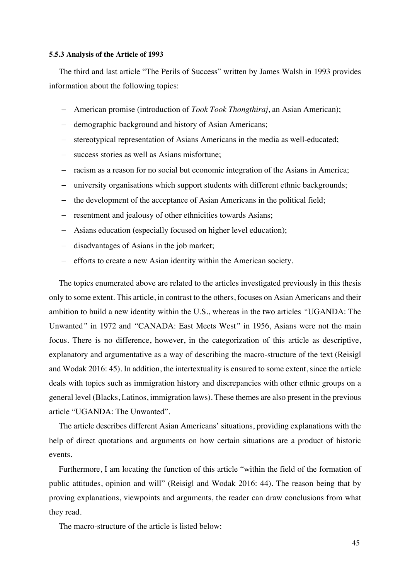#### **5.5.3 Analysis of the Article of 1993**

The third and last article "The Perils of Success" written by James Walsh in 1993 provides information about the following topics:

- American promise (introduction of *Took Took Thongthiraj*, an Asian American);
- demographic background and history of Asian Americans;
- stereotypical representation of Asians Americans in the media as well-educated;
- success stories as well as Asians misfortune;
- racism as a reason for no social but economic integration of the Asians in America;
- university organisations which support students with different ethnic backgrounds;
- the development of the acceptance of Asian Americans in the political field;
- resentment and jealousy of other ethnicities towards Asians;
- Asians education (especially focused on higher level education);
- disadvantages of Asians in the job market;
- efforts to create a new Asian identity within the American society.

The topics enumerated above are related to the articles investigated previously in this thesis only to some extent. This article, in contrast to the others, focuses on Asian Americans and their ambition to build a new identity within the U.S., whereas in the two articles *"*UGANDA: The Unwanted*"* in 1972 and *"*CANADA: East Meets West*"* in 1956, Asians were not the main focus. There is no difference, however, in the categorization of this article as descriptive, explanatory and argumentative as a way of describing the macro-structure of the text (Reisigl and Wodak 2016: 45). In addition, the intertextuality is ensured to some extent, since the article deals with topics such as immigration history and discrepancies with other ethnic groups on a general level (Blacks, Latinos, immigration laws). These themes are also present in the previous article "UGANDA: The Unwanted".

The article describes different Asian Americans' situations, providing explanations with the help of direct quotations and arguments on how certain situations are a product of historic events.

Furthermore, I am locating the function of this article "within the field of the formation of public attitudes, opinion and will" (Reisigl and Wodak 2016: 44). The reason being that by proving explanations, viewpoints and arguments, the reader can draw conclusions from what they read.

The macro-structure of the article is listed below: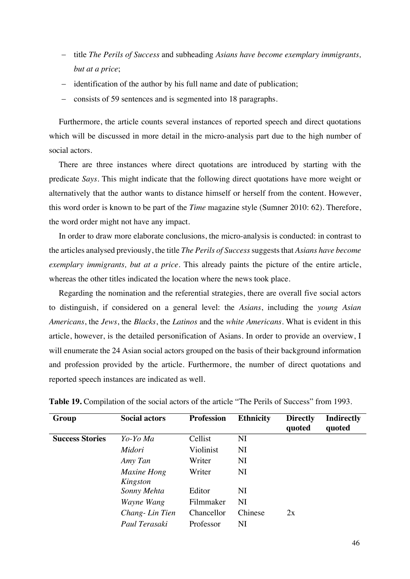- title *The Perils of Success* and subheading *Asians have become exemplary immigrants, but at a price*;
- identification of the author by his full name and date of publication;
- consists of 59 sentences and is segmented into 18 paragraphs.

Furthermore, the article counts several instances of reported speech and direct quotations which will be discussed in more detail in the micro-analysis part due to the high number of social actors.

There are three instances where direct quotations are introduced by starting with the predicate *Says*. This might indicate that the following direct quotations have more weight or alternatively that the author wants to distance himself or herself from the content. However, this word order is known to be part of the *Time* magazine style (Sumner 2010: 62). Therefore, the word order might not have any impact.

In order to draw more elaborate conclusions, the micro-analysis is conducted: in contrast to the articles analysed previously, the title *The Perils of Success*suggests that *Asians have become exemplary immigrants, but at a price*. This already paints the picture of the entire article, whereas the other titles indicated the location where the news took place.

Regarding the nomination and the referential strategies, there are overall five social actors to distinguish, if considered on a general level: the *Asians*, including the *young Asian Americans*, the *Jews*, the *Blacks*, the *Latinos* and the *white Americans*. What is evident in this article, however, is the detailed personification of Asians. In order to provide an overview, I will enumerate the 24 Asian social actors grouped on the basis of their background information and profession provided by the article. Furthermore, the number of direct quotations and reported speech instances are indicated as well.

| Group                  | <b>Social actors</b>    | <b>Profession</b> | <b>Ethnicity</b> | <b>Directly</b><br>quoted | <b>Indirectly</b><br>quoted |
|------------------------|-------------------------|-------------------|------------------|---------------------------|-----------------------------|
| <b>Success Stories</b> | Yo-Yo Ma                | Cellist           | NI               |                           |                             |
|                        | Midori                  | Violinist         | NI               |                           |                             |
|                        | Amy Tan                 | Writer            | NI               |                           |                             |
|                        | Maxine Hong<br>Kingston | Writer            | NI               |                           |                             |
|                        | Sonny Mehta             | Editor            | NI               |                           |                             |
|                        | Wayne Wang              | Filmmaker         | NI               |                           |                             |
|                        | Chang-Lin Tien          | Chancellor        | Chinese          | 2x                        |                             |
|                        | Paul Terasaki           | Professor         | NI               |                           |                             |

**Table 19.** Compilation of the social actors of the article "The Perils of Success" from 1993.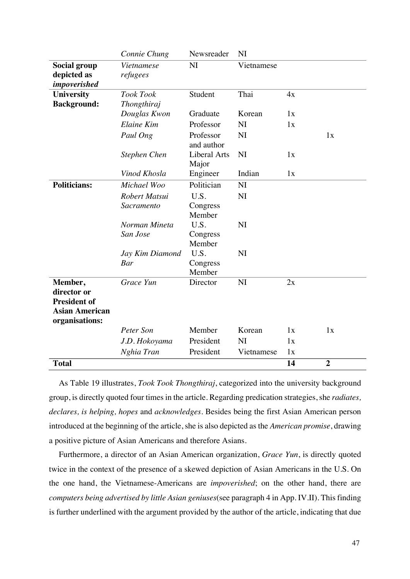|                                                                        | Connie Chung                  | Newsreader                   | NI         |    |                |  |
|------------------------------------------------------------------------|-------------------------------|------------------------------|------------|----|----------------|--|
| Social group<br>depicted as<br>impoverished                            | <b>Vietnamese</b><br>refugees | NI                           | Vietnamese |    |                |  |
| <b>University</b>                                                      | <b>Took Took</b>              | Student                      | Thai       | 4x |                |  |
| <b>Background:</b>                                                     | <b>Thongthiraj</b>            |                              |            |    |                |  |
|                                                                        | Douglas Kwon                  | Graduate                     | Korean     | 1x |                |  |
|                                                                        | Elaine Kim                    | Professor                    | NI         | 1x |                |  |
|                                                                        | Paul Ong                      | Professor<br>and author      | NI         |    | 1x             |  |
|                                                                        | <b>Stephen Chen</b>           | <b>Liberal Arts</b><br>Major | NI         | 1x |                |  |
|                                                                        | Vinod Khosla                  | Engineer                     | Indian     | 1x |                |  |
| <b>Politicians:</b>                                                    | Michael Woo                   | Politician                   | NI         |    |                |  |
|                                                                        | Robert Matsui                 | U.S.                         | <b>NI</b>  |    |                |  |
|                                                                        | Sacramento                    | Congress                     |            |    |                |  |
|                                                                        |                               | Member                       |            |    |                |  |
|                                                                        | Norman Mineta                 | U.S.                         | NI         |    |                |  |
|                                                                        | San Jose                      | Congress                     |            |    |                |  |
|                                                                        |                               | Member                       |            |    |                |  |
|                                                                        | Jay Kim Diamond<br>Bar        | U.S.                         | NI         |    |                |  |
|                                                                        |                               | Congress<br>Member           |            |    |                |  |
| Member,<br>director or<br><b>President of</b><br><b>Asian American</b> | Grace Yun                     | Director                     | NI         | 2x |                |  |
| organisations:                                                         |                               |                              |            |    |                |  |
|                                                                        | Peter Son                     | Member                       | Korean     | 1x | 1x             |  |
|                                                                        | J.D. Hokoyama                 | President                    | NI         | 1x |                |  |
|                                                                        | Nghia Tran                    | President                    | Vietnamese | 1x |                |  |
| <b>Total</b>                                                           |                               |                              |            | 14 | $\overline{2}$ |  |

As Table 19 illustrates, *Took Took Thongthiraj*, categorized into the university background group, is directly quoted four times in the article. Regarding predication strategies, she *radiates, declares, is helping, hopes* and *acknowledges*. Besides being the first Asian American person introduced at the beginning of the article, she is also depicted as the *American promise*, drawing a positive picture of Asian Americans and therefore Asians.

Furthermore, a director of an Asian American organization, *Grace Yun*, is directly quoted twice in the context of the presence of a skewed depiction of Asian Americans in the U.S. On the one hand, the Vietnamese-Americans are *impoverished*; on the other hand, there are *computers being advertised by little Asian geniuses*(see paragraph 4 in App. IV.II). This finding is further underlined with the argument provided by the author of the article, indicating that due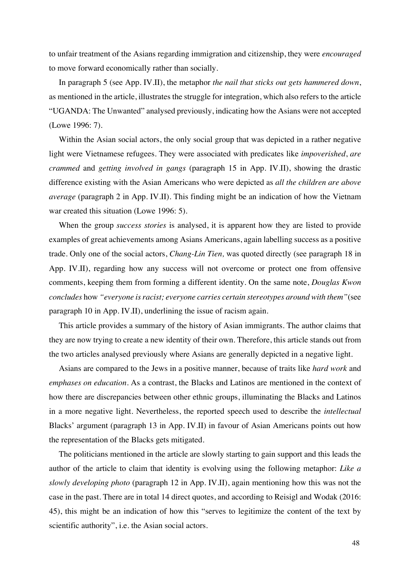to unfair treatment of the Asians regarding immigration and citizenship, they were *encouraged* to move forward economically rather than socially.

In paragraph 5 (see App. IV.II), the metaphor *the nail that sticks out gets hammered down*, as mentioned in the article, illustrates the struggle for integration, which also refers to the article "UGANDA: The Unwanted" analysed previously, indicating how the Asians were not accepted (Lowe 1996: 7).

Within the Asian social actors, the only social group that was depicted in a rather negative light were Vietnamese refugees. They were associated with predicates like *impoverished*, *are crammed* and *getting involved in gangs* (paragraph 15 in App. IV.II), showing the drastic difference existing with the Asian Americans who were depicted as *all the children are above average* (paragraph 2 in App. IV.II). This finding might be an indication of how the Vietnam war created this situation (Lowe 1996: 5).

When the group *success stories* is analysed, it is apparent how they are listed to provide examples of great achievements among Asians Americans, again labelling success as a positive trade. Only one of the social actors, *Chang-Lin Tien,* was quoted directly (see paragraph 18 in App. IV.II), regarding how any success will not overcome or protect one from offensive comments, keeping them from forming a different identity. On the same note, *Douglas Kwon concludes* how *"everyone isracist; everyone carries certain stereotypes around with them"*(see paragraph 10 in App. IV.II), underlining the issue of racism again.

This article provides a summary of the history of Asian immigrants. The author claims that they are now trying to create a new identity of their own. Therefore, this article stands out from the two articles analysed previously where Asians are generally depicted in a negative light.

Asians are compared to the Jews in a positive manner, because of traits like *hard work* and *emphases on education*. As a contrast, the Blacks and Latinos are mentioned in the context of how there are discrepancies between other ethnic groups, illuminating the Blacks and Latinos in a more negative light. Nevertheless, the reported speech used to describe the *intellectual* Blacks' argument (paragraph 13 in App. IV.II) in favour of Asian Americans points out how the representation of the Blacks gets mitigated.

The politicians mentioned in the article are slowly starting to gain support and this leads the author of the article to claim that identity is evolving using the following metaphor: *Like a slowly developing photo* (paragraph 12 in App. IV.II), again mentioning how this was not the case in the past. There are in total 14 direct quotes, and according to Reisigl and Wodak (2016: 45), this might be an indication of how this "serves to legitimize the content of the text by scientific authority", i.e. the Asian social actors.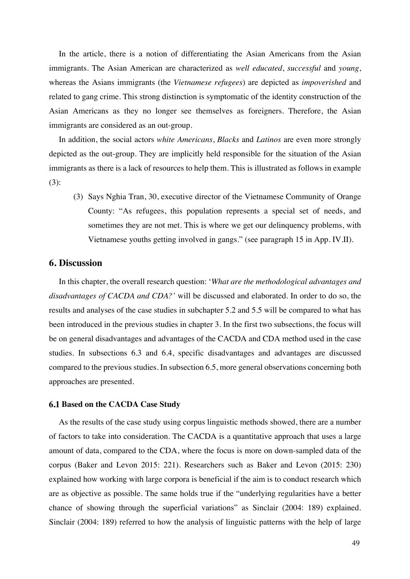In the article, there is a notion of differentiating the Asian Americans from the Asian immigrants. The Asian American are characterized as *well educated*, *successful* and *young*, whereas the Asians immigrants (the *Vietnamese refugees*) are depicted as *impoverished* and related to gang crime. This strong distinction is symptomatic of the identity construction of the Asian Americans as they no longer see themselves as foreigners. Therefore, the Asian immigrants are considered as an out-group.

In addition, the social actors *white Americans*, *Blacks* and *Latinos* are even more strongly depicted as the out-group. They are implicitly held responsible for the situation of the Asian immigrants as there is a lack of resources to help them. This is illustrated as follows in example (3):

(3) Says Nghia Tran, 30, executive director of the Vietnamese Community of Orange County: "As refugees, this population represents a special set of needs, and sometimes they are not met. This is where we get our delinquency problems, with Vietnamese youths getting involved in gangs." (see paragraph 15 in App. IV.II).

## **6. Discussion**

In this chapter, the overall research question: '*What are the methodological advantages and disadvantages of CACDA and CDA?'* will be discussed and elaborated. In order to do so, the results and analyses of the case studies in subchapter 5.2 and 5.5 will be compared to what has been introduced in the previous studies in chapter 3. In the first two subsections, the focus will be on general disadvantages and advantages of the CACDA and CDA method used in the case studies. In subsections 6.3 and 6.4, specific disadvantages and advantages are discussed compared to the previous studies. In subsection 6.5, more general observations concerning both approaches are presented.

#### **Based on the CACDA Case Study**

As the results of the case study using corpus linguistic methods showed, there are a number of factors to take into consideration. The CACDA is a quantitative approach that uses a large amount of data, compared to the CDA, where the focus is more on down-sampled data of the corpus (Baker and Levon 2015: 221). Researchers such as Baker and Levon (2015: 230) explained how working with large corpora is beneficial if the aim is to conduct research which are as objective as possible. The same holds true if the "underlying regularities have a better chance of showing through the superficial variations" as Sinclair (2004: 189) explained. Sinclair (2004: 189) referred to how the analysis of linguistic patterns with the help of large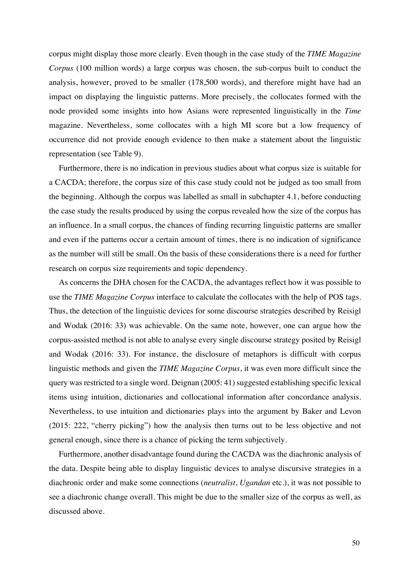corpus might display those more clearly. Even though in the case study of the *TIME Magazine Corpus* (100 million words) a large corpus was chosen, the sub-corpus built to conduct the analysis, however, proved to be smaller (178,500 words), and therefore might have had an impact on displaying the linguistic patterns. More precisely, the collocates formed with the node provided some insights into how Asians were represented linguistically in the *Time* magazine. Nevertheless, some collocates with a high MI score but a low frequency of occurrence did not provide enough evidence to then make a statement about the linguistic representation (see Table 9).

Furthermore, there is no indication in previous studies about what corpus size is suitable for a CACDA; therefore, the corpus size of this case study could not be judged as too small from the beginning. Although the corpus was labelled as small in subchapter 4.1, before conducting the case study the results produced by using the corpus revealed how the size of the corpus has an influence. In a small corpus, the chances of finding recurring linguistic patterns are smaller and even if the patterns occur a certain amount of times, there is no indication of significance as the number will still be small. On the basis of these considerations there is a need for further research on corpus size requirements and topic dependency.

As concerns the DHA chosen for the CACDA, the advantages reflect how it was possible to use the *TIME Magazine Corpus* interface to calculate the collocates with the help of POS tags. Thus, the detection of the linguistic devices for some discourse strategies described by Reisigl and Wodak (2016: 33) was achievable. On the same note, however, one can argue how the corpus-assisted method is not able to analyse every single discourse strategy posited by Reisigl and Wodak (2016: 33). For instance, the disclosure of metaphors is difficult with corpus linguistic methods and given the *TIME Magazine Corpus*, it was even more difficult since the query was restricted to a single word. Deignan (2005: 41) suggested establishing specific lexical items using intuition, dictionaries and collocational information after concordance analysis. Nevertheless, to use intuition and dictionaries plays into the argument by Baker and Levon (2015: 222, "cherry picking") how the analysis then turns out to be less objective and not general enough, since there is a chance of picking the term subjectively.

Furthermore, another disadvantage found during the CACDA was the diachronic analysis of the data. Despite being able to display linguistic devices to analyse discursive strategies in a diachronic order and make some connections (*neutralist*, *Ugandan* etc.), it was not possible to see a diachronic change overall. This might be due to the smaller size of the corpus as well, as discussed above.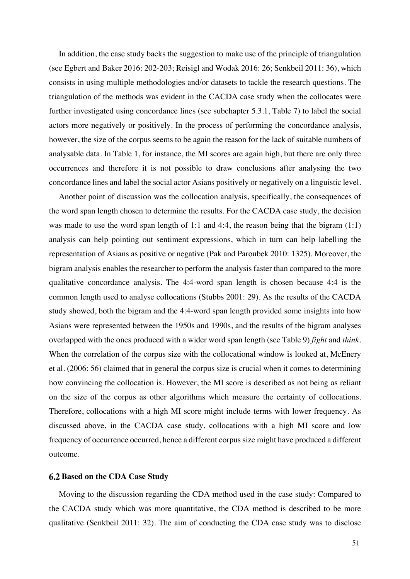In addition, the case study backs the suggestion to make use of the principle of triangulation (see Egbert and Baker 2016: 202-203; Reisigl and Wodak 2016: 26; Senkbeil 2011: 36), which consists in using multiple methodologies and/or datasets to tackle the research questions. The triangulation of the methods was evident in the CACDA case study when the collocates were further investigated using concordance lines (see subchapter 5.3.1, Table 7) to label the social actors more negatively or positively. In the process of performing the concordance analysis, however, the size of the corpus seems to be again the reason for the lack of suitable numbers of analysable data. In Table 1, for instance, the MI scores are again high, but there are only three occurrences and therefore it is not possible to draw conclusions after analysing the two concordance lines and label the social actor Asians positively or negatively on a linguistic level.

Another point of discussion was the collocation analysis, specifically, the consequences of the word span length chosen to determine the results. For the CACDA case study, the decision was made to use the word span length of 1:1 and 4:4, the reason being that the bigram  $(1:1)$ analysis can help pointing out sentiment expressions, which in turn can help labelling the representation of Asians as positive or negative (Pak and Paroubek 2010: 1325). Moreover, the bigram analysis enables the researcher to perform the analysis faster than compared to the more qualitative concordance analysis. The 4:4-word span length is chosen because 4:4 is the common length used to analyse collocations (Stubbs 2001: 29). As the results of the CACDA study showed, both the bigram and the 4:4-word span length provided some insights into how Asians were represented between the 1950s and 1990s, and the results of the bigram analyses overlapped with the ones produced with a wider word span length (see Table 9) *fight* and *think*. When the correlation of the corpus size with the collocational window is looked at, McEnery et al. (2006: 56) claimed that in general the corpus size is crucial when it comes to determining how convincing the collocation is. However, the MI score is described as not being as reliant on the size of the corpus as other algorithms which measure the certainty of collocations. Therefore, collocations with a high MI score might include terms with lower frequency. As discussed above, in the CACDA case study, collocations with a high MI score and low frequency of occurrence occurred, hence a different corpus size might have produced a different outcome.

#### **Based on the CDA Case Study**

Moving to the discussion regarding the CDA method used in the case study: Compared to the CACDA study which was more quantitative, the CDA method is described to be more qualitative (Senkbeil 2011: 32). The aim of conducting the CDA case study was to disclose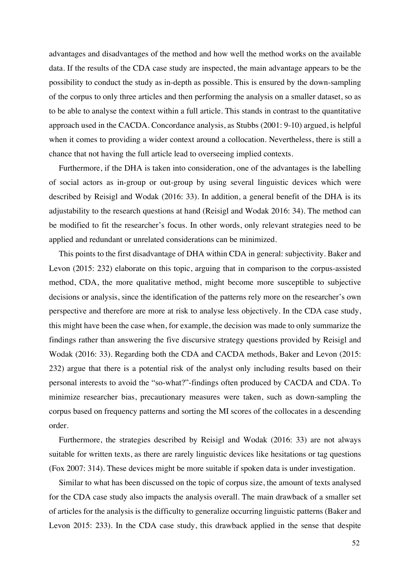advantages and disadvantages of the method and how well the method works on the available data. If the results of the CDA case study are inspected, the main advantage appears to be the possibility to conduct the study as in-depth as possible. This is ensured by the down-sampling of the corpus to only three articles and then performing the analysis on a smaller dataset, so as to be able to analyse the context within a full article. This stands in contrast to the quantitative approach used in the CACDA. Concordance analysis, as Stubbs (2001: 9-10) argued, is helpful when it comes to providing a wider context around a collocation. Nevertheless, there is still a chance that not having the full article lead to overseeing implied contexts.

Furthermore, if the DHA is taken into consideration, one of the advantages is the labelling of social actors as in-group or out-group by using several linguistic devices which were described by Reisigl and Wodak (2016: 33). In addition, a general benefit of the DHA is its adjustability to the research questions at hand (Reisigl and Wodak 2016: 34). The method can be modified to fit the researcher's focus. In other words, only relevant strategies need to be applied and redundant or unrelated considerations can be minimized.

This points to the first disadvantage of DHA within CDA in general: subjectivity. Baker and Levon (2015: 232) elaborate on this topic, arguing that in comparison to the corpus-assisted method, CDA, the more qualitative method, might become more susceptible to subjective decisions or analysis, since the identification of the patterns rely more on the researcher's own perspective and therefore are more at risk to analyse less objectively. In the CDA case study, this might have been the case when, for example, the decision was made to only summarize the findings rather than answering the five discursive strategy questions provided by Reisigl and Wodak (2016: 33). Regarding both the CDA and CACDA methods, Baker and Levon (2015: 232) argue that there is a potential risk of the analyst only including results based on their personal interests to avoid the "so-what?"-findings often produced by CACDA and CDA. To minimize researcher bias, precautionary measures were taken, such as down-sampling the corpus based on frequency patterns and sorting the MI scores of the collocates in a descending order.

Furthermore, the strategies described by Reisigl and Wodak (2016: 33) are not always suitable for written texts, as there are rarely linguistic devices like hesitations or tag questions (Fox 2007: 314). These devices might be more suitable if spoken data is under investigation.

Similar to what has been discussed on the topic of corpus size, the amount of texts analysed for the CDA case study also impacts the analysis overall. The main drawback of a smaller set of articles for the analysis is the difficulty to generalize occurring linguistic patterns (Baker and Levon 2015: 233). In the CDA case study, this drawback applied in the sense that despite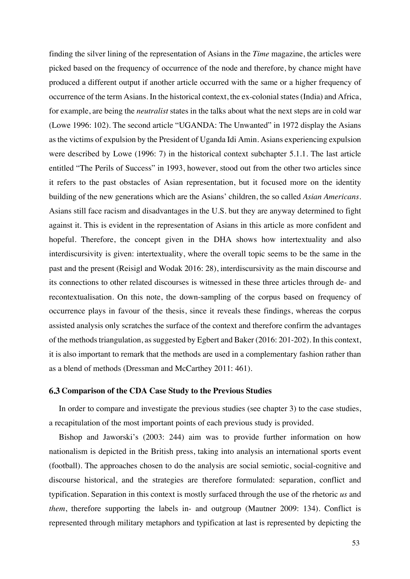finding the silver lining of the representation of Asians in the *Time* magazine, the articles were picked based on the frequency of occurrence of the node and therefore, by chance might have produced a different output if another article occurred with the same or a higher frequency of occurrence of the term Asians. In the historical context, the ex-colonial states (India) and Africa, for example, are being the *neutralist* states in the talks about what the next steps are in cold war (Lowe 1996: 102). The second article "UGANDA: The Unwanted" in 1972 display the Asians as the victims of expulsion by the President of Uganda Idi Amin. Asians experiencing expulsion were described by Lowe (1996: 7) in the historical context subchapter 5.1.1. The last article entitled "The Perils of Success" in 1993, however, stood out from the other two articles since it refers to the past obstacles of Asian representation, but it focused more on the identity building of the new generations which are the Asians' children, the so called *Asian Americans*. Asians still face racism and disadvantages in the U.S. but they are anyway determined to fight against it. This is evident in the representation of Asians in this article as more confident and hopeful. Therefore, the concept given in the DHA shows how intertextuality and also interdiscursivity is given: intertextuality, where the overall topic seems to be the same in the past and the present (Reisigl and Wodak 2016: 28), interdiscursivity as the main discourse and its connections to other related discourses is witnessed in these three articles through de- and recontextualisation. On this note, the down-sampling of the corpus based on frequency of occurrence plays in favour of the thesis, since it reveals these findings, whereas the corpus assisted analysis only scratches the surface of the context and therefore confirm the advantages of the methods triangulation, as suggested by Egbert and Baker (2016: 201-202). In this context, it is also important to remark that the methods are used in a complementary fashion rather than as a blend of methods (Dressman and McCarthey 2011: 461).

#### **Comparison of the CDA Case Study to the Previous Studies**

In order to compare and investigate the previous studies (see chapter 3) to the case studies, a recapitulation of the most important points of each previous study is provided.

Bishop and Jaworski's (2003: 244) aim was to provide further information on how nationalism is depicted in the British press, taking into analysis an international sports event (football). The approaches chosen to do the analysis are social semiotic, social-cognitive and discourse historical, and the strategies are therefore formulated: separation, conflict and typification. Separation in this context is mostly surfaced through the use of the rhetoric *us* and *them*, therefore supporting the labels in- and outgroup (Mautner 2009: 134). Conflict is represented through military metaphors and typification at last is represented by depicting the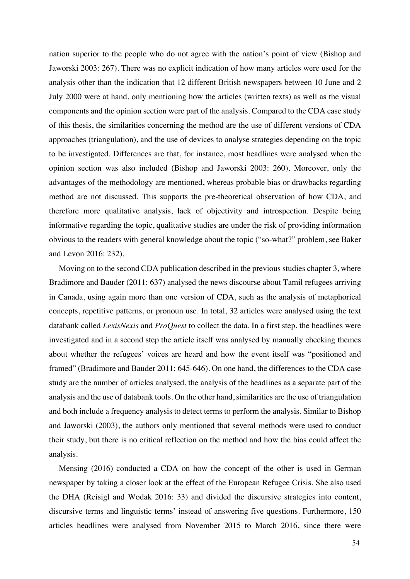nation superior to the people who do not agree with the nation's point of view (Bishop and Jaworski 2003: 267). There was no explicit indication of how many articles were used for the analysis other than the indication that 12 different British newspapers between 10 June and 2 July 2000 were at hand, only mentioning how the articles (written texts) as well as the visual components and the opinion section were part of the analysis. Compared to the CDA case study of this thesis, the similarities concerning the method are the use of different versions of CDA approaches (triangulation), and the use of devices to analyse strategies depending on the topic to be investigated. Differences are that, for instance, most headlines were analysed when the opinion section was also included (Bishop and Jaworski 2003: 260). Moreover, only the advantages of the methodology are mentioned, whereas probable bias or drawbacks regarding method are not discussed. This supports the pre-theoretical observation of how CDA, and therefore more qualitative analysis, lack of objectivity and introspection. Despite being informative regarding the topic, qualitative studies are under the risk of providing information obvious to the readers with general knowledge about the topic ("so-what?" problem, see Baker and Levon 2016: 232).

Moving on to the second CDA publication described in the previous studies chapter 3, where Bradimore and Bauder (2011: 637) analysed the news discourse about Tamil refugees arriving in Canada, using again more than one version of CDA, such as the analysis of metaphorical concepts, repetitive patterns, or pronoun use. In total, 32 articles were analysed using the text databank called *LexisNexis* and *ProQuest* to collect the data. In a first step, the headlines were investigated and in a second step the article itself was analysed by manually checking themes about whether the refugees' voices are heard and how the event itself was "positioned and framed" (Bradimore and Bauder 2011: 645-646). On one hand, the differences to the CDA case study are the number of articles analysed, the analysis of the headlines as a separate part of the analysis and the use of databank tools. On the other hand, similarities are the use of triangulation and both include a frequency analysis to detect terms to perform the analysis. Similar to Bishop and Jaworski (2003), the authors only mentioned that several methods were used to conduct their study, but there is no critical reflection on the method and how the bias could affect the analysis.

Mensing (2016) conducted a CDA on how the concept of the other is used in German newspaper by taking a closer look at the effect of the European Refugee Crisis. She also used the DHA (Reisigl and Wodak 2016: 33) and divided the discursive strategies into content, discursive terms and linguistic terms' instead of answering five questions. Furthermore, 150 articles headlines were analysed from November 2015 to March 2016, since there were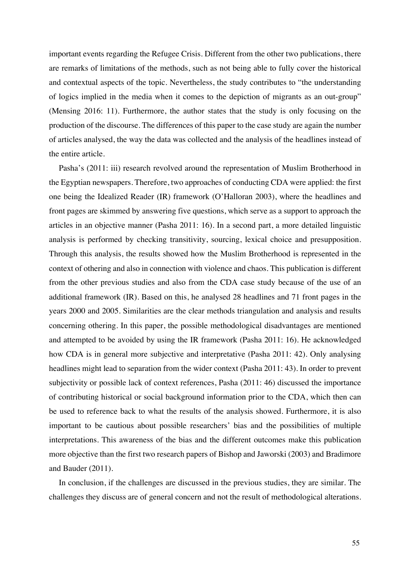important events regarding the Refugee Crisis. Different from the other two publications, there are remarks of limitations of the methods, such as not being able to fully cover the historical and contextual aspects of the topic. Nevertheless, the study contributes to "the understanding of logics implied in the media when it comes to the depiction of migrants as an out-group" (Mensing 2016: 11). Furthermore, the author states that the study is only focusing on the production of the discourse. The differences of this paper to the case study are again the number of articles analysed, the way the data was collected and the analysis of the headlines instead of the entire article.

Pasha's (2011: iii) research revolved around the representation of Muslim Brotherhood in the Egyptian newspapers. Therefore, two approaches of conducting CDA were applied: the first one being the Idealized Reader (IR) framework (O'Halloran 2003), where the headlines and front pages are skimmed by answering five questions, which serve as a support to approach the articles in an objective manner (Pasha 2011: 16). In a second part, a more detailed linguistic analysis is performed by checking transitivity, sourcing, lexical choice and presupposition. Through this analysis, the results showed how the Muslim Brotherhood is represented in the context of othering and also in connection with violence and chaos. This publication is different from the other previous studies and also from the CDA case study because of the use of an additional framework (IR). Based on this, he analysed 28 headlines and 71 front pages in the years 2000 and 2005. Similarities are the clear methods triangulation and analysis and results concerning othering. In this paper, the possible methodological disadvantages are mentioned and attempted to be avoided by using the IR framework (Pasha 2011: 16). He acknowledged how CDA is in general more subjective and interpretative (Pasha 2011: 42). Only analysing headlines might lead to separation from the wider context (Pasha 2011: 43). In order to prevent subjectivity or possible lack of context references, Pasha (2011: 46) discussed the importance of contributing historical or social background information prior to the CDA, which then can be used to reference back to what the results of the analysis showed. Furthermore, it is also important to be cautious about possible researchers' bias and the possibilities of multiple interpretations. This awareness of the bias and the different outcomes make this publication more objective than the first two research papers of Bishop and Jaworski (2003) and Bradimore and Bauder (2011).

In conclusion, if the challenges are discussed in the previous studies, they are similar. The challenges they discuss are of general concern and not the result of methodological alterations.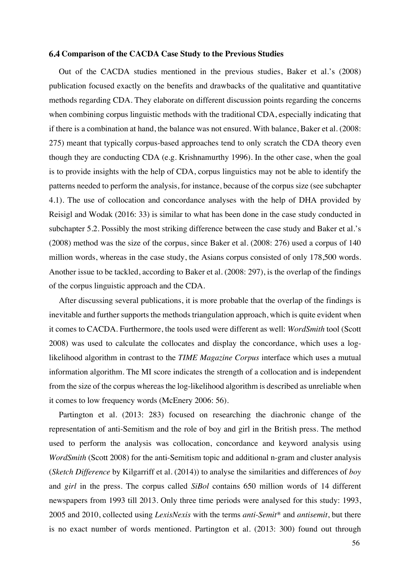#### **Comparison of the CACDA Case Study to the Previous Studies**

Out of the CACDA studies mentioned in the previous studies, Baker et al.'s (2008) publication focused exactly on the benefits and drawbacks of the qualitative and quantitative methods regarding CDA. They elaborate on different discussion points regarding the concerns when combining corpus linguistic methods with the traditional CDA, especially indicating that if there is a combination at hand, the balance was not ensured. With balance, Baker et al. (2008: 275) meant that typically corpus-based approaches tend to only scratch the CDA theory even though they are conducting CDA (e.g. Krishnamurthy 1996). In the other case, when the goal is to provide insights with the help of CDA, corpus linguistics may not be able to identify the patterns needed to perform the analysis, for instance, because of the corpus size (see subchapter 4.1). The use of collocation and concordance analyses with the help of DHA provided by Reisigl and Wodak (2016: 33) is similar to what has been done in the case study conducted in subchapter 5.2. Possibly the most striking difference between the case study and Baker et al.'s (2008) method was the size of the corpus, since Baker et al. (2008: 276) used a corpus of 140 million words, whereas in the case study, the Asians corpus consisted of only 178,500 words. Another issue to be tackled, according to Baker et al. (2008: 297), is the overlap of the findings of the corpus linguistic approach and the CDA.

After discussing several publications, it is more probable that the overlap of the findings is inevitable and further supports the methods triangulation approach, which is quite evident when it comes to CACDA. Furthermore, the tools used were different as well: *WordSmith* tool (Scott 2008) was used to calculate the collocates and display the concordance, which uses a loglikelihood algorithm in contrast to the *TIME Magazine Corpus* interface which uses a mutual information algorithm. The MI score indicates the strength of a collocation and is independent from the size of the corpus whereas the log-likelihood algorithm is described as unreliable when it comes to low frequency words (McEnery 2006: 56).

Partington et al. (2013: 283) focused on researching the diachronic change of the representation of anti-Semitism and the role of boy and girl in the British press. The method used to perform the analysis was collocation, concordance and keyword analysis using *WordSmith* (Scott 2008) for the anti-Semitism topic and additional n-gram and cluster analysis (*Sketch Difference* by Kilgarriff et al. (2014)) to analyse the similarities and differences of *boy* and *girl* in the press. The corpus called *SiBol* contains 650 million words of 14 different newspapers from 1993 till 2013. Only three time periods were analysed for this study: 1993, 2005 and 2010, collected using *LexisNexis* with the terms *anti-Semit\** and *antisemit*, but there is no exact number of words mentioned. Partington et al. (2013: 300) found out through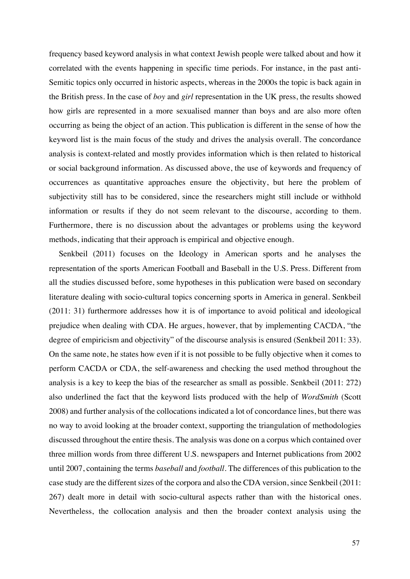frequency based keyword analysis in what context Jewish people were talked about and how it correlated with the events happening in specific time periods. For instance, in the past anti-Semitic topics only occurred in historic aspects, whereas in the 2000s the topic is back again in the British press. In the case of *boy* and *girl* representation in the UK press, the results showed how girls are represented in a more sexualised manner than boys and are also more often occurring as being the object of an action. This publication is different in the sense of how the keyword list is the main focus of the study and drives the analysis overall. The concordance analysis is context-related and mostly provides information which is then related to historical or social background information. As discussed above, the use of keywords and frequency of occurrences as quantitative approaches ensure the objectivity, but here the problem of subjectivity still has to be considered, since the researchers might still include or withhold information or results if they do not seem relevant to the discourse, according to them. Furthermore, there is no discussion about the advantages or problems using the keyword methods, indicating that their approach is empirical and objective enough.

Senkbeil (2011) focuses on the Ideology in American sports and he analyses the representation of the sports American Football and Baseball in the U.S. Press. Different from all the studies discussed before, some hypotheses in this publication were based on secondary literature dealing with socio-cultural topics concerning sports in America in general. Senkbeil (2011: 31) furthermore addresses how it is of importance to avoid political and ideological prejudice when dealing with CDA. He argues, however, that by implementing CACDA, "the degree of empiricism and objectivity" of the discourse analysis is ensured (Senkbeil 2011: 33). On the same note, he states how even if it is not possible to be fully objective when it comes to perform CACDA or CDA, the self-awareness and checking the used method throughout the analysis is a key to keep the bias of the researcher as small as possible. Senkbeil (2011: 272) also underlined the fact that the keyword lists produced with the help of *WordSmith* (Scott 2008) and further analysis of the collocations indicated a lot of concordance lines, but there was no way to avoid looking at the broader context, supporting the triangulation of methodologies discussed throughout the entire thesis. The analysis was done on a corpus which contained over three million words from three different U.S. newspapers and Internet publications from 2002 until 2007, containing the terms *baseball* and *football*. The differences of this publication to the case study are the different sizes of the corpora and also the CDA version, since Senkbeil (2011: 267) dealt more in detail with socio-cultural aspects rather than with the historical ones. Nevertheless, the collocation analysis and then the broader context analysis using the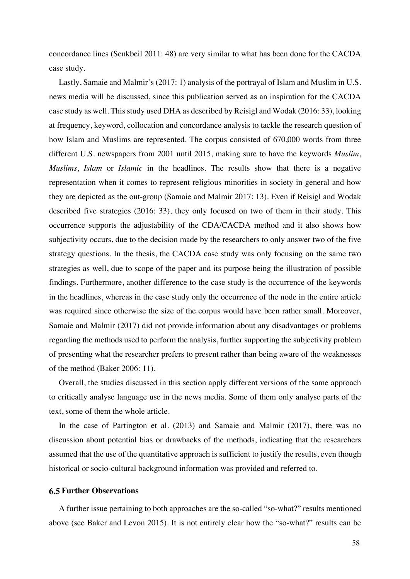concordance lines (Senkbeil 2011: 48) are very similar to what has been done for the CACDA case study.

Lastly, Samaie and Malmir's (2017: 1) analysis of the portrayal of Islam and Muslim in U.S. news media will be discussed, since this publication served as an inspiration for the CACDA case study as well. This study used DHA as described by Reisigl and Wodak (2016: 33), looking at frequency, keyword, collocation and concordance analysis to tackle the research question of how Islam and Muslims are represented. The corpus consisted of 670,000 words from three different U.S. newspapers from 2001 until 2015, making sure to have the keywords *Muslim*, *Muslims*, *Islam* or *Islamic* in the headlines. The results show that there is a negative representation when it comes to represent religious minorities in society in general and how they are depicted as the out-group (Samaie and Malmir 2017: 13). Even if Reisigl and Wodak described five strategies (2016: 33), they only focused on two of them in their study. This occurrence supports the adjustability of the CDA/CACDA method and it also shows how subjectivity occurs, due to the decision made by the researchers to only answer two of the five strategy questions. In the thesis, the CACDA case study was only focusing on the same two strategies as well, due to scope of the paper and its purpose being the illustration of possible findings. Furthermore, another difference to the case study is the occurrence of the keywords in the headlines, whereas in the case study only the occurrence of the node in the entire article was required since otherwise the size of the corpus would have been rather small. Moreover, Samaie and Malmir (2017) did not provide information about any disadvantages or problems regarding the methods used to perform the analysis, further supporting the subjectivity problem of presenting what the researcher prefers to present rather than being aware of the weaknesses of the method (Baker 2006: 11).

Overall, the studies discussed in this section apply different versions of the same approach to critically analyse language use in the news media. Some of them only analyse parts of the text, some of them the whole article.

In the case of Partington et al. (2013) and Samaie and Malmir (2017), there was no discussion about potential bias or drawbacks of the methods, indicating that the researchers assumed that the use of the quantitative approach is sufficient to justify the results, even though historical or socio-cultural background information was provided and referred to.

#### **6.5 Further Observations**

A further issue pertaining to both approaches are the so-called "so-what?" results mentioned above (see Baker and Levon 2015). It is not entirely clear how the "so-what?" results can be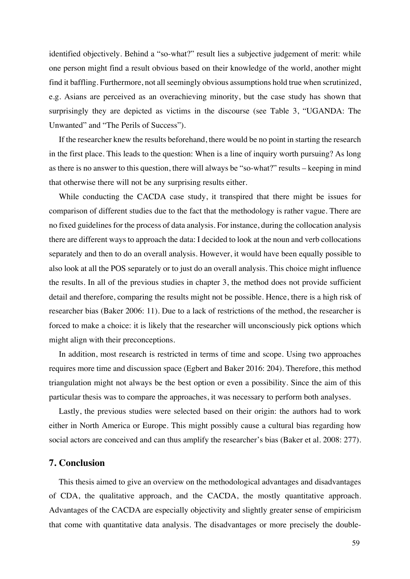identified objectively. Behind a "so-what?" result lies a subjective judgement of merit: while one person might find a result obvious based on their knowledge of the world, another might find it baffling. Furthermore, not all seemingly obvious assumptions hold true when scrutinized, e.g. Asians are perceived as an overachieving minority, but the case study has shown that surprisingly they are depicted as victims in the discourse (see Table 3, "UGANDA: The Unwanted" and "The Perils of Success").

If the researcher knew the results beforehand, there would be no point in starting the research in the first place. This leads to the question: When is a line of inquiry worth pursuing? As long as there is no answer to this question, there will always be "so-what?" results – keeping in mind that otherwise there will not be any surprising results either.

While conducting the CACDA case study, it transpired that there might be issues for comparison of different studies due to the fact that the methodology is rather vague. There are no fixed guidelines for the process of data analysis. For instance, during the collocation analysis there are different ways to approach the data: I decided to look at the noun and verb collocations separately and then to do an overall analysis. However, it would have been equally possible to also look at all the POS separately or to just do an overall analysis. This choice might influence the results. In all of the previous studies in chapter 3, the method does not provide sufficient detail and therefore, comparing the results might not be possible. Hence, there is a high risk of researcher bias (Baker 2006: 11). Due to a lack of restrictions of the method, the researcher is forced to make a choice: it is likely that the researcher will unconsciously pick options which might align with their preconceptions.

In addition, most research is restricted in terms of time and scope. Using two approaches requires more time and discussion space (Egbert and Baker 2016: 204). Therefore, this method triangulation might not always be the best option or even a possibility. Since the aim of this particular thesis was to compare the approaches, it was necessary to perform both analyses.

Lastly, the previous studies were selected based on their origin: the authors had to work either in North America or Europe. This might possibly cause a cultural bias regarding how social actors are conceived and can thus amplify the researcher's bias (Baker et al. 2008: 277).

## **7. Conclusion**

This thesis aimed to give an overview on the methodological advantages and disadvantages of CDA, the qualitative approach, and the CACDA, the mostly quantitative approach. Advantages of the CACDA are especially objectivity and slightly greater sense of empiricism that come with quantitative data analysis. The disadvantages or more precisely the double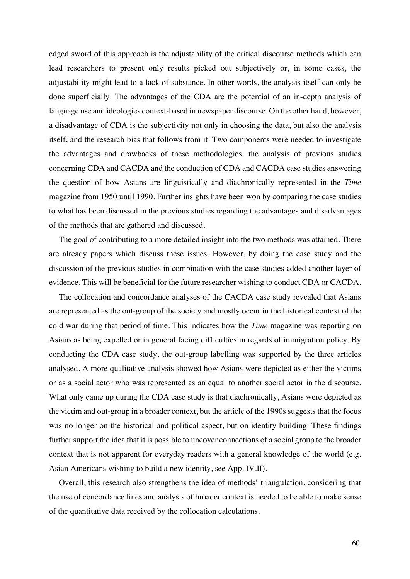edged sword of this approach is the adjustability of the critical discourse methods which can lead researchers to present only results picked out subjectively or, in some cases, the adjustability might lead to a lack of substance. In other words, the analysis itself can only be done superficially. The advantages of the CDA are the potential of an in-depth analysis of language use and ideologies context-based in newspaper discourse. On the other hand, however, a disadvantage of CDA is the subjectivity not only in choosing the data, but also the analysis itself, and the research bias that follows from it. Two components were needed to investigate the advantages and drawbacks of these methodologies: the analysis of previous studies concerning CDA and CACDA and the conduction of CDA and CACDA case studies answering the question of how Asians are linguistically and diachronically represented in the *Time* magazine from 1950 until 1990. Further insights have been won by comparing the case studies to what has been discussed in the previous studies regarding the advantages and disadvantages of the methods that are gathered and discussed.

The goal of contributing to a more detailed insight into the two methods was attained. There are already papers which discuss these issues. However, by doing the case study and the discussion of the previous studies in combination with the case studies added another layer of evidence. This will be beneficial for the future researcher wishing to conduct CDA or CACDA.

The collocation and concordance analyses of the CACDA case study revealed that Asians are represented as the out-group of the society and mostly occur in the historical context of the cold war during that period of time. This indicates how the *Time* magazine was reporting on Asians as being expelled or in general facing difficulties in regards of immigration policy. By conducting the CDA case study, the out-group labelling was supported by the three articles analysed. A more qualitative analysis showed how Asians were depicted as either the victims or as a social actor who was represented as an equal to another social actor in the discourse. What only came up during the CDA case study is that diachronically, Asians were depicted as the victim and out-group in a broader context, but the article of the 1990s suggests that the focus was no longer on the historical and political aspect, but on identity building. These findings further support the idea that it is possible to uncover connections of a social group to the broader context that is not apparent for everyday readers with a general knowledge of the world (e.g. Asian Americans wishing to build a new identity, see App. IV.II).

Overall, this research also strengthens the idea of methods' triangulation, considering that the use of concordance lines and analysis of broader context is needed to be able to make sense of the quantitative data received by the collocation calculations.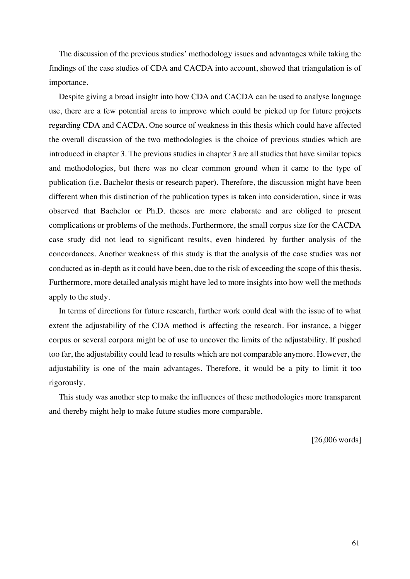The discussion of the previous studies' methodology issues and advantages while taking the findings of the case studies of CDA and CACDA into account, showed that triangulation is of importance.

Despite giving a broad insight into how CDA and CACDA can be used to analyse language use, there are a few potential areas to improve which could be picked up for future projects regarding CDA and CACDA. One source of weakness in this thesis which could have affected the overall discussion of the two methodologies is the choice of previous studies which are introduced in chapter 3. The previous studies in chapter 3 are all studies that have similar topics and methodologies, but there was no clear common ground when it came to the type of publication (i.e. Bachelor thesis or research paper). Therefore, the discussion might have been different when this distinction of the publication types is taken into consideration, since it was observed that Bachelor or Ph.D. theses are more elaborate and are obliged to present complications or problems of the methods. Furthermore, the small corpus size for the CACDA case study did not lead to significant results, even hindered by further analysis of the concordances. Another weakness of this study is that the analysis of the case studies was not conducted as in-depth as it could have been, due to the risk of exceeding the scope of this thesis. Furthermore, more detailed analysis might have led to more insights into how well the methods apply to the study.

In terms of directions for future research, further work could deal with the issue of to what extent the adjustability of the CDA method is affecting the research. For instance, a bigger corpus or several corpora might be of use to uncover the limits of the adjustability. If pushed too far, the adjustability could lead to results which are not comparable anymore. However, the adjustability is one of the main advantages. Therefore, it would be a pity to limit it too rigorously.

This study was another step to make the influences of these methodologies more transparent and thereby might help to make future studies more comparable.

[26,006 words]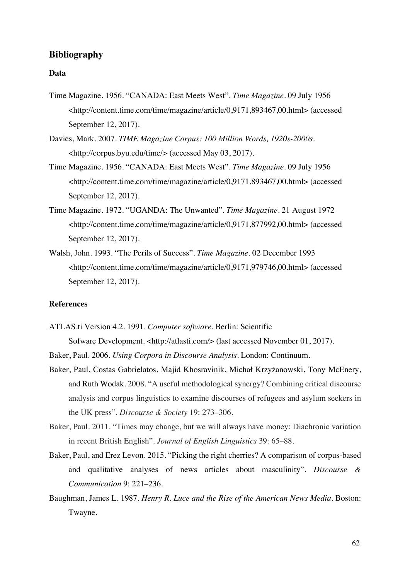## **Bibliography**

## **Data**

- Time Magazine. 1956. "CANADA: East Meets West". *Time Magazine*. 09 July 1956 <http://content.time.com/time/magazine/article/0,9171,893467,00.html> (accessed September 12, 2017).
- Davies, Mark. 2007. *TIME Magazine Corpus: 100 Million Words, 1920s-2000s*. <http://corpus.byu.edu/time/> (accessed May 03, 2017).
- Time Magazine. 1956. "CANADA: East Meets West". *Time Magazine*. 09 July 1956 <http://content.time.com/time/magazine/article/0,9171,893467,00.html> (accessed September 12, 2017).
- Time Magazine. 1972. "UGANDA: The Unwanted". *Time Magazine*. 21 August 1972 <http://content.time.com/time/magazine/article/0,9171,877992,00.html> (accessed September 12, 2017).
- Walsh, John. 1993. "The Perils of Success". *Time Magazine.* 02 December 1993 <http://content.time.com/time/magazine/article/0,9171,979746,00.html> (accessed September 12, 2017).

### **References**

- ATLAS.ti Version 4.2. 1991. *Computer software*. Berlin: Scientific Sofware Development. <http://atlasti.com/> (last accessed November 01, 2017).
- Baker, Paul. 2006. *Using Corpora in Discourse Analysis*. London: Continuum.
- Baker, Paul, Costas Gabrielatos, Majid Khosravinik, Michał Krzyżanowski, Tony McEnery, and Ruth Wodak. 2008. "A useful methodological synergy? Combining critical discourse analysis and corpus linguistics to examine discourses of refugees and asylum seekers in the UK press". *Discourse & Society* 19: 273–306.
- Baker, Paul. 2011. "Times may change, but we will always have money: Diachronic variation in recent British English". *Journal of English Linguistics* 39: 65–88.
- Baker, Paul, and Erez Levon. 2015. "Picking the right cherries? A comparison of corpus-based and qualitative analyses of news articles about masculinity". *Discourse & Communication* 9: 221–236.
- Baughman, James L. 1987. *Henry R. Luce and the Rise of the American News Media*. Boston: Twayne.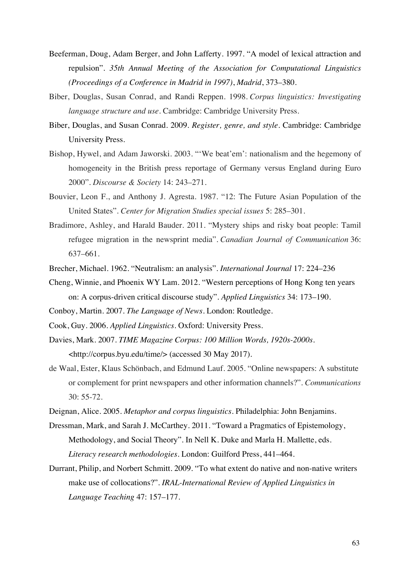- Beeferman, Doug, Adam Berger, and John Lafferty. 1997. "A model of lexical attraction and repulsion". *35th Annual Meeting of the Association for Computational Linguistics (Proceedings of a Conference in Madrid in 1997)*, *Madrid*, 373–380.
- Biber, Douglas, Susan Conrad, and Randi Reppen. 1998. *Corpus linguistics: Investigating language structure and use*. Cambridge: Cambridge University Press.
- Biber, Douglas, and Susan Conrad. 2009. *Register, genre, and style*. Cambridge: Cambridge University Press.
- Bishop, Hywel, and Adam Jaworski. 2003. "'We beat'em': nationalism and the hegemony of homogeneity in the British press reportage of Germany versus England during Euro 2000". *Discourse & Society* 14: 243–271.
- Bouvier, Leon F., and Anthony J. Agresta. 1987. "12: The Future Asian Population of the United States". *Center for Migration Studies special issues* 5: 285–301.
- Bradimore, Ashley, and Harald Bauder. 2011. "Mystery ships and risky boat people: Tamil refugee migration in the newsprint media". *Canadian Journal of Communication* 36: 637–661.
- Brecher, Michael. 1962. "Neutralism: an analysis". *International Journal* 17: 224–236
- Cheng, Winnie, and Phoenix WY Lam. 2012. "Western perceptions of Hong Kong ten years on: A corpus-driven critical discourse study". *Applied Linguistics* 34: 173–190.
- Conboy, Martin. 2007. *The Language of News.* London: Routledge.
- Cook, Guy. 2006. *Applied Linguistics*. Oxford: University Press.
- Davies, Mark. 2007. *TIME Magazine Corpus: 100 Million Words, 1920s-2000s*. <http://corpus.byu.edu/time/> (accessed 30 May 2017).
- de Waal, Ester, Klaus Schönbach, and Edmund Lauf. 2005. "Online newspapers: A substitute or complement for print newspapers and other information channels?". *Communications*  30: 55-72.
- Deignan, Alice. 2005. *Metaphor and corpus linguistics*. Philadelphia: John Benjamins.
- Dressman, Mark, and Sarah J. McCarthey. 2011. "Toward a Pragmatics of Epistemology, Methodology, and Social Theory". In Nell K. Duke and Marla H. Mallette, eds. *Literacy research methodologies*. London: Guilford Press, 441–464.
- Durrant, Philip, and Norbert Schmitt. 2009. "To what extent do native and non-native writers make use of collocations?". *IRAL-International Review of Applied Linguistics in Language Teaching* 47: 157–177.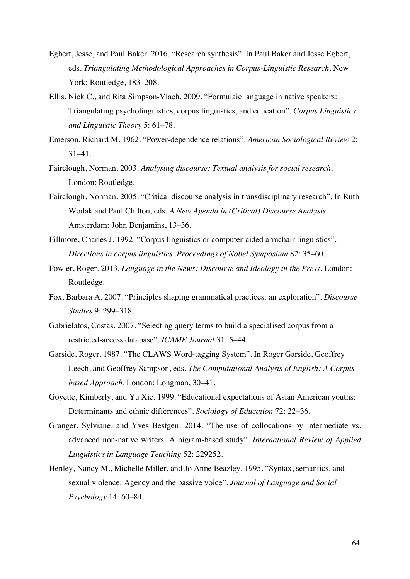- Egbert, Jesse, and Paul Baker. 2016. "Research synthesis". In Paul Baker and Jesse Egbert, eds. *Triangulating Methodological Approaches in Corpus-Linguistic Research*. New York: Routledge, 183–208.
- Ellis, Nick C., and Rita Simpson-Vlach. 2009. "Formulaic language in native speakers: Triangulating psycholinguistics, corpus linguistics, and education". *Corpus Linguistics and Linguistic Theory* 5: 61–78.
- Emerson, Richard M. 1962. "Power-dependence relations". *American Sociological Review* 2: 31–41.
- Fairclough, Norman. 2003. *Analysing discourse: Textual analysis for social research*. London: Routledge.
- Fairclough, Norman. 2005. "Critical discourse analysis in transdisciplinary research". In Ruth Wodak and Paul Chilton, eds. *A New Agenda in (Critical) Discourse Analysis*. Amsterdam: John Benjamins, 13–36.
- Fillmore, Charles J. 1992. "Corpus linguistics or computer-aided armchair linguistics". *Directions in corpus linguistics. Proceedings of Nobel Symposium* 82: 35–60.
- Fowler, Roger. 2013. *Language in the News: Discourse and Ideology in the Press*. London: Routledge.
- Fox, Barbara A. 2007. "Principles shaping grammatical practices: an exploration". *Discourse Studies* 9: 299–318.
- Gabrielatos, Costas. 2007. "Selecting query terms to build a specialised corpus from a restricted-access database". *ICAME Journal* 31: 5–44.
- Garside, Roger. 1987. "The CLAWS Word-tagging System". In Roger Garside, Geoffrey Leech, and Geoffrey Sampson, eds. *The Computational Analysis of English: A Corpusbased Approach*. London: Longman, 30–41.
- Goyette, Kimberly, and Yu Xie. 1999. "Educational expectations of Asian American youths: Determinants and ethnic differences". *Sociology of Education* 72: 22–36.
- Granger, Sylviane, and Yves Bestgen. 2014. "The use of collocations by intermediate vs. advanced non-native writers: A bigram-based study". *International Review of Applied Linguistics in Language Teaching* 52: 229252.
- Henley, Nancy M., Michelle Miller, and Jo Anne Beazley. 1995. "Syntax, semantics, and sexual violence: Agency and the passive voice". *Journal of Language and Social Psychology* 14: 60–84.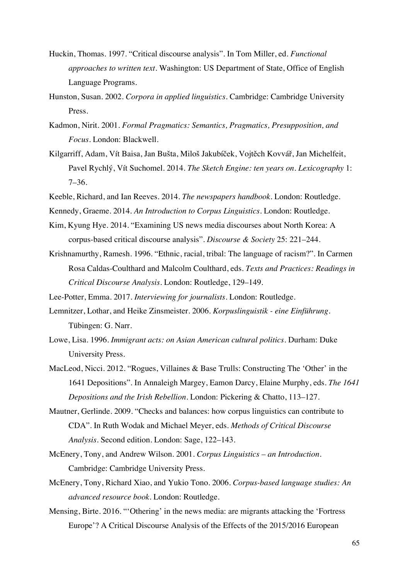- Huckin, Thomas. 1997. "Critical discourse analysis". In Tom Miller, ed. *Functional approaches to written text*. Washington: US Department of State, Office of English Language Programs.
- Hunston, Susan. 2002. *Corpora in applied linguistics.* Cambridge: Cambridge University Press.
- Kadmon, Nirit. 2001. *Formal Pragmatics: Semantics, Pragmatics, Presupposition, and Focus*. London: Blackwell.
- Kilgarriff, Adam, Vít Baisa, Jan Bušta, Miloš Jakubíček, Vojtěch Kovvář, Jan Michelfeit, Pavel Rychlý, Vít Suchomel. 2014. *The Sketch Engine: ten years on. Lexicography* 1: 7–36*.*
- Keeble, Richard, and Ian Reeves. 2014. *The newspapers handbook*. London: Routledge.
- Kennedy, Graeme. 2014. *An Introduction to Corpus Linguistics*. London: Routledge.
- Kim, Kyung Hye. 2014. "Examining US news media discourses about North Korea: A corpus-based critical discourse analysis". *Discourse & Society* 25: 221–244.
- Krishnamurthy, Ramesh. 1996. "Ethnic, racial, tribal: The language of racism?". In Carmen Rosa Caldas-Coulthard and Malcolm Coulthard, eds. *Texts and Practices: Readings in Critical Discourse Analysis.* London: Routledge, 129–149.
- Lee-Potter, Emma. 2017. *Interviewing for journalists*. London: Routledge.
- Lemnitzer, Lothar, and Heike Zinsmeister. 2006. *Korpuslinguistik - eine Einführung*. Tübingen: G. Narr.
- Lowe, Lisa. 1996. *Immigrant acts: on Asian American cultural politics*. Durham: Duke University Press.
- MacLeod, Nicci. 2012. "Rogues, Villaines & Base Trulls: Constructing The 'Other' in the 1641 Depositions". In Annaleigh Margey, Eamon Darcy, Elaine Murphy, eds. *The 1641 Depositions and the Irish Rebellion.* London: Pickering & Chatto, 113–127.
- Mautner, Gerlinde. 2009. "Checks and balances: how corpus linguistics can contribute to CDA". In Ruth Wodak and Michael Meyer, eds. *Methods of Critical Discourse Analysis*. Second edition. London: Sage, 122–143.
- McEnery, Tony, and Andrew Wilson. 2001. *Corpus Linguistics – an Introduction*. Cambridge: Cambridge University Press.
- McEnery, Tony, Richard Xiao, and Yukio Tono. 2006. *Corpus-based language studies: An advanced resource book*. London: Routledge.
- Mensing, Birte. 2016. "'Othering' in the news media: are migrants attacking the 'Fortress Europe'? A Critical Discourse Analysis of the Effects of the 2015/2016 European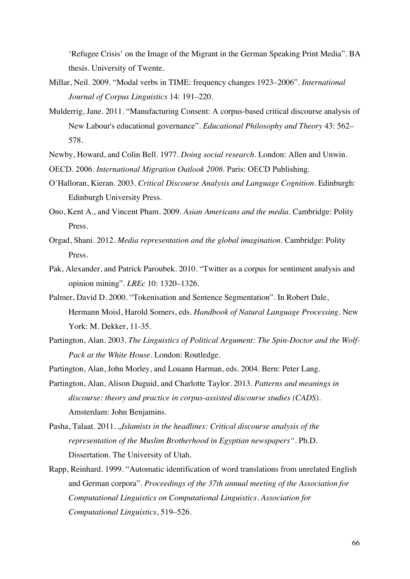'Refugee Crisis' on the Image of the Migrant in the German Speaking Print Media". BA thesis. University of Twente.

- Millar, Neil. 2009. "Modal verbs in TIME: frequency changes 1923–2006". *International Journal of Corpus Linguistics* 14: 191–220.
- Mulderrig, Jane. 2011. "Manufacturing Consent: A corpus-based critical discourse analysis of New Labour's educational governance". *Educational Philosophy and Theory* 43: 562– 578.
- Newby, Howard, and Colin Bell. 1977. *Doing social research.* London: Allen and Unwin.
- OECD. 2006. *International Migration Outlook 2006*. Paris: OECD Publishing.
- O'Halloran, Kieran. 2003. *Critical Discourse Analysis and Language Cognition*. Edinburgh: Edinburgh University Press.
- Ono, Kent A., and Vincent Pham. 2009. *Asian Americans and the media*. Cambridge: Polity Press.
- Orgad, Shani. 2012. *Media representation and the global imagination*. Cambridge: Polity Press.
- Pak, Alexander, and Patrick Paroubek. 2010. "Twitter as a corpus for sentiment analysis and opinion mining". *LREc* 10: 1320–1326.
- Palmer, David D. 2000. "Tokenisation and Sentence Segmentation". In Robert Dale, Hermann Moisl, Harold Somers, eds. *Handbook of Natural Language Processing.* New York: M. Dekker, 11-35.
- Partington, Alan. 2003. *The Linguistics of Political Argument: The Spin-Doctor and the Wolf-Pack at the White House*. London: Routledge.
- Partington, Alan, John Morley, and Louann Harman, eds. 2004. Bern: Peter Lang.
- Partington, Alan, Alison Duguid, and Charlotte Taylor. 2013. *Patterns and meanings in discourse: theory and practice in corpus-assisted discourse studies (CADS).* Amsterdam: John Benjamins.
- Pasha, Talaat. 2011. "*Islamists in the headlines: Critical discourse analysis of the representation of the Muslim Brotherhood in Egyptian newspapers"*. Ph.D. Dissertation. The University of Utah.
- Rapp, Reinhard. 1999. "Automatic identification of word translations from unrelated English and German corpora". *Proceedings of the 37th annual meeting of the Association for Computational Linguistics on Computational Linguistics*. *Association for Computational Linguistics*, 519–526.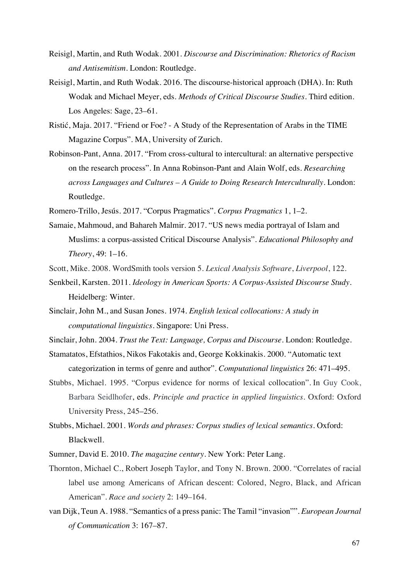- Reisigl, Martin, and Ruth Wodak. 2001. *Discourse and Discrimination: Rhetorics of Racism and Antisemitism*. London: Routledge.
- Reisigl, Martin, and Ruth Wodak. 2016. The discourse-historical approach (DHA). In: Ruth Wodak and Michael Meyer, eds. *Methods of Critical Discourse Studies*. Third edition. Los Angeles: Sage, 23–61.
- Ristić, Maja. 2017. "Friend or Foe? A Study of the Representation of Arabs in the TIME Magazine Corpus". MA, University of Zurich.
- Robinson-Pant, Anna. 2017. "From cross-cultural to intercultural: an alternative perspective on the research process". In Anna Robinson-Pant and Alain Wolf, eds. *Researching across Languages and Cultures – A Guide to Doing Research Interculturally*. London: Routledge.
- Romero-Trillo, Jesús. 2017. "Corpus Pragmatics". *Corpus Pragmatics* 1, 1–2.
- Samaie, Mahmoud, and Bahareh Malmir. 2017. "US news media portrayal of Islam and Muslims: a corpus-assisted Critical Discourse Analysis". *Educational Philosophy and Theory*, 49: 1–16.
- Scott, Mike. 2008. WordSmith tools version 5. *Lexical Analysis Software*, *Liverpool*, 122.
- Senkbeil, Karsten. 2011. *Ideology in American Sports: A Corpus-Assisted Discourse Study*. Heidelberg: Winter.
- Sinclair, John M., and Susan Jones. 1974. *English lexical collocations: A study in computational linguistics*. Singapore: Uni Press.
- Sinclair, John. 2004. *Trust the Text: Language, Corpus and Discourse*. London: Routledge.
- Stamatatos, Efstathios, Nikos Fakotakis and, George Kokkinakis. 2000. "Automatic text categorization in terms of genre and author". *Computational linguistics* 26: 471–495.
- Stubbs, Michael. 1995. "Corpus evidence for norms of lexical collocation". In Guy Cook, Barbara Seidlhofer, eds. *Principle and practice in applied linguistics*. Oxford: Oxford University Press, 245–256.
- Stubbs, Michael. 2001. *Words and phrases: Corpus studies of lexical semantics*. Oxford: Blackwell.
- Sumner, David E. 2010. *The magazine century*. New York: Peter Lang.
- Thornton, Michael C., Robert Joseph Taylor, and Tony N. Brown. 2000. "Correlates of racial label use among Americans of African descent: Colored, Negro, Black, and African American". *Race and society* 2: 149–164.
- van Dijk, Teun A. 1988. "Semantics of a press panic: The Tamil "invasion"". *European Journal of Communication* 3: 167–87.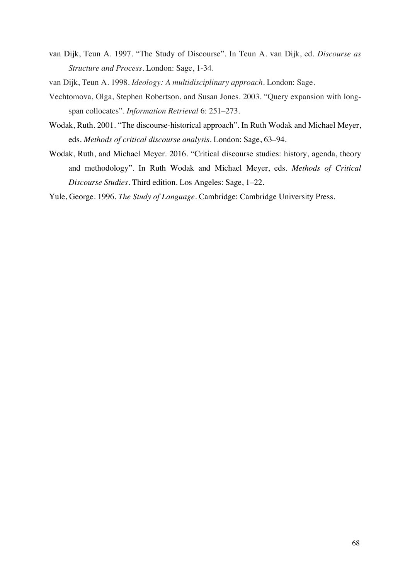- van Dijk, Teun A. 1997. "The Study of Discourse". In Teun A. van Dijk, ed. *Discourse as Structure and Process.* London: Sage, 1-34.
- van Dijk, Teun A. 1998. *Ideology: A multidisciplinary approach*. London: Sage.
- Vechtomova, Olga, Stephen Robertson, and Susan Jones. 2003. "Query expansion with longspan collocates". *Information Retrieval* 6: 251–273.
- Wodak, Ruth. 2001. "The discourse-historical approach". In Ruth Wodak and Michael Meyer, eds. *Methods of critical discourse analysis.* London: Sage, 63–94.
- Wodak, Ruth, and Michael Meyer. 2016. "Critical discourse studies: history, agenda, theory and methodology". In Ruth Wodak and Michael Meyer, eds. *Methods of Critical Discourse Studies*. Third edition. Los Angeles: Sage, 1–22.

Yule, George. 1996. *The Study of Language*. Cambridge: Cambridge University Press.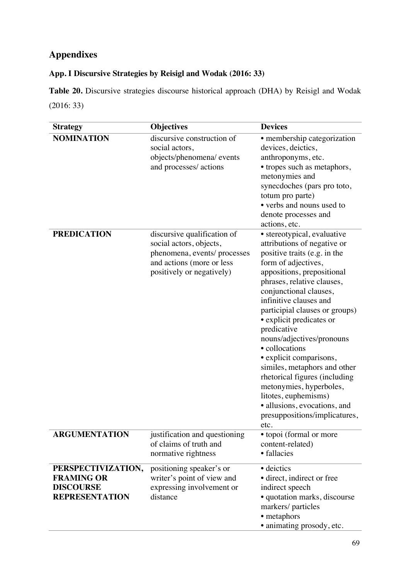# **Appendixes**

## **App. I Discursive Strategies by Reisigl and Wodak (2016: 33)**

**Table 20.** Discursive strategies discourse historical approach (DHA) by Reisigl and Wodak (2016: 33)

| <b>Strategy</b>                                                                      | <b>Objectives</b>                                                                                                                                | <b>Devices</b>                                                                                                                                                                                                                                                                                                                                                                                                                                                                                                                                                                        |
|--------------------------------------------------------------------------------------|--------------------------------------------------------------------------------------------------------------------------------------------------|---------------------------------------------------------------------------------------------------------------------------------------------------------------------------------------------------------------------------------------------------------------------------------------------------------------------------------------------------------------------------------------------------------------------------------------------------------------------------------------------------------------------------------------------------------------------------------------|
| <b>NOMINATION</b>                                                                    | discursive construction of<br>social actors,<br>objects/phenomena/ events<br>and processes/ actions                                              | • membership categorization<br>devices, deictics,<br>anthroponyms, etc.<br>• tropes such as metaphors,<br>metonymies and<br>synecdoches (pars pro toto,<br>totum pro parte)<br>• verbs and nouns used to<br>denote processes and<br>actions, etc.                                                                                                                                                                                                                                                                                                                                     |
| <b>PREDICATION</b>                                                                   | discursive qualification of<br>social actors, objects,<br>phenomena, events/ processes<br>and actions (more or less<br>positively or negatively) | • stereotypical, evaluative<br>attributions of negative or<br>positive traits (e.g. in the<br>form of adjectives,<br>appositions, prepositional<br>phrases, relative clauses,<br>conjunctional clauses,<br>infinitive clauses and<br>participial clauses or groups)<br>• explicit predicates or<br>predicative<br>nouns/adjectives/pronouns<br>• collocations<br>• explicit comparisons,<br>similes, metaphors and other<br>rhetorical figures (including<br>metonymies, hyperboles,<br>litotes, euphemisms)<br>· allusions, evocations, and<br>presuppositions/implicatures,<br>etc. |
| <b>ARGUMENTATION</b>                                                                 | justification and questioning<br>of claims of truth and<br>normative rightness                                                                   | · topoi (formal or more<br>content-related)<br>• fallacies                                                                                                                                                                                                                                                                                                                                                                                                                                                                                                                            |
| PERSPECTIVIZATION,<br><b>FRAMING OR</b><br><b>DISCOURSE</b><br><b>REPRESENTATION</b> | positioning speaker's or<br>writer's point of view and<br>expressing involvement or<br>distance                                                  | · deictics<br>• direct, indirect or free<br>indirect speech<br>· quotation marks, discourse<br>markers/particles<br>• metaphors<br>· animating prosody, etc.                                                                                                                                                                                                                                                                                                                                                                                                                          |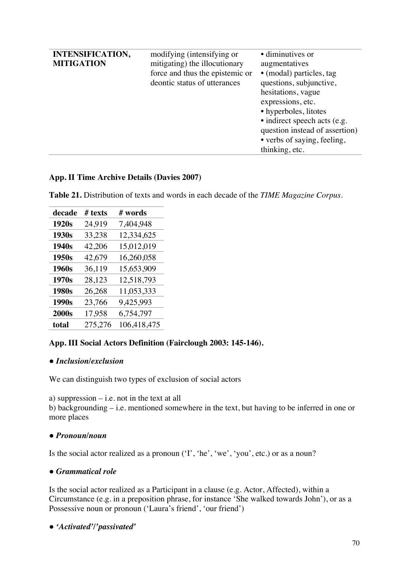| <b>INTENSIFICATION,</b> | modifying (intensifying or      | • diminutives or               |
|-------------------------|---------------------------------|--------------------------------|
| <b>MITIGATION</b>       | mitigating) the illocutionary   | augmentatives                  |
|                         | force and thus the epistemic or | • (modal) particles, tag       |
|                         | deontic status of utterances    | questions, subjunctive,        |
|                         |                                 | hesitations, vague             |
|                         |                                 | expressions, etc.              |
|                         |                                 | • hyperboles, litotes          |
|                         |                                 | • indirect speech acts (e.g.   |
|                         |                                 | question instead of assertion) |
|                         |                                 | • verbs of saying, feeling,    |
|                         |                                 | thinking, etc.                 |

### **App. II Time Archive Details (Davies 2007)**

**Table 21.** Distribution of texts and words in each decade of the *TIME Magazine Corpus*.

| decade            | # texts | # words     |
|-------------------|---------|-------------|
| 1920s             | 24,919  | 7,404,948   |
| 1930s             | 33,238  | 12,334,625  |
| 1940s             | 42,206  | 15,012,019  |
| 1950s             | 42,679  | 16,260,058  |
| 1960s             | 36,119  | 15,653,909  |
| 1970s             | 28,123  | 12,518,793  |
| 1980s             | 26,268  | 11,053,333  |
| 1990s             | 23,766  | 9,425,993   |
| 2000 <sub>s</sub> | 17,958  | 6,754,797   |
| total             | 275,276 | 106,418,475 |

### **App. III Social Actors Definition (Fairclough 2003: 145-146).**

### *● Inclusion/exclusion*

We can distinguish two types of exclusion of social actors

a) suppression – i.e. not in the text at all

b) backgrounding – i.e. mentioned somewhere in the text, but having to be inferred in one or more places

#### *● Pronoun/noun*

Is the social actor realized as a pronoun ('I', 'he', 'we', 'you', etc.) or as a noun?

### *● Grammatical role*

Is the social actor realized as a Participant in a clause (e.g. Actor, Affected), within a Circumstance (e.g. in a preposition phrase, for instance 'She walked towards John'), or as a Possessive noun or pronoun ('Laura's friend', 'our friend')

### *● 'Activated'/'passivated'*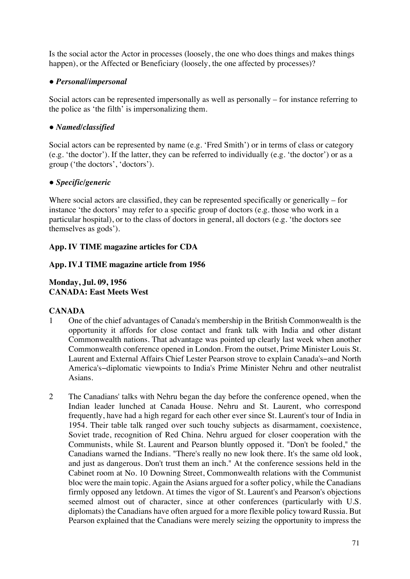Is the social actor the Actor in processes (loosely, the one who does things and makes things happen), or the Affected or Beneficiary (loosely, the one affected by processes)?

## *● Personal/impersonal*

Social actors can be represented impersonally as well as personally – for instance referring to the police as 'the filth' is impersonalizing them.

# *● Named/classified*

Social actors can be represented by name (e.g. 'Fred Smith') or in terms of class or category (e.g. 'the doctor'). If the latter, they can be referred to individually (e.g. 'the doctor') or as a group ('the doctors', 'doctors').

# *● Specific/generic*

Where social actors are classified, they can be represented specifically or generically – for instance 'the doctors' may refer to a specific group of doctors (e.g. those who work in a particular hospital), or to the class of doctors in general, all doctors (e.g. 'the doctors see themselves as gods').

## **App. IV TIME magazine articles for CDA**

## **App. IV.I TIME magazine article from 1956**

#### **Monday, Jul. 09, 1956 CANADA: East Meets West**

# **CANADA**

- 1 One of the chief advantages of Canada's membership in the British Commonwealth is the opportunity it affords for close contact and frank talk with India and other distant Commonwealth nations. That advantage was pointed up clearly last week when another Commonwealth conference opened in London. From the outset, Prime Minister Louis St. Laurent and External Affairs Chief Lester Pearson strove to explain Canada's−and North America's−diplomatic viewpoints to India's Prime Minister Nehru and other neutralist Asians.
- 2 The Canadians' talks with Nehru began the day before the conference opened, when the Indian leader lunched at Canada House. Nehru and St. Laurent, who correspond frequently, have had a high regard for each other ever since St. Laurent's tour of India in 1954. Their table talk ranged over such touchy subjects as disarmament, coexistence, Soviet trade, recognition of Red China. Nehru argued for closer cooperation with the Communists, while St. Laurent and Pearson bluntly opposed it. "Don't be fooled," the Canadians warned the Indians. "There's really no new look there. It's the same old look, and just as dangerous. Don't trust them an inch." At the conference sessions held in the Cabinet room at No. 10 Downing Street, Commonwealth relations with the Communist bloc were the main topic. Again the Asians argued for a softer policy, while the Canadians firmly opposed any letdown. At times the vigor of St. Laurent's and Pearson's objections seemed almost out of character, since at other conferences (particularly with U.S. diplomats) the Canadians have often argued for a more flexible policy toward Russia. But Pearson explained that the Canadians were merely seizing the opportunity to impress the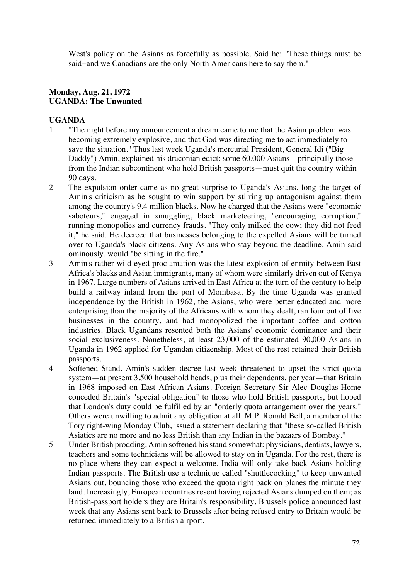West's policy on the Asians as forcefully as possible. Said he: "These things must be said−and we Canadians are the only North Americans here to say them."

### **Monday, Aug. 21, 1972 UGANDA: The Unwanted**

## **UGANDA**

- 1 "The night before my announcement a dream came to me that the Asian problem was becoming extremely explosive, and that God was directing me to act immediately to save the situation." Thus last week Uganda's mercurial President, General Idi ("Big Daddy") Amin, explained his draconian edict: some 60,000 Asians—principally those from the Indian subcontinent who hold British passports—must quit the country within 90 days.
- 2 The expulsion order came as no great surprise to Uganda's Asians, long the target of Amin's criticism as he sought to win support by stirring up antagonism against them among the country's 9.4 million blacks. Now he charged that the Asians were "economic saboteurs," engaged in smuggling, black marketeering, "encouraging corruption," running monopolies and currency frauds. "They only milked the cow; they did not feed it," he said. He decreed that businesses belonging to the expelled Asians will be turned over to Uganda's black citizens. Any Asians who stay beyond the deadline, Amin said ominously, would "be sitting in the fire."
- 3 Amin's rather wild-eyed proclamation was the latest explosion of enmity between East Africa's blacks and Asian immigrants, many of whom were similarly driven out of Kenya in 1967. Large numbers of Asians arrived in East Africa at the turn of the century to help build a railway inland from the port of Mombasa. By the time Uganda was granted independence by the British in 1962, the Asians, who were better educated and more enterprising than the majority of the Africans with whom they dealt, ran four out of five businesses in the country, and had monopolized the important coffee and cotton industries. Black Ugandans resented both the Asians' economic dominance and their social exclusiveness. Nonetheless, at least 23,000 of the estimated 90,000 Asians in Uganda in 1962 applied for Ugandan citizenship. Most of the rest retained their British passports.
- 4 Softened Stand. Amin's sudden decree last week threatened to upset the strict quota system—at present 3,500 household heads, plus their dependents, per year—that Britain in 1968 imposed on East African Asians. Foreign Secretary Sir Alec Douglas-Home conceded Britain's "special obligation" to those who hold British passports, but hoped that London's duty could be fulfilled by an "orderly quota arrangement over the years." Others were unwilling to admit any obligation at all. M.P. Ronald Bell, a member of the Tory right-wing Monday Club, issued a statement declaring that "these so-called British Asiatics are no more and no less British than any Indian in the bazaars of Bombay."
- 5 Under British prodding, Amin softened his stand somewhat: physicians, dentists, lawyers, teachers and some technicians will be allowed to stay on in Uganda. For the rest, there is no place where they can expect a welcome. India will only take back Asians holding Indian passports. The British use a technique called "shuttlecocking" to keep unwanted Asians out, bouncing those who exceed the quota right back on planes the minute they land. Increasingly, European countries resent having rejected Asians dumped on them; as British-passport holders they are Britain's responsibility. Brussels police announced last week that any Asians sent back to Brussels after being refused entry to Britain would be returned immediately to a British airport.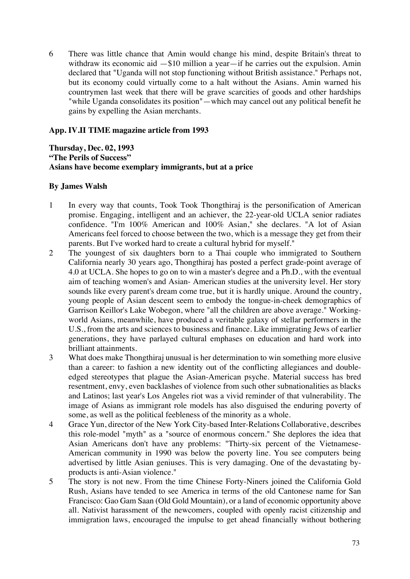6 There was little chance that Amin would change his mind, despite Britain's threat to withdraw its economic aid  $-\$10$  million a year—if he carries out the expulsion. Amin declared that "Uganda will not stop functioning without British assistance." Perhaps not, but its economy could virtually come to a halt without the Asians. Amin warned his countrymen last week that there will be grave scarcities of goods and other hardships "while Uganda consolidates its position"—which may cancel out any political benefit he gains by expelling the Asian merchants.

#### **App. IV.II TIME magazine article from 1993**

**Thursday, Dec. 02, 1993 "The Perils of Success" Asians have become exemplary immigrants, but at a price**

#### **By James Walsh**

- 1 In every way that counts, Took Took Thongthiraj is the personification of American promise. Engaging, intelligent and an achiever, the 22-year-old UCLA senior radiates confidence. "I'm 100% American and 100% Asian," she declares. "A lot of Asian Americans feel forced to choose between the two, which is a message they get from their parents. But I've worked hard to create a cultural hybrid for myself."
- 2 The youngest of six daughters born to a Thai couple who immigrated to Southern California nearly 30 years ago, Thongthiraj has posted a perfect grade-point average of 4.0 at UCLA. She hopes to go on to win a master's degree and a Ph.D., with the eventual aim of teaching women's and Asian- American studies at the university level. Her story sounds like every parent's dream come true, but it is hardly unique. Around the country, young people of Asian descent seem to embody the tongue-in-cheek demographics of Garrison Keillor's Lake Wobegon, where "all the children are above average." Workingworld Asians, meanwhile, have produced a veritable galaxy of stellar performers in the U.S., from the arts and sciences to business and finance. Like immigrating Jews of earlier generations, they have parlayed cultural emphases on education and hard work into brilliant attainments.
- 3 What does make Thongthiraj unusual is her determination to win something more elusive than a career: to fashion a new identity out of the conflicting allegiances and doubleedged stereotypes that plague the Asian-American psyche. Material success has bred resentment, envy, even backlashes of violence from such other subnationalities as blacks and Latinos; last year's Los Angeles riot was a vivid reminder of that vulnerability. The image of Asians as immigrant role models has also disguised the enduring poverty of some, as well as the political feebleness of the minority as a whole.
- 4 Grace Yun, director of the New York City-based Inter-Relations Collaborative, describes this role-model "myth" as a "source of enormous concern." She deplores the idea that Asian Americans don't have any problems: "Thirty-six percent of the Vietnamese-American community in 1990 was below the poverty line. You see computers being advertised by little Asian geniuses. This is very damaging. One of the devastating byproducts is anti-Asian violence."
- 5 The story is not new. From the time Chinese Forty-Niners joined the California Gold Rush, Asians have tended to see America in terms of the old Cantonese name for San Francisco: Gao Gam Saan (Old Gold Mountain), or a land of economic opportunity above all. Nativist harassment of the newcomers, coupled with openly racist citizenship and immigration laws, encouraged the impulse to get ahead financially without bothering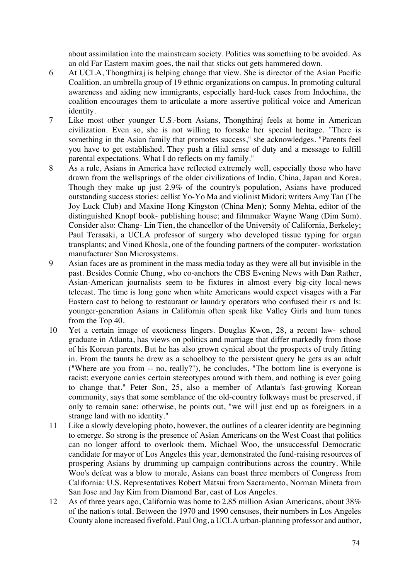about assimilation into the mainstream society. Politics was something to be avoided. As an old Far Eastern maxim goes, the nail that sticks out gets hammered down.

- 6 At UCLA, Thongthiraj is helping change that view. She is director of the Asian Pacific Coalition, an umbrella group of 19 ethnic organizations on campus. In promoting cultural awareness and aiding new immigrants, especially hard-luck cases from Indochina, the coalition encourages them to articulate a more assertive political voice and American identity.
- 7 Like most other younger U.S.-born Asians, Thongthiraj feels at home in American civilization. Even so, she is not willing to forsake her special heritage. "There is something in the Asian family that promotes success," she acknowledges. "Parents feel you have to get established. They push a filial sense of duty and a message to fulfill parental expectations. What I do reflects on my family."
- 8 As a rule, Asians in America have reflected extremely well, especially those who have drawn from the wellsprings of the older civilizations of India, China, Japan and Korea. Though they make up just 2.9% of the country's population, Asians have produced outstanding success stories: cellist Yo-Yo Ma and violinist Midori; writers Amy Tan (The Joy Luck Club) and Maxine Hong Kingston (China Men); Sonny Mehta, editor of the distinguished Knopf book- publishing house; and filmmaker Wayne Wang (Dim Sum). Consider also: Chang- Lin Tien, the chancellor of the University of California, Berkeley; Paul Terasaki, a UCLA professor of surgery who developed tissue typing for organ transplants; and Vinod Khosla, one of the founding partners of the computer- workstation manufacturer Sun Microsystems.
- 9 Asian faces are as prominent in the mass media today as they were all but invisible in the past. Besides Connie Chung, who co-anchors the CBS Evening News with Dan Rather, Asian-American journalists seem to be fixtures in almost every big-city local-news telecast. The time is long gone when white Americans would expect visages with a Far Eastern cast to belong to restaurant or laundry operators who confused their rs and ls: younger-generation Asians in California often speak like Valley Girls and hum tunes from the Top 40.
- 10 Yet a certain image of exoticness lingers. Douglas Kwon, 28, a recent law- school graduate in Atlanta, has views on politics and marriage that differ markedly from those of his Korean parents. But he has also grown cynical about the prospects of truly fitting in. From the taunts he drew as a schoolboy to the persistent query he gets as an adult ("Where are you from -- no, really?"), he concludes, "The bottom line is everyone is racist; everyone carries certain stereotypes around with them, and nothing is ever going to change that." Peter Son, 25, also a member of Atlanta's fast-growing Korean community, says that some semblance of the old-country folkways must be preserved, if only to remain sane: otherwise, he points out, "we will just end up as foreigners in a strange land with no identity."
- 11 Like a slowly developing photo, however, the outlines of a clearer identity are beginning to emerge. So strong is the presence of Asian Americans on the West Coast that politics can no longer afford to overlook them. Michael Woo, the unsuccessful Democratic candidate for mayor of Los Angeles this year, demonstrated the fund-raising resources of prospering Asians by drumming up campaign contributions across the country. While Woo's defeat was a blow to morale, Asians can boast three members of Congress from California: U.S. Representatives Robert Matsui from Sacramento, Norman Mineta from San Jose and Jay Kim from Diamond Bar, east of Los Angeles.
- 12 As of three years ago, California was home to 2.85 million Asian Americans, about 38% of the nation's total. Between the 1970 and 1990 censuses, their numbers in Los Angeles County alone increased fivefold. Paul Ong, a UCLA urban-planning professor and author,